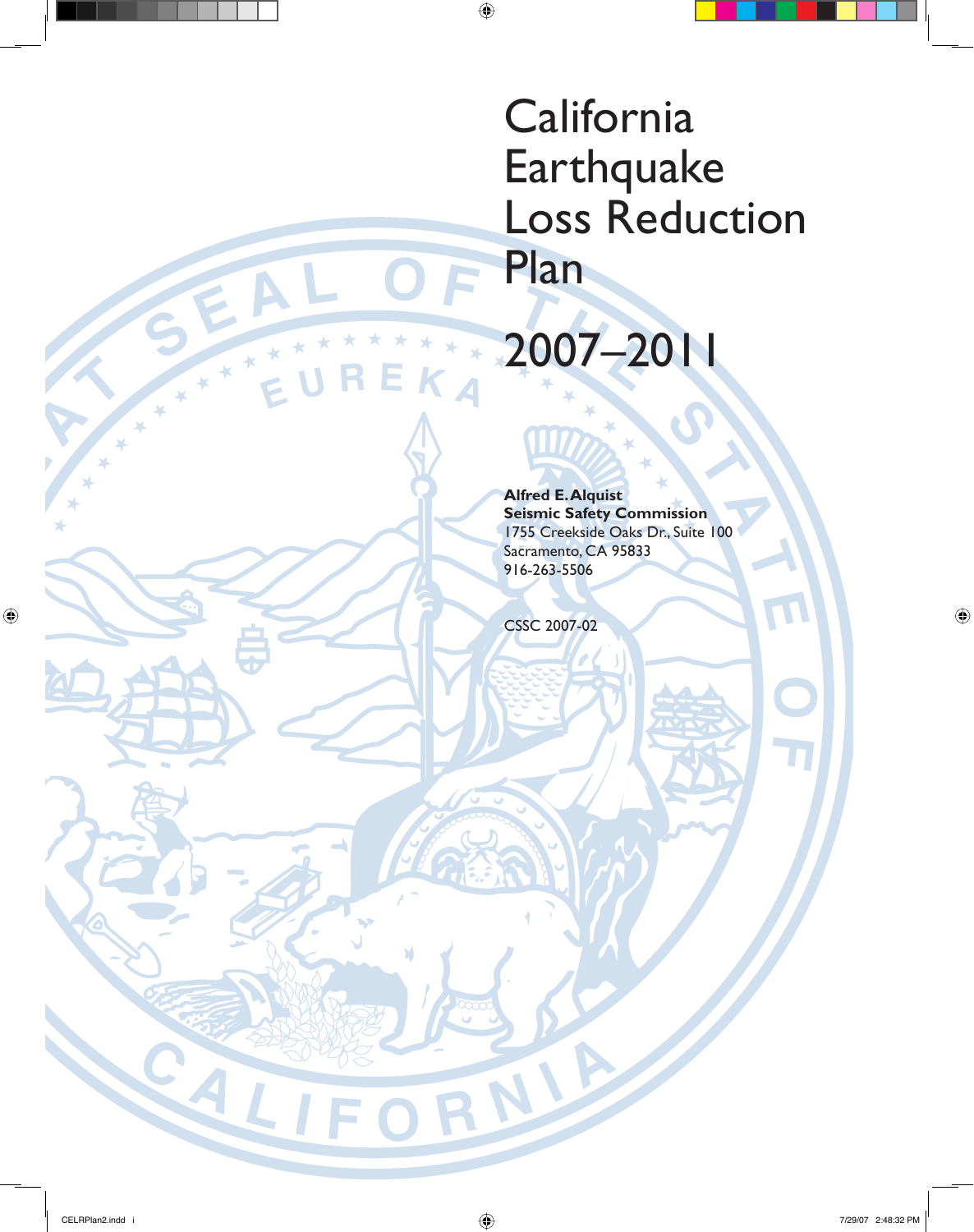# **California** Earthquake Loss Reduction Plan

# 2007–2011

 $\bigoplus$ 

**Alfred E. Alquist Seismic Safety Commission** 1755 Creekside Oaks Dr., Suite 100 Sacramento, CA 95833 916-263-5506

CSSC 2007-02

A

 $\bigoplus$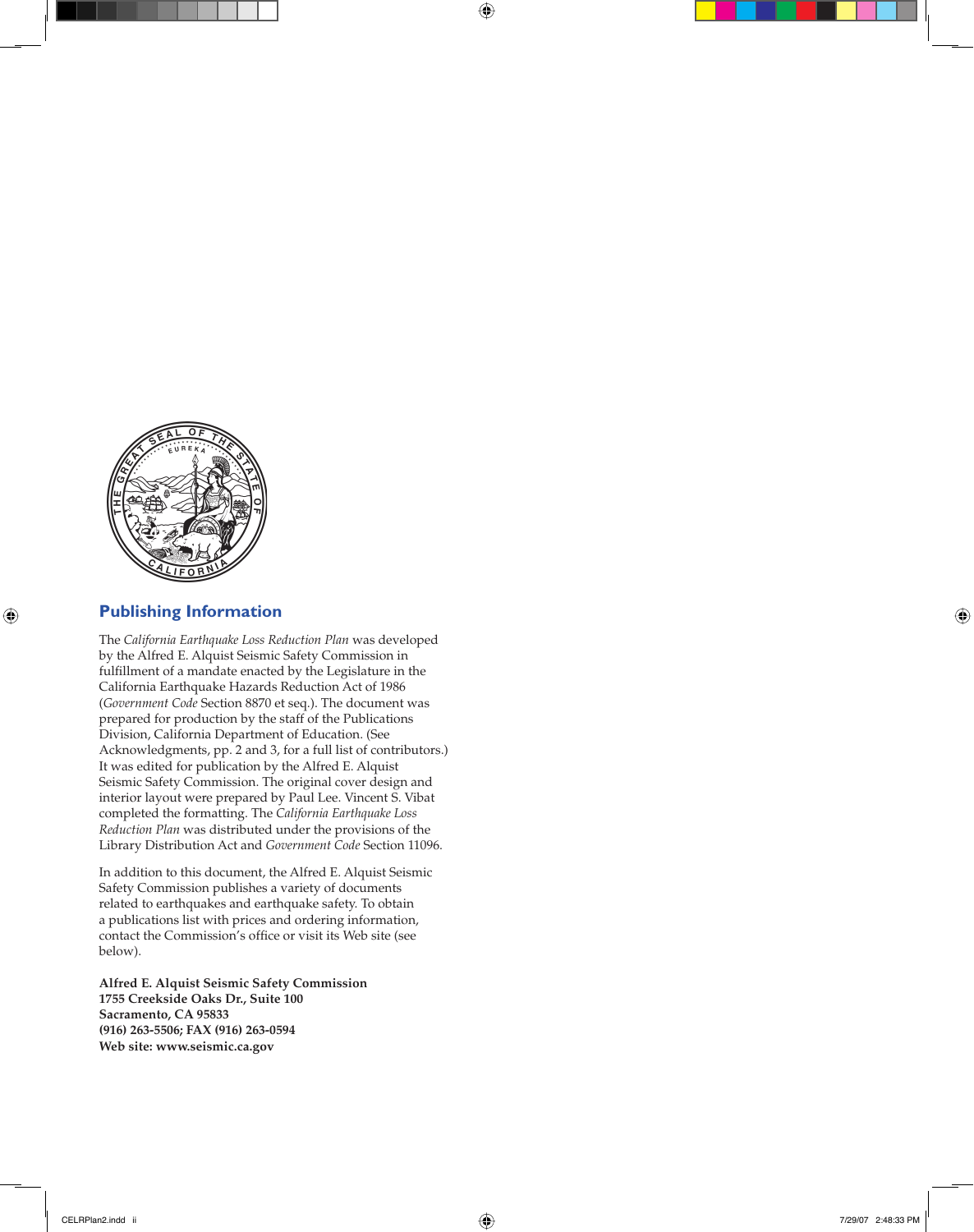

#### **Publishing Information**

 $\bigoplus$ 

The *California Earthquake Loss Reduction Plan* was developed by the Alfred E. Alquist Seismic Safety Commission in fulfillment of a mandate enacted by the Legislature in the California Earthquake Hazards Reduction Act of 1986 (*Government Code* Section 8870 et seq.). The document was prepared for production by the staff of the Publications Division, California Department of Education. (See Acknowledgments, pp. 2 and 3, for a full list of contributors.) It was edited for publication by the Alfred E. Alquist Seismic Safety Commission. The original cover design and interior layout were prepared by Paul Lee. Vincent S. Vibat completed the formatting. The *California Earthquake Loss Reduction Plan* was distributed under the provisions of the Library Distribution Act and *Government Code* Section 11096.

In addition to this document, the Alfred E. Alquist Seismic Safety Commission publishes a variety of documents related to earthquakes and earthquake safety. To obtain a publications list with prices and ordering information, contact the Commission's office or visit its Web site (see below).

**Alfred E. Alquist Seismic Safety Commission 1755 Creekside Oaks Dr., Suite 100 Sacramento, CA 95833 (916) 263-5506; FAX (916) 263-0594 Web site: www.seismic.ca.gov**

⊕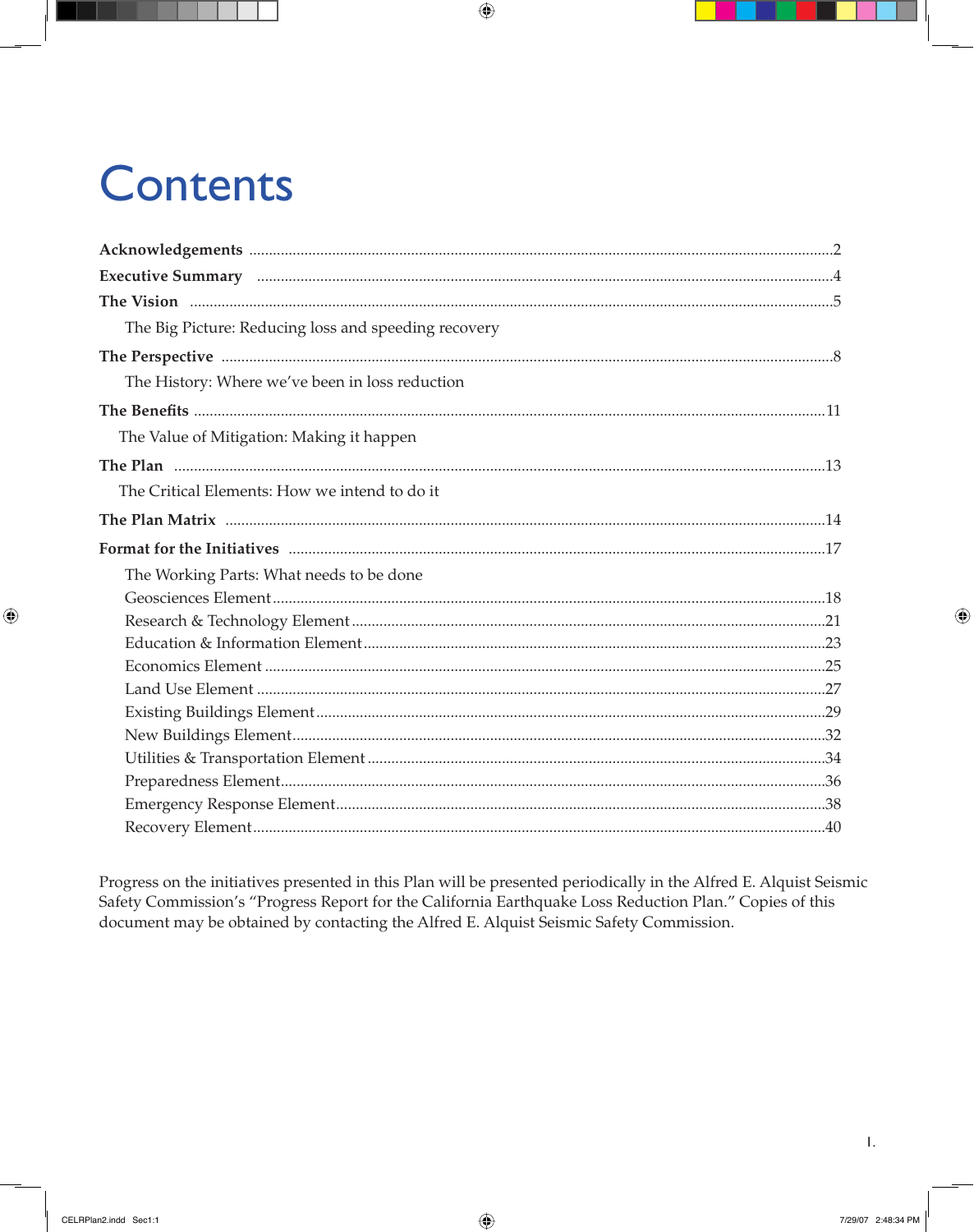# **Contents**

| The Big Picture: Reducing loss and speeding recovery |  |
|------------------------------------------------------|--|
|                                                      |  |
| The History: Where we've been in loss reduction      |  |
|                                                      |  |
| The Value of Mitigation: Making it happen            |  |
|                                                      |  |
| The Critical Elements: How we intend to do it        |  |
|                                                      |  |
|                                                      |  |
| The Working Parts: What needs to be done             |  |
|                                                      |  |
|                                                      |  |
|                                                      |  |
|                                                      |  |
|                                                      |  |
|                                                      |  |
|                                                      |  |
|                                                      |  |
|                                                      |  |
|                                                      |  |
|                                                      |  |

 $\bigoplus$ 

Progress on the initiatives presented in this Plan will be presented periodically in the Alfred E. Alquist Seismic Safety Commission's "Progress Report for the California Earthquake Loss Reduction Plan." Copies of this document may be obtained by contacting the Alfred E. Alquist Seismic Safety Commission.

 $\bigoplus$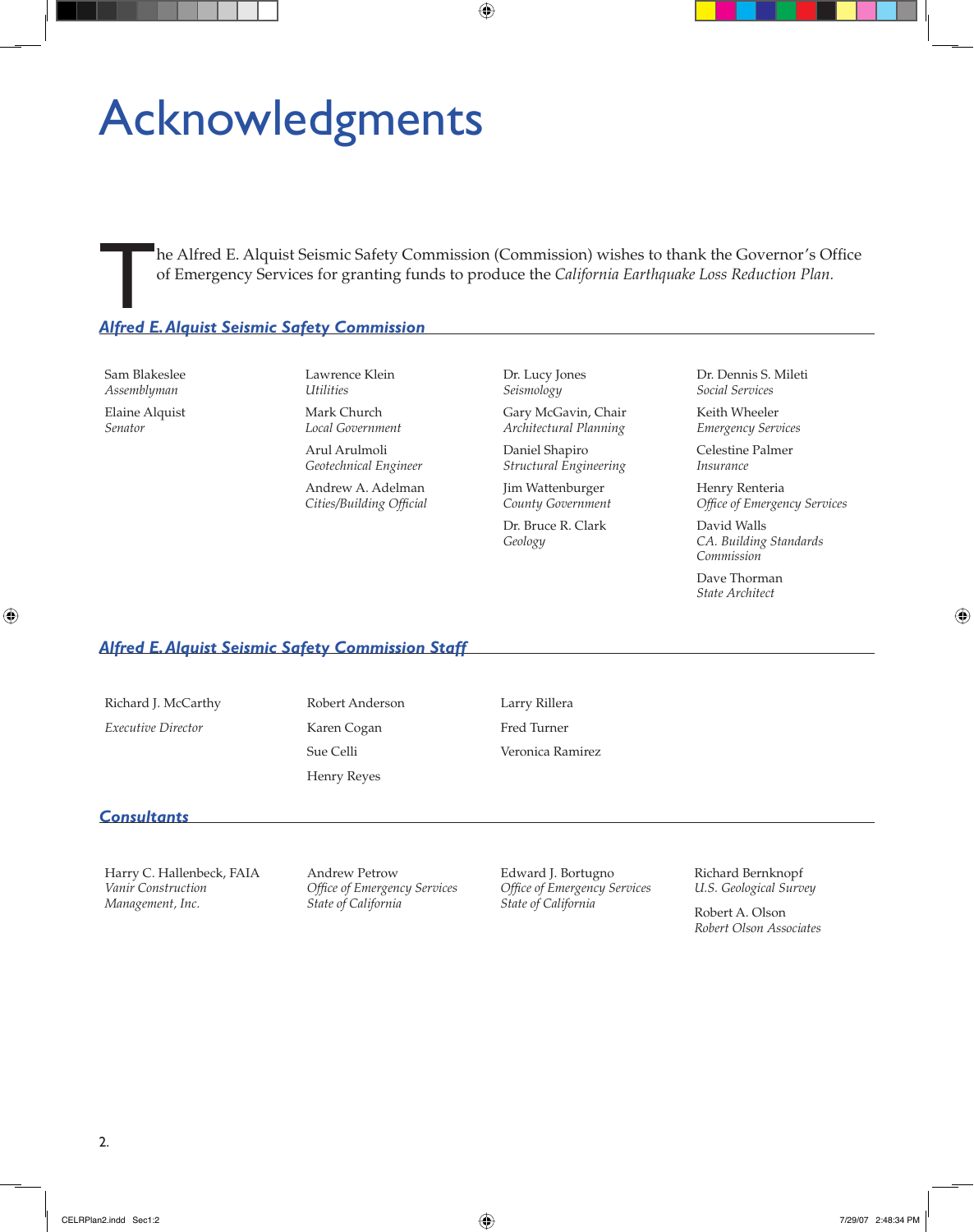# Acknowledgments

The Alfred E. Alquist Seismic Safety Commission (Commission) wishes to thank the Governor's Office<br>of Emergency Services for granting funds to produce the California Earthquake Loss Reduction Plan.<br>Alfred E. Alquist Seismi of Emergency Services for granting funds to produce the *California Earthquake Loss Reduction Plan.*

 $\bigoplus$ 

#### *Alfred E. Alquist Seismic Safety Commission*

Sam Blakeslee *Assemblyman* Elaine Alquist *Senator*

Lawrence Klein *Utilities* Mark Church *Local Government* Arul Arulmoli *Geotechnical Engineer*

Andrew A. Adelman *Cities/Building Offi cial* Dr. Lucy Jones *Seismology* Gary McGavin, Chair *Architectural Planning*

Daniel Shapiro

*Structural Engineering* Jim Wattenburger *County Government*

Dr. Bruce R. Clark *Geology*

Dr. Dennis S. Mileti *Social Services* Keith Wheeler

*Emergency Services*

Celestine Palmer *Insurance*

Henry Renteria *Offi ce of Emergency Services*

David Walls *CA. Building Standards Commission*

Dave Thorman *State Architect*

### $\bigoplus$

### *Alfred E. Alquist Seismic Safety Commission Staff*

Richard J. McCarthy **Robert Anderson** Larry Rillera

**Executive Director Karen Cogan** Fred Turner Sue Celli Veronica Ramirez Henry Reyes

#### *Consultants*

Harry C. Hallenbeck, FAIA *Vanir Construction Management, Inc.*

Andrew Petrow *Offi ce of Emergency Services State of California*

Edward J. Bortugno *Offi ce of Emergency Services State of California*

Richard Bernknopf *U.S. Geological Survey*

Robert A. Olson *Robert Olson Associates* ↔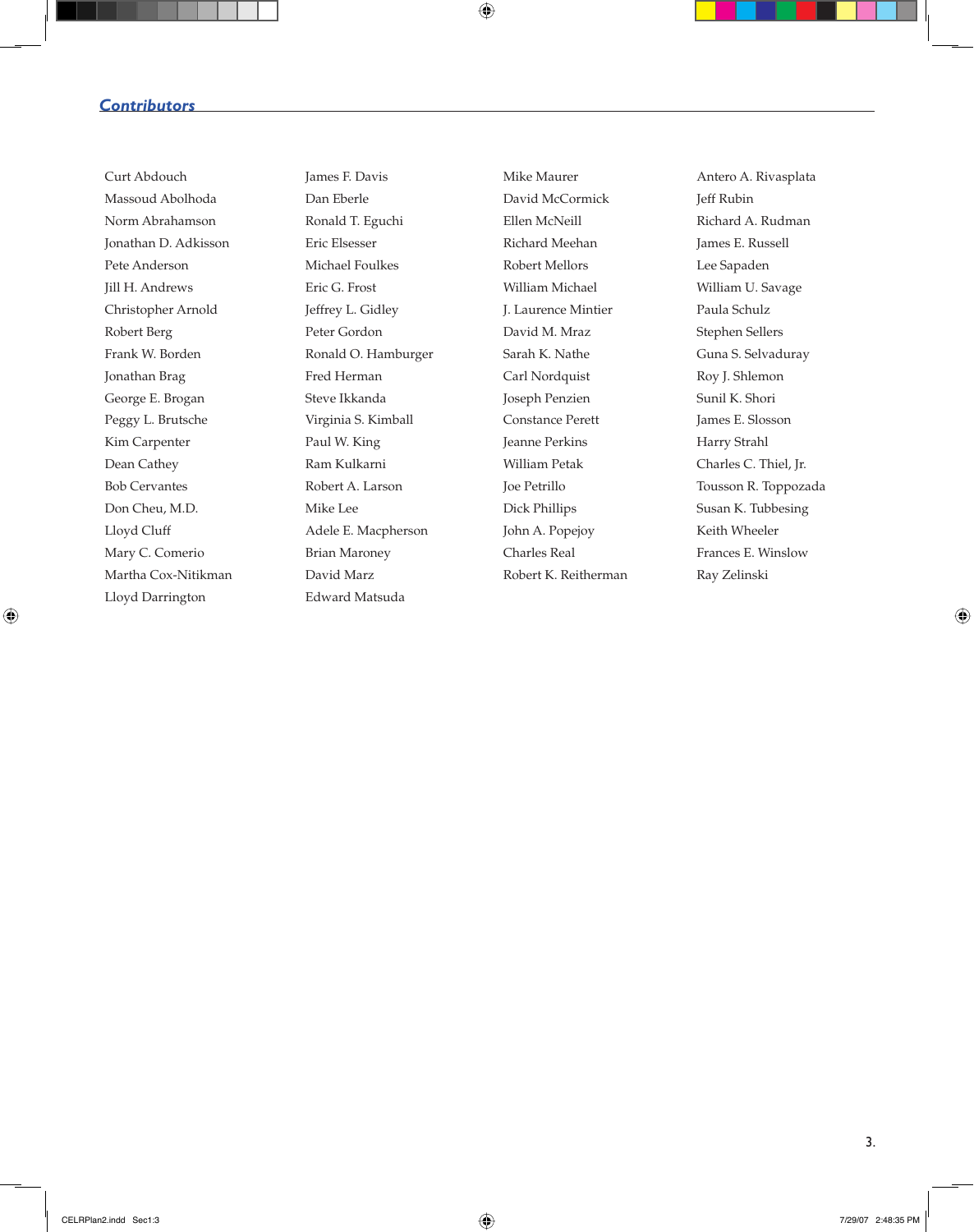#### *Contributors*

Lloyd Darrington Edward Matsuda

 $\textcolor{black}{\textcircled{\ell}}$ 

Curt Abdouch **James F. Davis** Mike Maurer Antero A. Rivasplata Massoud Abolhoda Dan Eberle David McCormick Jeff Rubin Norm Abrahamson **Ronald T. Eguchi** Ellen McNeill **Richard A. Rudman** Jonathan D. Adkisson Eric Elsesser Richard Meehan James E. Russell Pete Anderson Michael Foulkes Robert Mellors Lee Sapaden Jill H. Andrews Eric G. Frost William Michael William U. Savage Christopher Arnold Jeffrey L. Gidley J. Laurence Mintier Paula Schulz Robert Berg **Peter Gordon** David M. Mraz Stephen Sellers Frank W. Borden **Ronald O. Hamburger** Sarah K. Nathe Guna S. Selvaduray Jonathan Brag Fred Herman Carl Nordquist Roy J. Shlemon George E. Brogan Steve Ikkanda Joseph Penzien Sunil K. Shori Peggy L. Brutsche Virginia S. Kimball Constance Perett James E. Slosson Kim Carpenter **Paul W. King Strahl** Jeanne Perkins Harry Strahl Dean Cathey **Ram Kulkarni** William Petak Charles C. Thiel, Jr. Bob Cervantes **Robert A. Larson** Joe Petrillo **Tousson R. Toppozada** Don Cheu, M.D. **Mike Lee Dick Phillips** Susan K. Tubbesing Lloyd Cluff **Adele E. Macpherson** John A. Popejoy Keith Wheeler Mary C. Comerio **Brian Maroney** Charles Real Frances E. Winslow Martha Cox-Nitikman David Marz Bobert K. Reitherman Ray Zelinski

 $\bigoplus$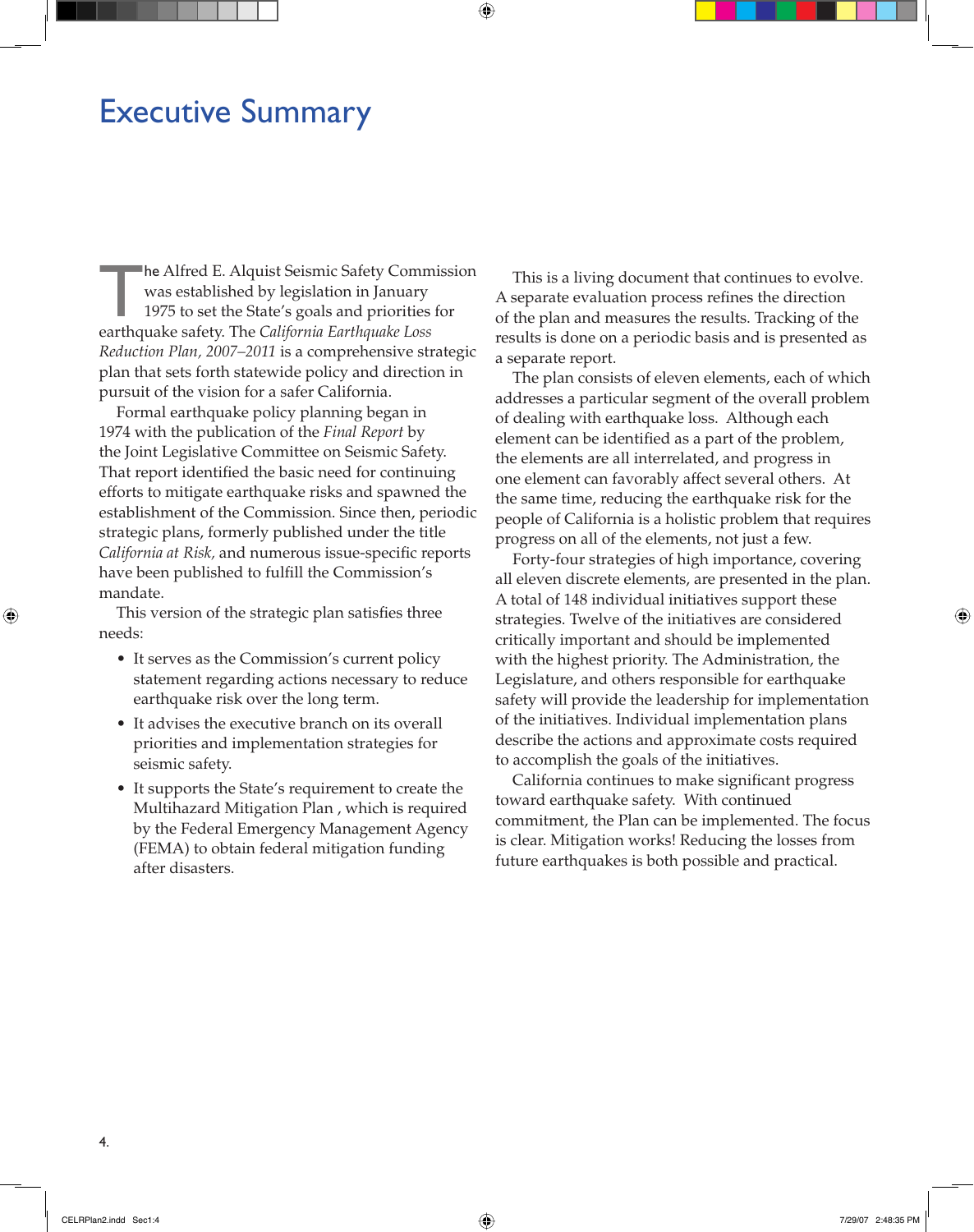## Executive Summary

The Alfred E. Alquist Seismic Safety Commission was established by legislation in January 1975 to set the State's goals and priorities for earthquake safety. The *California Earthquake Loss Reduction Plan, 2007–2011* is a comprehensive strategic plan that sets forth statewide policy and direction in pursuit of the vision for a safer California.

Formal earthquake policy planning began in 1974 with the publication of the *Final Report* by the Joint Legislative Committee on Seismic Safety. That report identified the basic need for continuing efforts to mitigate earthquake risks and spawned the establishment of the Commission. Since then, periodic strategic plans, formerly published under the title *California at Risk,* and numerous issue-specific reports have been published to fulfill the Commission's mandate.

This version of the strategic plan satisfies three needs:

- It serves as the Commission's current policy statement regarding actions necessary to reduce earthquake risk over the long term.
- It advises the executive branch on its overall priorities and implementation strategies for seismic safety.
- It supports the State's requirement to create the Multihazard Mitigation Plan , which is required by the Federal Emergency Management Agency (FEMA) to obtain federal mitigation funding after disasters.

This is a living document that continues to evolve. A separate evaluation process refines the direction of the plan and measures the results. Tracking of the results is done on a periodic basis and is presented as a separate report.

The plan consists of eleven elements, each of which addresses a particular segment of the overall problem of dealing with earthquake loss. Although each element can be identified as a part of the problem, the elements are all interrelated, and progress in one element can favorably affect several others. At the same time, reducing the earthquake risk for the people of California is a holistic problem that requires progress on all of the elements, not just a few.

Forty-four strategies of high importance, covering all eleven discrete elements, are presented in the plan. A total of 148 individual initiatives support these strategies. Twelve of the initiatives are considered critically important and should be implemented with the highest priority. The Administration, the Legislature, and others responsible for earthquake safety will provide the leadership for implementation of the initiatives. Individual implementation plans describe the actions and approximate costs required to accomplish the goals of the initiatives.

California continues to make significant progress toward earthquake safety. With continued commitment, the Plan can be implemented. The focus is clear. Mitigation works! Reducing the losses from future earthquakes is both possible and practical.

⊕

 $\textcircled{\scriptsize\textsf{P}}$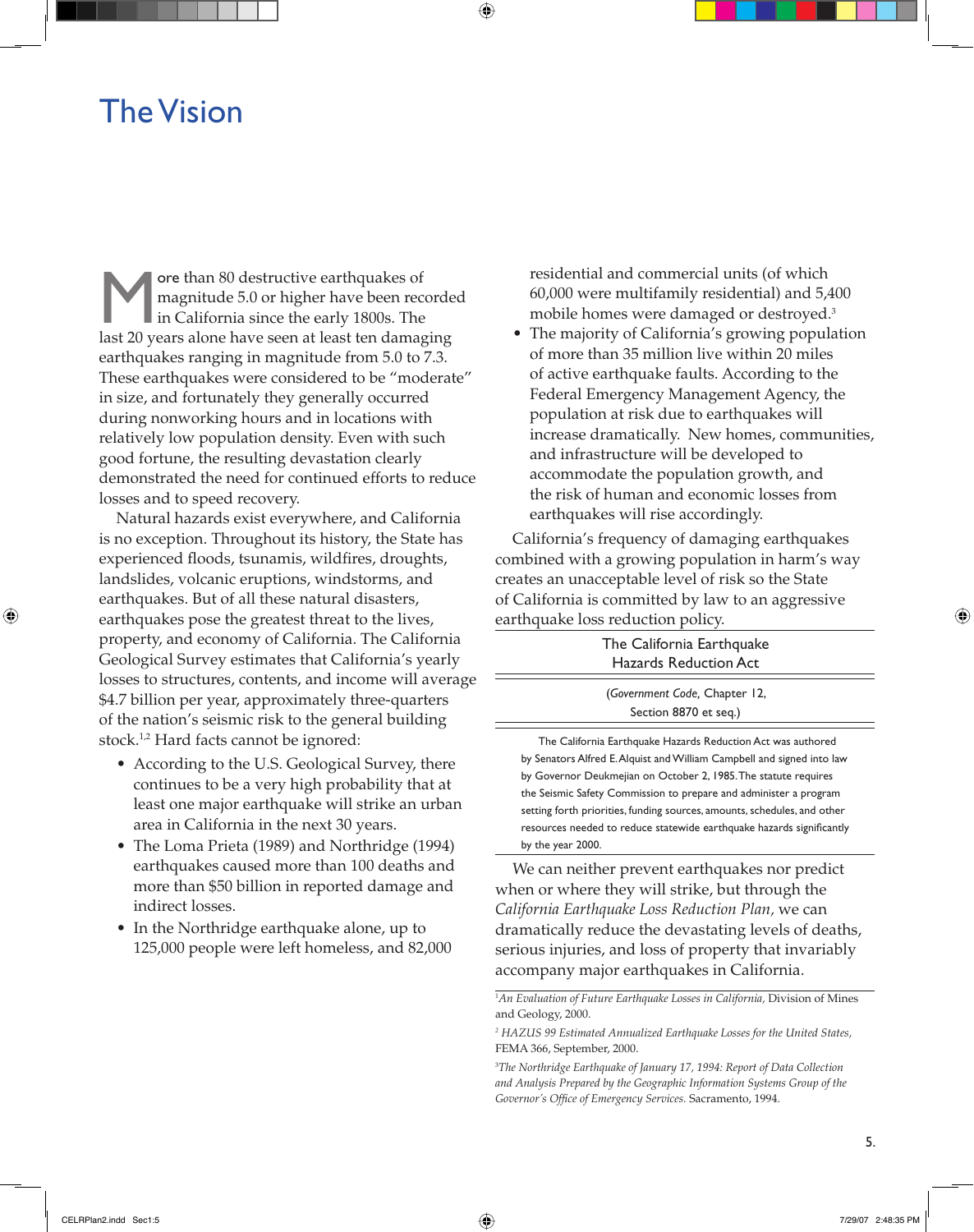## The Vision

**More than 80 destructive earthquakes of**<br>magnitude 5.0 or higher have been record in California since the early 1800s. The<br>last 20 years alone have seen at least ten damage magnitude 5.0 or higher have been recorded in California since the early 1800s. The last 20 years alone have seen at least ten damaging earthquakes ranging in magnitude from 5.0 to 7.3. These earthquakes were considered to be "moderate" in size, and fortunately they generally occurred during nonworking hours and in locations with relatively low population density. Even with such good fortune, the resulting devastation clearly demonstrated the need for continued efforts to reduce losses and to speed recovery.

Natural hazards exist everywhere, and California is no exception. Throughout its history, the State has experienced floods, tsunamis, wildfires, droughts, landslides, volcanic eruptions, windstorms, and earthquakes. But of all these natural disasters, earthquakes pose the greatest threat to the lives, property, and economy of California. The California Geological Survey estimates that California's yearly losses to structures, contents, and income will average \$4.7 billion per year, approximately three-quarters of the nation's seismic risk to the general building stock.<sup>1,2</sup> Hard facts cannot be ignored:

- According to the U.S. Geological Survey, there continues to be a very high probability that at least one major earthquake will strike an urban area in California in the next 30 years.
- The Loma Prieta (1989) and Northridge (1994) earthquakes caused more than 100 deaths and more than \$50 billion in reported damage and indirect losses.
- In the Northridge earthquake alone, up to 125,000 people were left homeless, and 82,000

residential and commercial units (of which 60,000 were multifamily residential) and 5,400 mobile homes were damaged or destroyed.3

• The majority of California's growing population of more than 35 million live within 20 miles of active earthquake faults. According to the Federal Emergency Management Agency, the population at risk due to earthquakes will increase dramatically. New homes, communities, and infrastructure will be developed to accommodate the population growth, and the risk of human and economic losses from earthquakes will rise accordingly.

California's frequency of damaging earthquakes combined with a growing population in harm's way creates an unacceptable level of risk so the State of California is committed by law to an aggressive earthquake loss reduction policy.

| The California Earthquake<br><b>Hazards Reduction Act</b>    |
|--------------------------------------------------------------|
| (Government Code, Chapter 12,<br>Section 8870 et seq.)       |
| The California Earthquake Hazards Reduction Act was authored |

by Senators Alfred E. Alquist and William Campbell and signed into law by Governor Deukmejian on October 2, 1985. The statute requires the Seismic Safety Commission to prepare and administer a program setting forth priorities, funding sources, amounts, schedules, and other resources needed to reduce statewide earthquake hazards significantly by the year 2000.

We can neither prevent earthquakes nor predict when or where they will strike, but through the *California Earthquake Loss Reduction Plan,* we can dramatically reduce the devastating levels of deaths, serious injuries, and loss of property that invariably accompany major earthquakes in California.

⊕

5.

<sup>&</sup>lt;sup>1</sup>An Evaluation of Future Earthquake Losses in California, Division of Mines and Geology, 2000.

*<sup>2</sup> HAZUS 99 Estimated Annualized Earthquake Losses for the United States,*  FEMA 366, September, 2000.

<sup>&</sup>lt;sup>3</sup>The Northridge Earthquake of January 17, 1994: Report of Data Collection *and Analysis Prepared by the Geographic Information Systems Group of the*  Governor's Office of Emergency Services. Sacramento, 1994.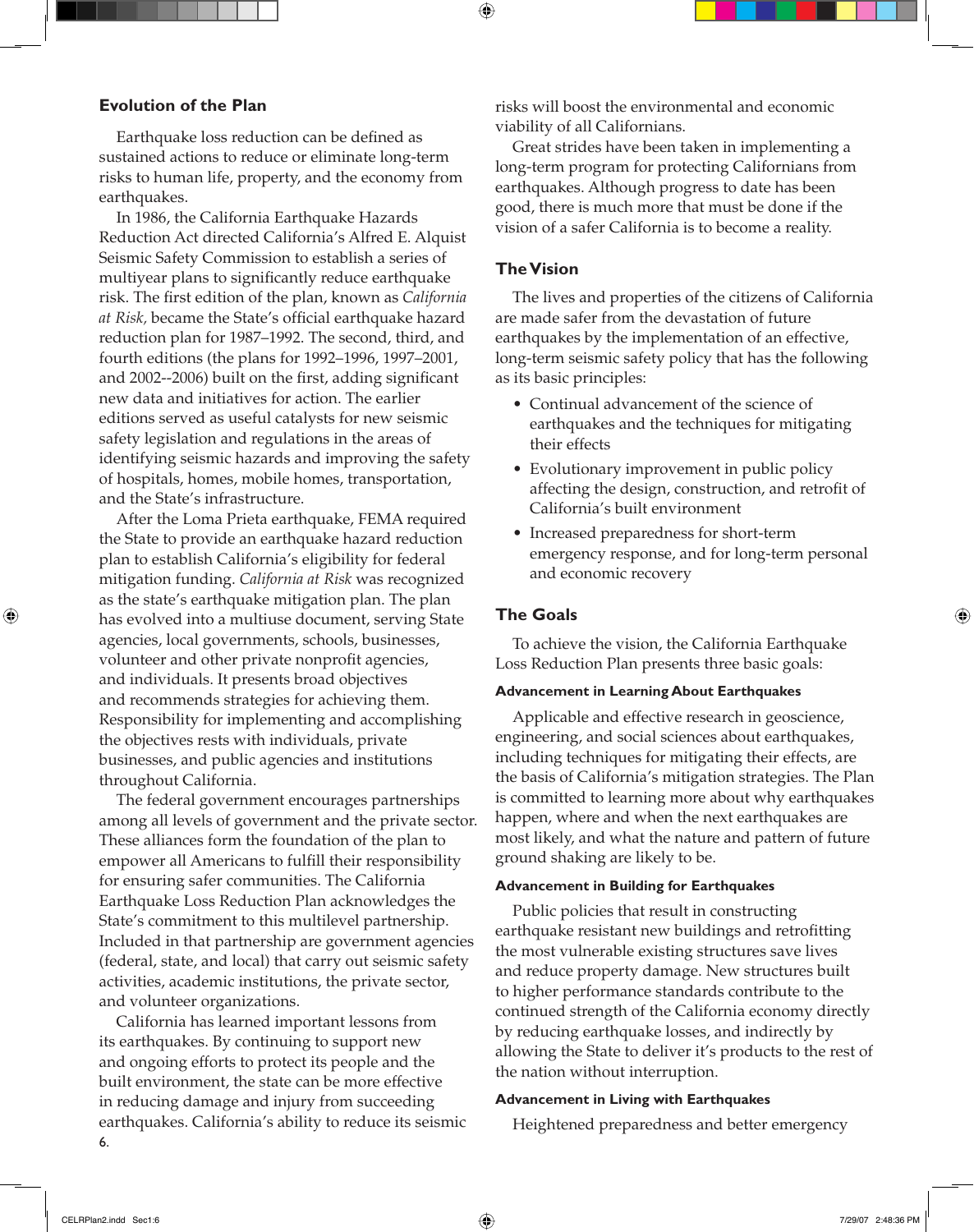Earthquake loss reduction can be defined as sustained actions to reduce or eliminate long-term risks to human life, property, and the economy from earthquakes.

In 1986, the California Earthquake Hazards Reduction Act directed California's Alfred E. Alquist Seismic Safety Commission to establish a series of multiyear plans to significantly reduce earthquake risk. The first edition of the plan, known as *California* at Risk, became the State's official earthquake hazard reduction plan for 1987–1992. The second, third, and fourth editions (the plans for 1992–1996, 1997–2001, and 2002--2006) built on the first, adding significant new data and initiatives for action. The earlier editions served as useful catalysts for new seismic safety legislation and regulations in the areas of identifying seismic hazards and improving the safety of hospitals, homes, mobile homes, transportation, and the State's infrastructure.

After the Loma Prieta earthquake, FEMA required the State to provide an earthquake hazard reduction plan to establish California's eligibility for federal mitigation funding. *California at Risk* was recognized as the state's earthquake mitigation plan. The plan has evolved into a multiuse document, serving State agencies, local governments, schools, businesses, volunteer and other private nonprofit agencies, and individuals. It presents broad objectives and recommends strategies for achieving them. Responsibility for implementing and accomplishing the objectives rests with individuals, private businesses, and public agencies and institutions throughout California.

The federal government encourages partnerships among all levels of government and the private sector. These alliances form the foundation of the plan to empower all Americans to fulfill their responsibility for ensuring safer communities. The California Earthquake Loss Reduction Plan acknowledges the State's commitment to this multilevel partnership. Included in that partnership are government agencies (federal, state, and local) that carry out seismic safety activities, academic institutions, the private sector, and volunteer organizations.

6. California has learned important lessons from its earthquakes. By continuing to support new and ongoing efforts to protect its people and the built environment, the state can be more effective in reducing damage and injury from succeeding earthquakes. California's ability to reduce its seismic

**Evolution of the Plan** risks will boost the environmental and economic viability of all Californians.

> Great strides have been taken in implementing a long-term program for protecting Californians from earthquakes. Although progress to date has been good, there is much more that must be done if the vision of a safer California is to become a reality.

#### **The Vision**

The lives and properties of the citizens of California are made safer from the devastation of future earthquakes by the implementation of an effective, long-term seismic safety policy that has the following as its basic principles:

- Continual advancement of the science of earthquakes and the techniques for mitigating their effects
- Evolutionary improvement in public policy affecting the design, construction, and retrofit of California's built environment
- Increased preparedness for short-term emergency response, and for long-term personal and economic recovery

#### **The Goals**

To achieve the vision, the California Earthquake Loss Reduction Plan presents three basic goals:

#### **Advancement in Learning About Earthquakes**

Applicable and effective research in geoscience, engineering, and social sciences about earthquakes, including techniques for mitigating their effects, are the basis of California's mitigation strategies. The Plan is committed to learning more about why earthquakes happen, where and when the next earthquakes are most likely, and what the nature and pattern of future ground shaking are likely to be.

#### **Advancement in Building for Earthquakes**

Public policies that result in constructing earthquake resistant new buildings and retrofitting the most vulnerable existing structures save lives and reduce property damage. New structures built to higher performance standards contribute to the continued strength of the California economy directly by reducing earthquake losses, and indirectly by allowing the State to deliver it's products to the rest of the nation without interruption.

#### **Advancement in Living with Earthquakes**

Heightened preparedness and better emergency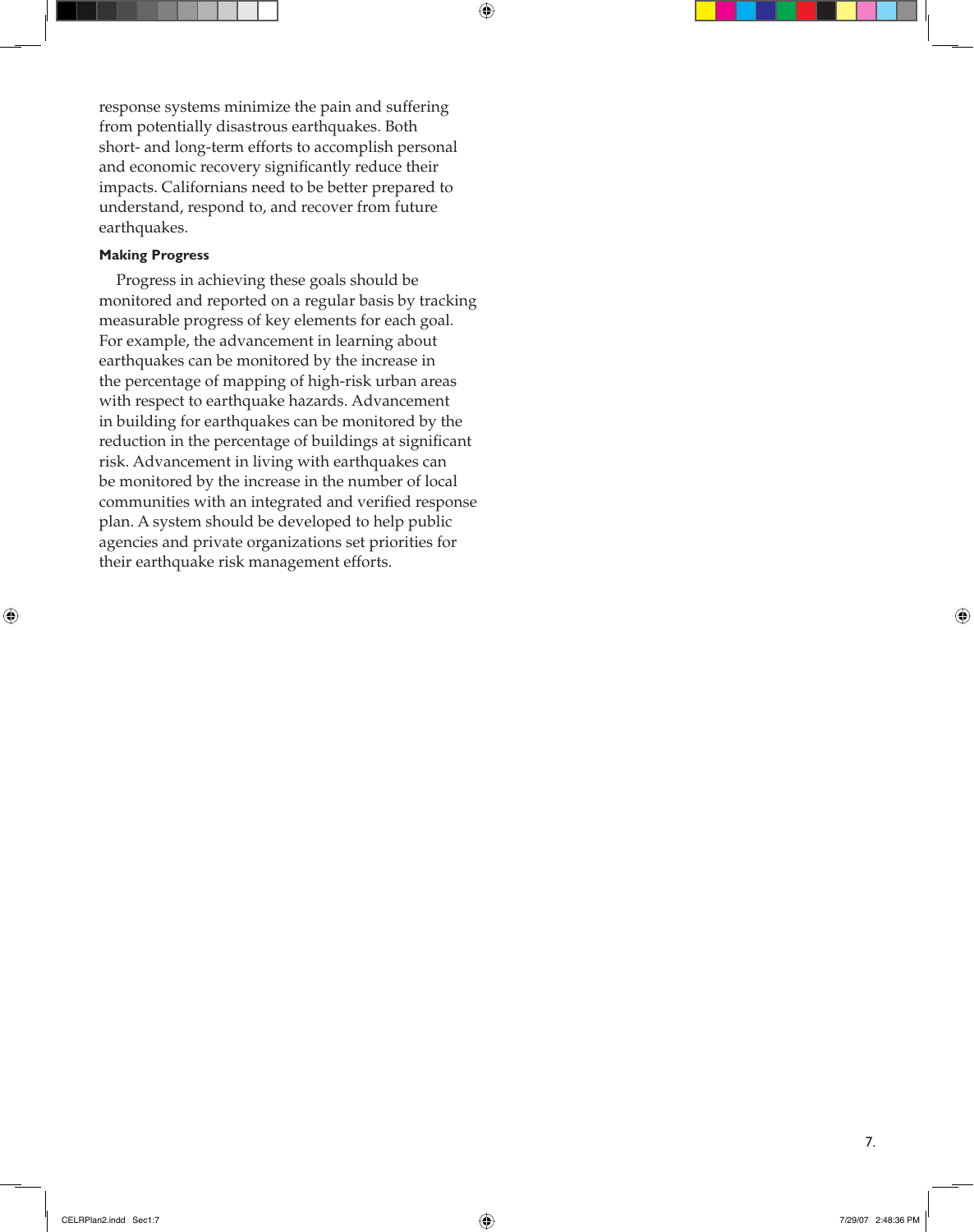response systems minimize the pain and suffering from potentially disastrous earthquakes. Both short- and long-term efforts to accomplish personal and economic recovery significantly reduce their impacts. Californians need to be better prepared to understand, respond to, and recover from future earthquakes.

 $\bigoplus$ 

#### **Making Progress**

 $\textcircled{\scriptsize{+}}$ 

Progress in achieving these goals should be monitored and reported on a regular basis by tracking measurable progress of key elements for each goal*.*  For example, the advancement in learning about earthquakes can be monitored by the increase in the percentage of mapping of high-risk urban areas with respect to earthquake hazards. Advancement in building for earthquakes can be monitored by the reduction in the percentage of buildings at significant risk. Advancement in living with earthquakes can be monitored by the increase in the number of local communities with an integrated and verified response plan. A system should be developed to help public agencies and private organizations set priorities for their earthquake risk management efforts.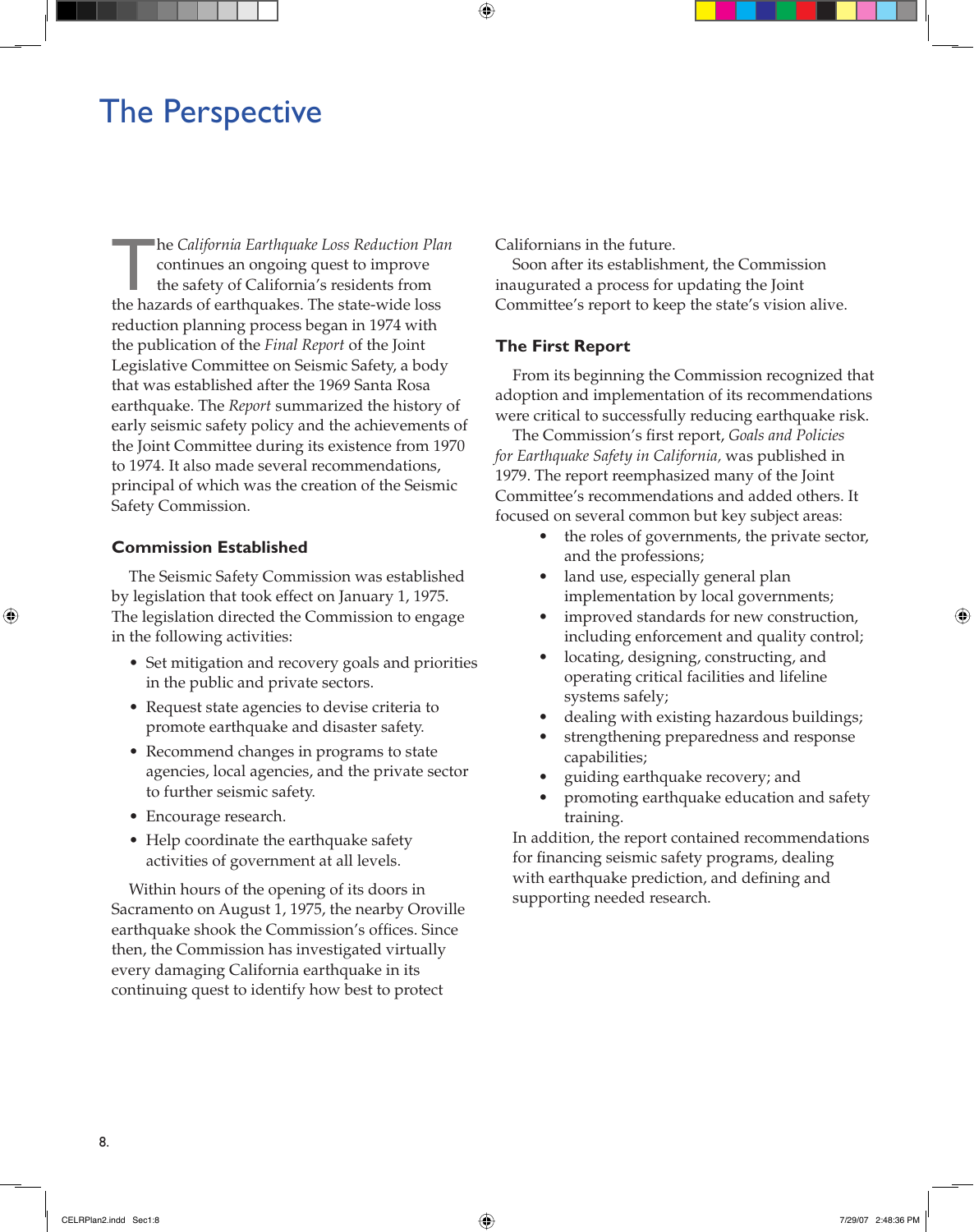## The Perspective

The *California Earthquake Loss Reduction Plan*<br>continues an ongoing quest to improve<br>the safety of California's residents from<br>the hazards of earthquakes. The state-wide loss continues an ongoing quest to improve the safety of California's residents from the hazards of earthquakes. The state-wide loss reduction planning process began in 1974 with the publication of the *Final Report* of the Joint Legislative Committee on Seismic Safety, a body that was established after the 1969 Santa Rosa earthquake. The *Report* summarized the history of early seismic safety policy and the achievements of the Joint Committee during its existence from 1970 to 1974. It also made several recommendations, principal of which was the creation of the Seismic Safety Commission.

#### **Commission Established**

The Seismic Safety Commission was established by legislation that took effect on January 1, 1975. The legislation directed the Commission to engage in the following activities:

- Set mitigation and recovery goals and priorities in the public and private sectors.
- Request state agencies to devise criteria to promote earthquake and disaster safety.
- Recommend changes in programs to state agencies, local agencies, and the private sector to further seismic safety.
- Encourage research.
- Help coordinate the earthquake safety activities of government at all levels.

Within hours of the opening of its doors in Sacramento on August 1, 1975, the nearby Oroville earthquake shook the Commission's offices. Since then, the Commission has investigated virtually every damaging California earthquake in its continuing quest to identify how best to protect

Californians in the future.

Soon after its establishment, the Commission inaugurated a process for updating the Joint Committee's report to keep the state's vision alive.

#### **The First Report**

 $\textcircled{\scriptsize\textsf{P}}$ 

From its beginning the Commission recognized that adoption and implementation of its recommendations were critical to successfully reducing earthquake risk.

The Commission's fi rst report, *Goals and Policies for Earthquake Safety in California,* was published in 1979. The report reemphasized many of the Joint Committee's recommendations and added others. It focused on several common but key subject areas:

- the roles of governments, the private sector, and the professions;
- land use, especially general plan implementation by local governments;
- improved standards for new construction, including enforcement and quality control;
- locating, designing, constructing, and operating critical facilities and lifeline systems safely;
- dealing with existing hazardous buildings;
- strengthening preparedness and response capabilities;
- guiding earthquake recovery; and
- promoting earthquake education and safety training.

In addition, the report contained recommendations for financing seismic safety programs, dealing with earthquake prediction, and defining and supporting needed research.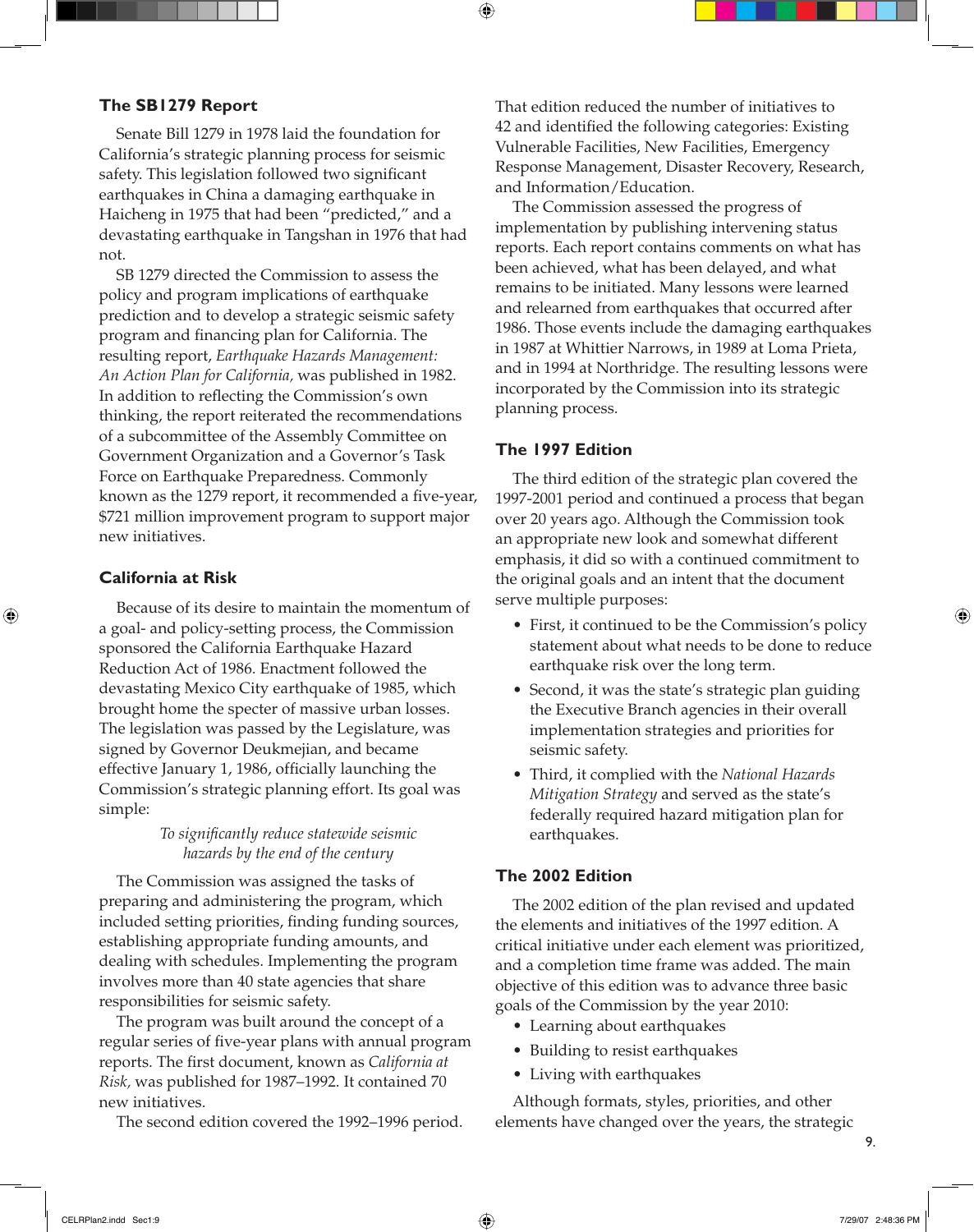#### **The SB1279 Report**

Senate Bill 1279 in 1978 laid the foundation for California's strategic planning process for seismic safety. This legislation followed two significant earthquakes in China a damaging earthquake in Haicheng in 1975 that had been "predicted," and a devastating earthquake in Tangshan in 1976 that had not.

SB 1279 directed the Commission to assess the policy and program implications of earthquake prediction and to develop a strategic seismic safety program and financing plan for California. The resulting report, *Earthquake Hazards Management: An Action Plan for California,* was published in 1982. In addition to reflecting the Commission's own thinking, the report reiterated the recommendations of a subcommittee of the Assembly Committee on Government Organization and a Governor's Task Force on Earthquake Preparedness. Commonly known as the 1279 report, it recommended a five-year, \$721 million improvement program to support major new initiatives.

#### **California at Risk**

⊕

Because of its desire to maintain the momentum of a goal- and policy-setting process, the Commission sponsored the California Earthquake Hazard Reduction Act of 1986. Enactment followed the devastating Mexico City earthquake of 1985, which brought home the specter of massive urban losses. The legislation was passed by the Legislature, was signed by Governor Deukmejian, and became effective January 1, 1986, officially launching the Commission's strategic planning effort. Its goal was simple:

#### *To signifi cantly reduce statewide seismic hazards by the end of the century*

The Commission was assigned the tasks of preparing and administering the program, which included setting priorities, finding funding sources, establishing appropriate funding amounts, and dealing with schedules. Implementing the program involves more than 40 state agencies that share responsibilities for seismic safety.

The program was built around the concept of a regular series of five-year plans with annual program reports. The first document, known as *California at Risk,* was published for 1987–1992. It contained 70 new initiatives.

The second edition covered the 1992–1996 period.

That edition reduced the number of initiatives to 42 and identified the following categories: Existing Vulnerable Facilities, New Facilities, Emergency Response Management, Disaster Recovery, Research, and Information/Education.

The Commission assessed the progress of implementation by publishing intervening status reports. Each report contains comments on what has been achieved, what has been delayed, and what remains to be initiated. Many lessons were learned and relearned from earthquakes that occurred after 1986. Those events include the damaging earthquakes in 1987 at Whittier Narrows, in 1989 at Loma Prieta, and in 1994 at Northridge. The resulting lessons were incorporated by the Commission into its strategic planning process.

#### **The 1997 Edition**

The third edition of the strategic plan covered the 1997-2001 period and continued a process that began over 20 years ago. Although the Commission took an appropriate new look and somewhat different emphasis, it did so with a continued commitment to the original goals and an intent that the document serve multiple purposes:

- First, it continued to be the Commission's policy statement about what needs to be done to reduce earthquake risk over the long term.
- Second, it was the state's strategic plan guiding the Executive Branch agencies in their overall implementation strategies and priorities for seismic safety.
- Third, it complied with the *National Hazards Mitigation Strategy* and served as the state's federally required hazard mitigation plan for earthquakes.

#### **The 2002 Edition**

The 2002 edition of the plan revised and updated the elements and initiatives of the 1997 edition. A critical initiative under each element was prioritized, and a completion time frame was added. The main objective of this edition was to advance three basic goals of the Commission by the year 2010:

- Learning about earthquakes
- Building to resist earthquakes
- Living with earthquakes

Although formats, styles, priorities, and other elements have changed over the years, the strategic

9.

↔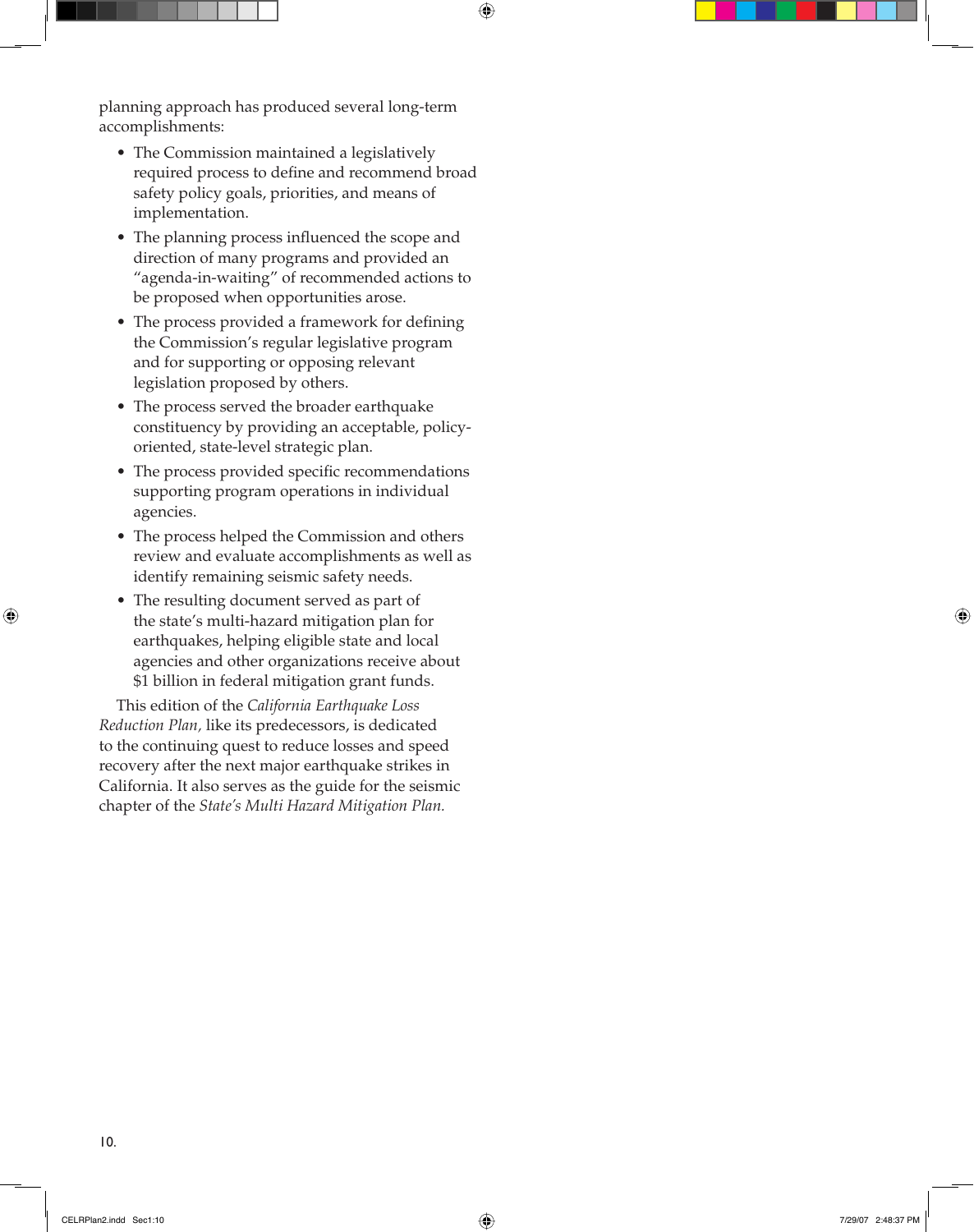planning approach has produced several long-term accomplishments:

• The Commission maintained a legislatively required process to define and recommend broad safety policy goals, priorities, and means of implementation.

 $\bigoplus$ 

- The planning process influenced the scope and direction of many programs and provided an "agenda-in-waiting" of recommended actions to be proposed when opportunities arose.
- The process provided a framework for defining the Commission's regular legislative program and for supporting or opposing relevant legislation proposed by others.
- The process served the broader earthquake constituency by providing an acceptable, policyoriented, state-level strategic plan.
- The process provided specific recommendations supporting program operations in individual agencies.
- The process helped the Commission and others review and evaluate accomplishments as well as identify remaining seismic safety needs.
- The resulting document served as part of the state's multi-hazard mitigation plan for earthquakes, helping eligible state and local agencies and other organizations receive about \$1 billion in federal mitigation grant funds.

This edition of the *California Earthquake Loss Reduction Plan,* like its predecessors, is dedicated to the continuing quest to reduce losses and speed recovery after the next major earthquake strikes in California. It also serves as the guide for the seismic chapter of the *State's Multi Hazard Mitigation Plan.*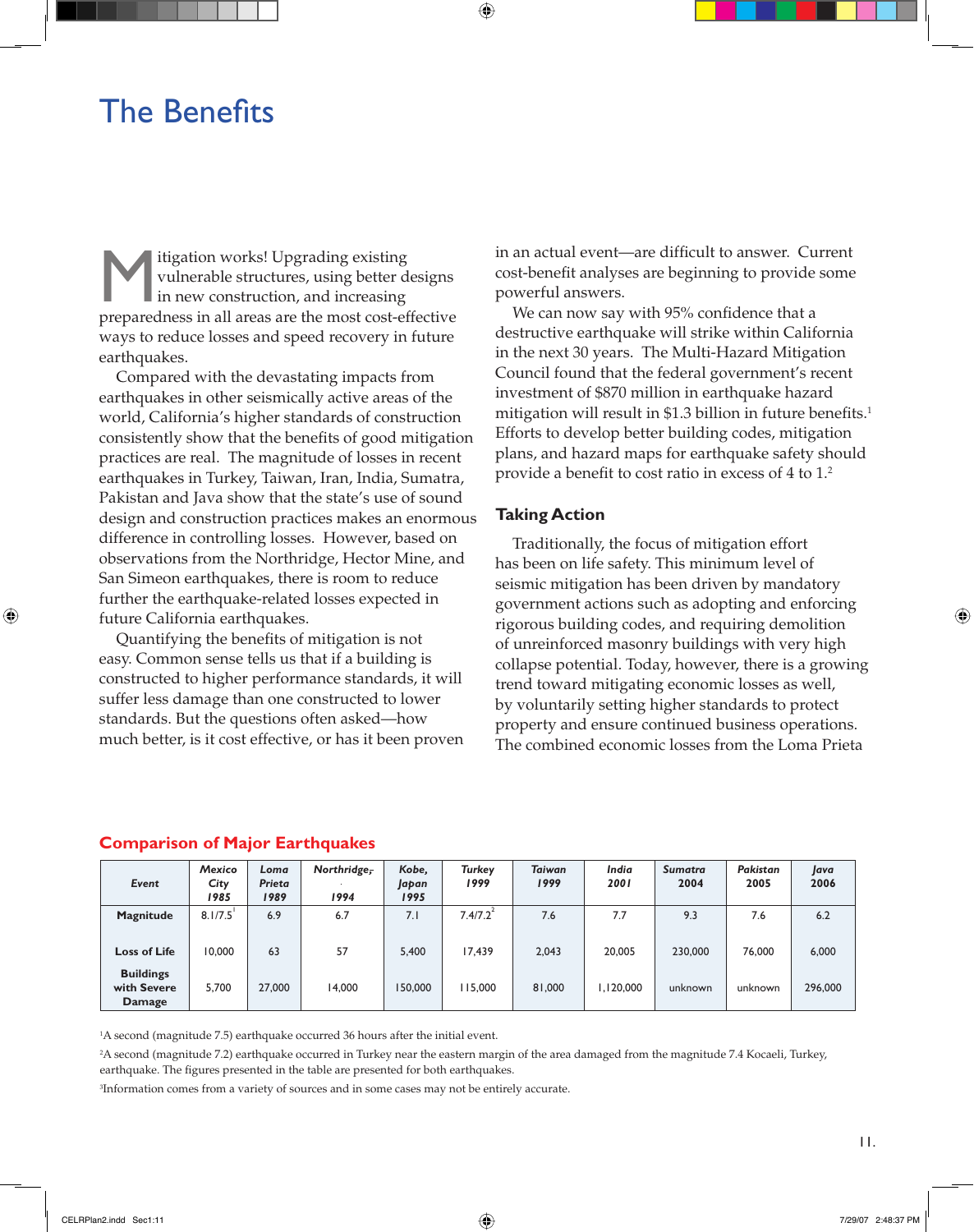## **The Benefits**

Mitigation works! Upgrading existing<br>
vulnerable structures, using better de<br>
in new construction, and increasing<br>
preparedness in all areas are the most cost-ef vulnerable structures, using better designs in new construction, and increasing preparedness in all areas are the most cost-effective ways to reduce losses and speed recovery in future earthquakes.

Compared with the devastating impacts from earthquakes in other seismically active areas of the world, California's higher standards of construction consistently show that the benefits of good mitigation practices are real. The magnitude of losses in recent earthquakes in Turkey, Taiwan, Iran, India, Sumatra, Pakistan and Java show that the state's use of sound design and construction practices makes an enormous difference in controlling losses. However, based on observations from the Northridge, Hector Mine, and San Simeon earthquakes, there is room to reduce further the earthquake-related losses expected in future California earthquakes.

Quantifying the benefits of mitigation is not easy. Common sense tells us that if a building is constructed to higher performance standards, it will suffer less damage than one constructed to lower standards. But the questions often asked—how much better, is it cost effective, or has it been proven in an actual event—are difficult to answer. Current cost-benefit analyses are beginning to provide some powerful answers.

We can now say with 95% confidence that a destructive earthquake will strike within California in the next 30 years. The Multi-Hazard Mitigation Council found that the federal government's recent investment of \$870 million in earthquake hazard mitigation will result in \$1.3 billion in future benefits. $^1$ Efforts to develop better building codes, mitigation plans, and hazard maps for earthquake safety should provide a benefit to cost ratio in excess of 4 to  $1<sup>2</sup>$ .

#### **Taking Action**

⊕

Traditionally, the focus of mitigation effort has been on life safety. This minimum level of seismic mitigation has been driven by mandatory government actions such as adopting and enforcing rigorous building codes, and requiring demolition of unreinforced masonry buildings with very high collapse potential. Today, however, there is a growing trend toward mitigating economic losses as well, by voluntarily setting higher standards to protect property and ensure continued business operations. The combined economic losses from the Loma Prieta

| Event                                            | Mexico<br>City<br>1985 | Loma<br><b>Prieta</b><br>1989 | Northridge,<br>1994 | Kobe,<br>Japan<br>1995 | <b>Turkey</b><br>1999 | <b>Taiwan</b><br>1999 | India<br>2001 | <b>Sumatra</b><br>2004 | Pakistan<br>2005 | Java<br>2006 |
|--------------------------------------------------|------------------------|-------------------------------|---------------------|------------------------|-----------------------|-----------------------|---------------|------------------------|------------------|--------------|
| Magnitude                                        | 8.1/7.5                | 6.9                           | 6.7                 | 7.1                    | $7.4/7.2^{2}$         | 7.6                   | 7.7           | 9.3                    | 7.6              | 6.2          |
| <b>Loss of Life</b>                              | 10.000                 | 63                            | 57                  | 5.400                  | 17.439                | 2,043                 | 20,005        | 230,000                | 76,000           | 6,000        |
| <b>Buildings</b><br>with Severe<br><b>Damage</b> | 5.700                  | 27,000                        | 14.000              | 150,000                | 115,000               | 81,000                | 1.120.000     | unknown                | unknown          | 296,000      |

#### **Comparison of Major Earthquakes**

1 A second (magnitude 7.5) earthquake occurred 36 hours after the initial event.

2 A second (magnitude 7.2) earthquake occurred in Turkey near the eastern margin of the area damaged from the magnitude 7.4 Kocaeli, Turkey, earthquake. The figures presented in the table are presented for both earthquakes.

3 Information comes from a variety of sources and in some cases may not be entirely accurate.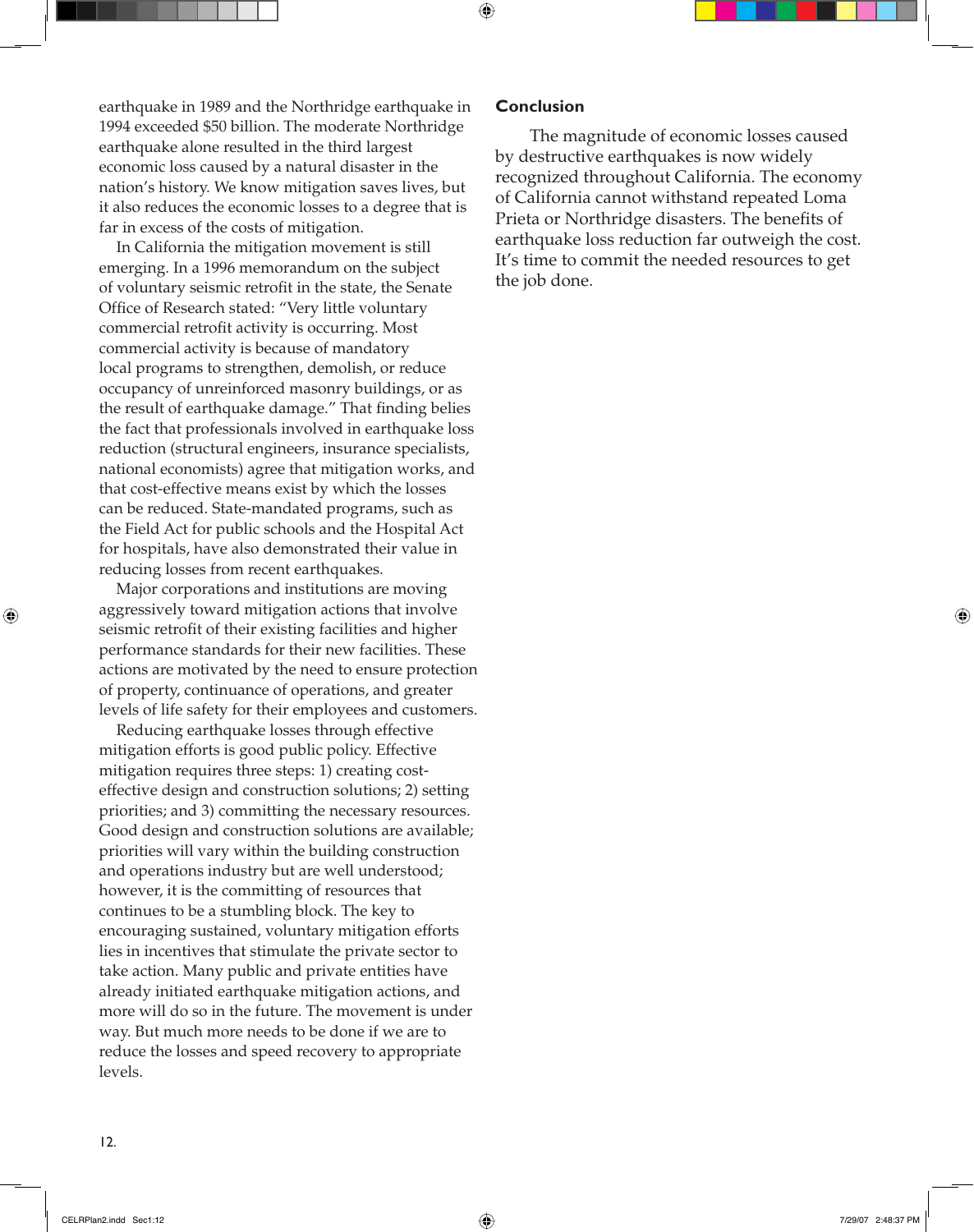earthquake in 1989 and the Northridge earthquake in 1994 exceeded \$50 billion. The moderate Northridge earthquake alone resulted in the third largest economic loss caused by a natural disaster in the nation's history. We know mitigation saves lives, but it also reduces the economic losses to a degree that is far in excess of the costs of mitigation.

In California the mitigation movement is still emerging. In a 1996 memorandum on the subject of voluntary seismic retrofit in the state, the Senate Office of Research stated: "Very little voluntary commercial retrofit activity is occurring. Most commercial activity is because of mandatory local programs to strengthen, demolish, or reduce occupancy of unreinforced masonry buildings, or as the result of earthquake damage." That finding belies the fact that professionals involved in earthquake loss reduction (structural engineers, insurance specialists, national economists) agree that mitigation works, and that cost-effective means exist by which the losses can be reduced. State-mandated programs, such as the Field Act for public schools and the Hospital Act for hospitals, have also demonstrated their value in reducing losses from recent earthquakes.

Major corporations and institutions are moving aggressively toward mitigation actions that involve seismic retrofit of their existing facilities and higher performance standards for their new facilities. These actions are motivated by the need to ensure protection of property, continuance of operations, and greater levels of life safety for their employees and customers.

Reducing earthquake losses through effective mitigation efforts is good public policy. Effective mitigation requires three steps: 1) creating costeffective design and construction solutions; 2) setting priorities; and 3) committing the necessary resources. Good design and construction solutions are available; priorities will vary within the building construction and operations industry but are well understood; however, it is the committing of resources that continues to be a stumbling block. The key to encouraging sustained, voluntary mitigation efforts lies in incentives that stimulate the private sector to take action. Many public and private entities have already initiated earthquake mitigation actions, and more will do so in the future. The movement is under way. But much more needs to be done if we are to reduce the losses and speed recovery to appropriate levels.

#### **Conclusion**

 $\textcircled{\scriptsize\textsf{P}}$ 

The magnitude of economic losses caused by destructive earthquakes is now widely recognized throughout California. The economy of California cannot withstand repeated Loma Prieta or Northridge disasters. The benefits of earthquake loss reduction far outweigh the cost. It's time to commit the needed resources to get the job done.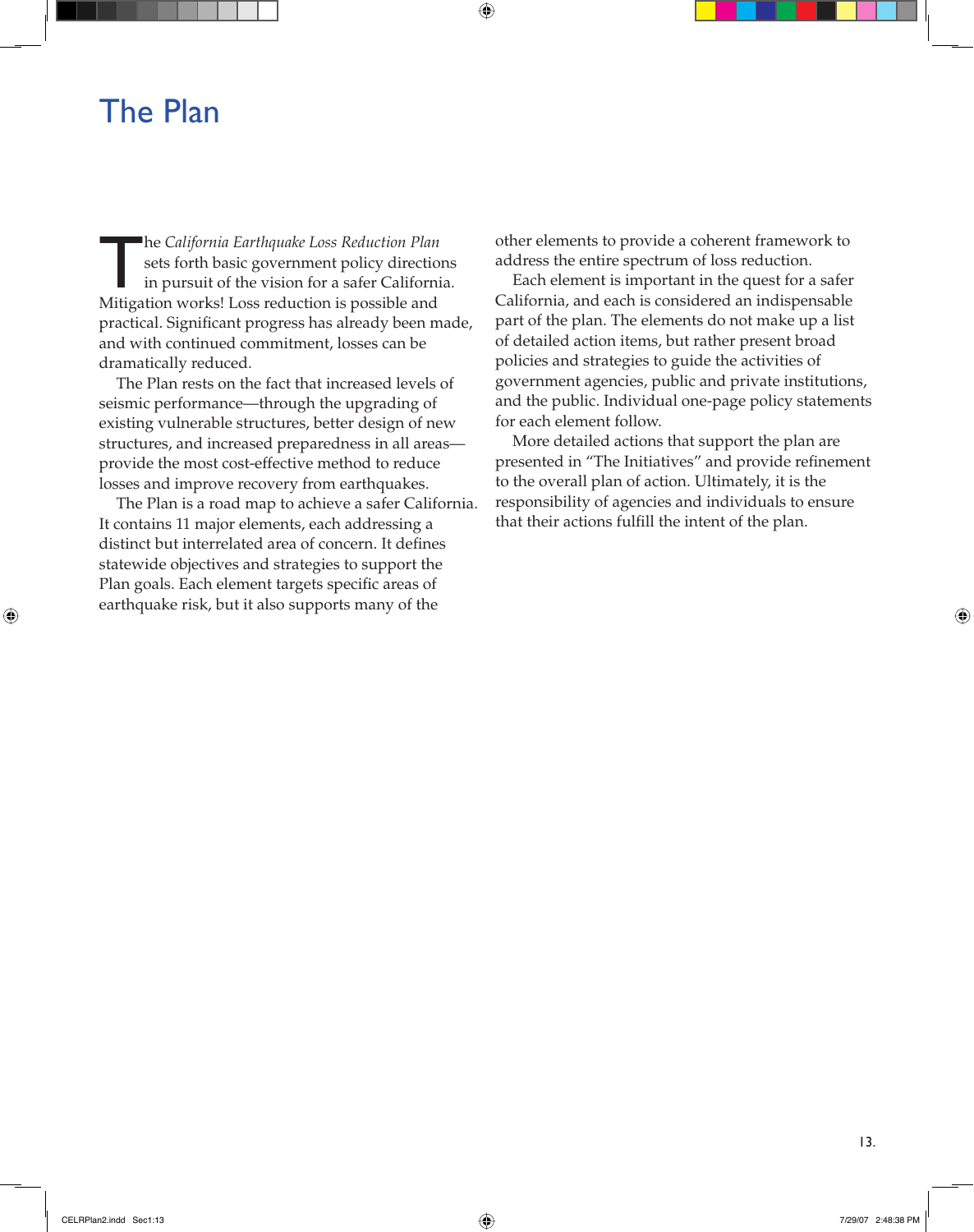## The Plan

The *California Earthquake Loss Reduction Plan* sets forth basic government policy directions in pursuit of the vision for a safer California. Mitigation works! Loss reduction is possible and practical. Significant progress has already been made, and with continued commitment, losses can be dramatically reduced.

The Plan rests on the fact that increased levels of seismic performance—through the upgrading of existing vulnerable structures, better design of new structures, and increased preparedness in all areas provide the most cost-effective method to reduce losses and improve recovery from earthquakes.

The Plan is a road map to achieve a safer California. It contains 11 major elements, each addressing a distinct but interrelated area of concern. It defines statewide objectives and strategies to support the Plan goals. Each element targets specific areas of earthquake risk, but it also supports many of the

other elements to provide a coherent framework to address the entire spectrum of loss reduction.

 $\textcolor{black}{\textcircled{\ell}}$ 

Each element is important in the quest for a safer California, and each is considered an indispensable part of the plan. The elements do not make up a list of detailed action items, but rather present broad policies and strategies to guide the activities of government agencies, public and private institutions, and the public. Individual one-page policy statements for each element follow.

More detailed actions that support the plan are presented in "The Initiatives" and provide refinement to the overall plan of action. Ultimately, it is the responsibility of agencies and individuals to ensure that their actions fulfill the intent of the plan.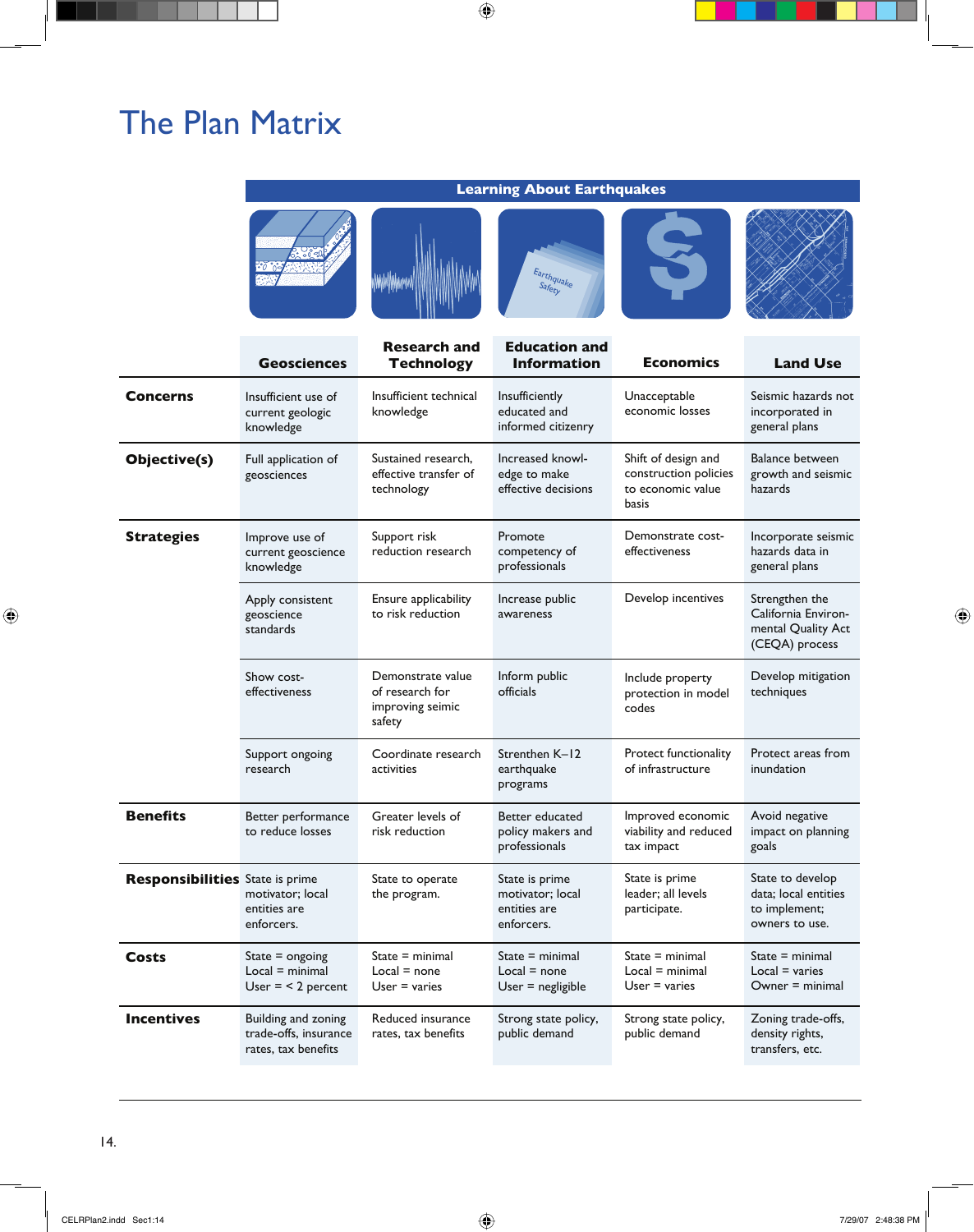$\bigoplus$ 

## The Plan Matrix

|                                        | <b>Learning About Earthquakes</b>                                   |                                                                    |                                                                  |                                                                            |                                                                               |  |  |  |  |
|----------------------------------------|---------------------------------------------------------------------|--------------------------------------------------------------------|------------------------------------------------------------------|----------------------------------------------------------------------------|-------------------------------------------------------------------------------|--|--|--|--|
|                                        |                                                                     |                                                                    | Earthquake                                                       |                                                                            |                                                                               |  |  |  |  |
|                                        | <b>Geosciences</b>                                                  | <b>Research and</b><br><b>Technology</b>                           | <b>Education and</b><br><b>Information</b>                       | <b>Economics</b>                                                           | <b>Land Use</b>                                                               |  |  |  |  |
| Concerns                               | Insufficient use of<br>current geologic<br>knowledge                | Insufficient technical<br>knowledge                                | Insufficiently<br>educated and<br>informed citizenry             | Unacceptable<br>economic losses                                            | Seismic hazards not<br>incorporated in<br>general plans                       |  |  |  |  |
| <b>Objective(s)</b>                    | Full application of<br>geosciences                                  | Sustained research,<br>effective transfer of<br>technology         | Increased knowl-<br>edge to make<br>effective decisions          | Shift of design and<br>construction policies<br>to economic value<br>basis | Balance between<br>growth and seismic<br>hazards                              |  |  |  |  |
| <b>Strategies</b>                      | Improve use of<br>current geoscience<br>knowledge                   | Support risk<br>reduction research                                 | Promote<br>competency of<br>professionals                        | Demonstrate cost-<br>effectiveness                                         | Incorporate seismic<br>hazards data in<br>general plans                       |  |  |  |  |
|                                        | Apply consistent<br>geoscience<br>standards                         | Ensure applicability<br>to risk reduction                          | Increase public<br>awareness                                     | Develop incentives                                                         | Strengthen the<br>California Environ-<br>mental Quality Act<br>(CEQA) process |  |  |  |  |
|                                        | Show cost-<br>effectiveness                                         | Demonstrate value<br>of research for<br>improving seimic<br>safety | Inform public<br>officials                                       | Include property<br>protection in model<br>codes                           | Develop mitigation<br>techniques                                              |  |  |  |  |
|                                        | Support ongoing<br>research                                         | Coordinate research<br>activities                                  | Strenthen K-12<br>earthquake<br>programs                         | Protect functionality<br>of infrastructure                                 | Protect areas from<br>inundation                                              |  |  |  |  |
| <b>Benefits</b>                        | Better performance<br>to reduce losses                              | Greater levels of<br>risk reduction                                | Better educated<br>policy makers and<br>professionals            | Improved economic<br>viability and reduced<br>tax impact                   | Avoid negative<br>impact on planning<br>goals                                 |  |  |  |  |
| <b>Responsibilities</b> State is prime | motivator; local<br>entities are<br>enforcers.                      | State to operate<br>the program.                                   | State is prime<br>motivator; local<br>entities are<br>enforcers. | State is prime<br>leader; all levels<br>participate.                       | State to develop<br>data; local entities<br>to implement;<br>owners to use.   |  |  |  |  |
| Costs                                  | State $=$ ongoing<br>$Local = minimal$<br>User $=$ < 2 percent      | $State = minimal$<br>$Local = none$<br>User $=$ varies             | $State = minimal$<br>$Local = none$<br>User $=$ negligible       | State = minimal<br>Local = minimal<br>$User = varies$                      | State = minimal<br>$Local = varies$<br>Owner $=$ minimal                      |  |  |  |  |
| <b>Incentives</b>                      | Building and zoning<br>trade-offs, insurance<br>rates, tax benefits | Reduced insurance<br>rates, tax benefits                           | Strong state policy,<br>public demand                            | Strong state policy,<br>public demand                                      | Zoning trade-offs,<br>density rights,<br>transfers, etc.                      |  |  |  |  |

14.

 $\bigoplus$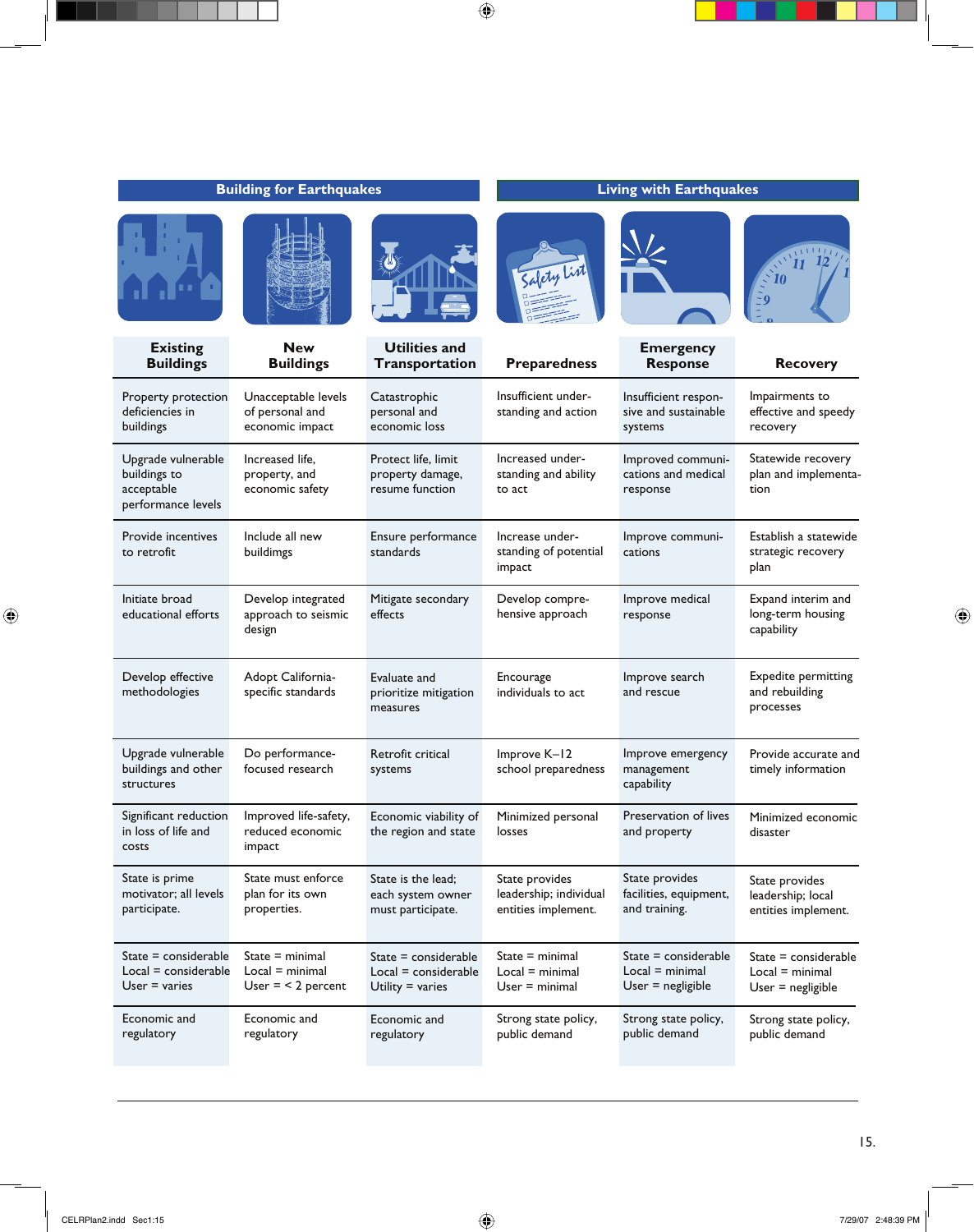

 $\bigoplus$ 

| deficiencies in<br>buildings                                           | or personal and<br>economic impact                             | personal and<br>economic loss                                          | standing and action                                             | sive and sustainable<br>systems                                  | ellective and speedy<br>recovery                                   |
|------------------------------------------------------------------------|----------------------------------------------------------------|------------------------------------------------------------------------|-----------------------------------------------------------------|------------------------------------------------------------------|--------------------------------------------------------------------|
| Upgrade vulnerable<br>buildings to<br>acceptable<br>performance levels | Increased life,<br>property, and<br>economic safety            | Protect life, limit<br>property damage,<br>resume function             | Increased under-<br>standing and ability<br>to act              | Improved communi-<br>cations and medical<br>response             | Statewide recovery<br>plan and implementa-<br>tion                 |
| Provide incentives<br>to retrofit                                      | Include all new<br>buildimgs                                   | Ensure performance<br>standards                                        | Increase under-<br>standing of potential<br>impact              | Improve communi-<br>cations                                      | Establish a statewide<br>strategic recovery<br>plan                |
| Initiate broad<br>educational efforts                                  | Develop integrated<br>approach to seismic<br>design            | Mitigate secondary<br>effects                                          | Develop compre-<br>hensive approach                             | Improve medical<br>response                                      | Expand interim and<br>long-term housing<br>capability              |
| Develop effective<br>methodologies                                     | Adopt California-<br>specific standards                        | Evaluate and<br>prioritize mitigation<br>measures                      | Encourage<br>individuals to act                                 | Improve search<br>and rescue                                     | <b>Expedite permitting</b><br>and rebuilding<br>processes          |
| Upgrade vulnerable<br>buildings and other<br>structures                | Do performance-<br>focused research                            | Retrofit critical<br>systems                                           | Improve K-12<br>school preparedness                             | Improve emergency<br>management<br>capability                    | Provide accurate and<br>timely information                         |
| Significant reduction<br>in loss of life and<br>costs                  | Improved life-safety,<br>reduced economic<br>impact            | Economic viability of<br>the region and state                          | Minimized personal<br>losses                                    | Preservation of lives<br>and property                            | Minimized economic<br>disaster                                     |
| State is prime<br>motivator; all levels<br>participate.                | State must enforce<br>plan for its own<br>properties.          | State is the lead;<br>each system owner<br>must participate.           | State provides<br>leadership; individual<br>entities implement. | State provides<br>facilities, equipment,<br>and training.        | State provides<br>leadership; local<br>entities implement.         |
| State = considerable<br>$Local = considerable$<br>User $=$ varies      | $State = minimal$<br>$Local = minimal$<br>User $=$ < 2 percent | $State = considerable$<br>$Local = considerable$<br>Utility $=$ varies | State = minimal<br>$Local = minimal$<br>$User = minimal$        | State = considerable<br>$Local = minimal$<br>User $=$ negligible | $State = considerable$<br>$Local = minimal$<br>User $=$ negligible |
| Economic and<br>regulatory                                             | Economic and<br>regulatory                                     | Economic and<br>regulatory                                             | Strong state policy,<br>public demand                           | Strong state policy,<br>public demand                            | Strong state policy,<br>public demand                              |

 $\bigoplus$ 

15.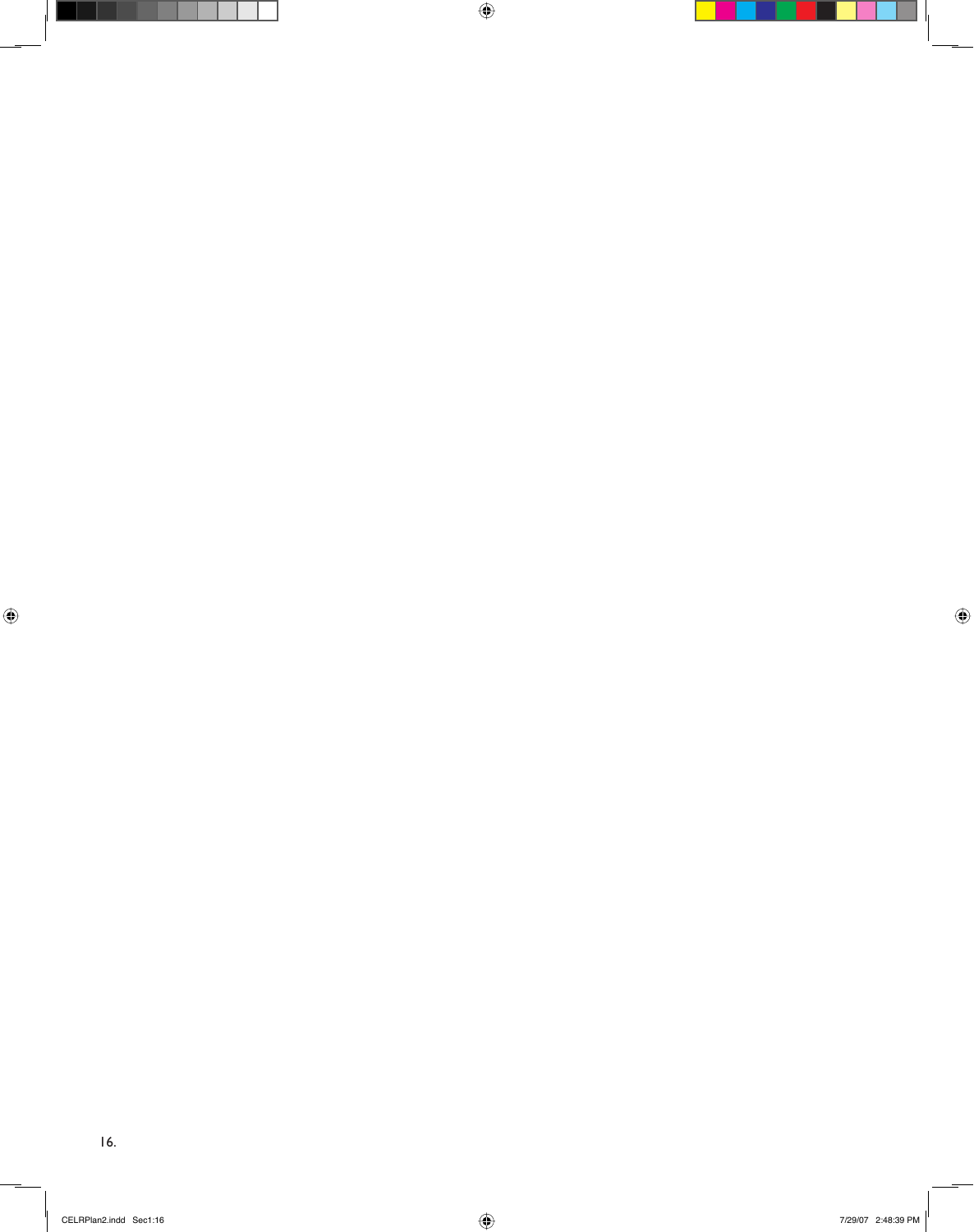

 $\bigoplus$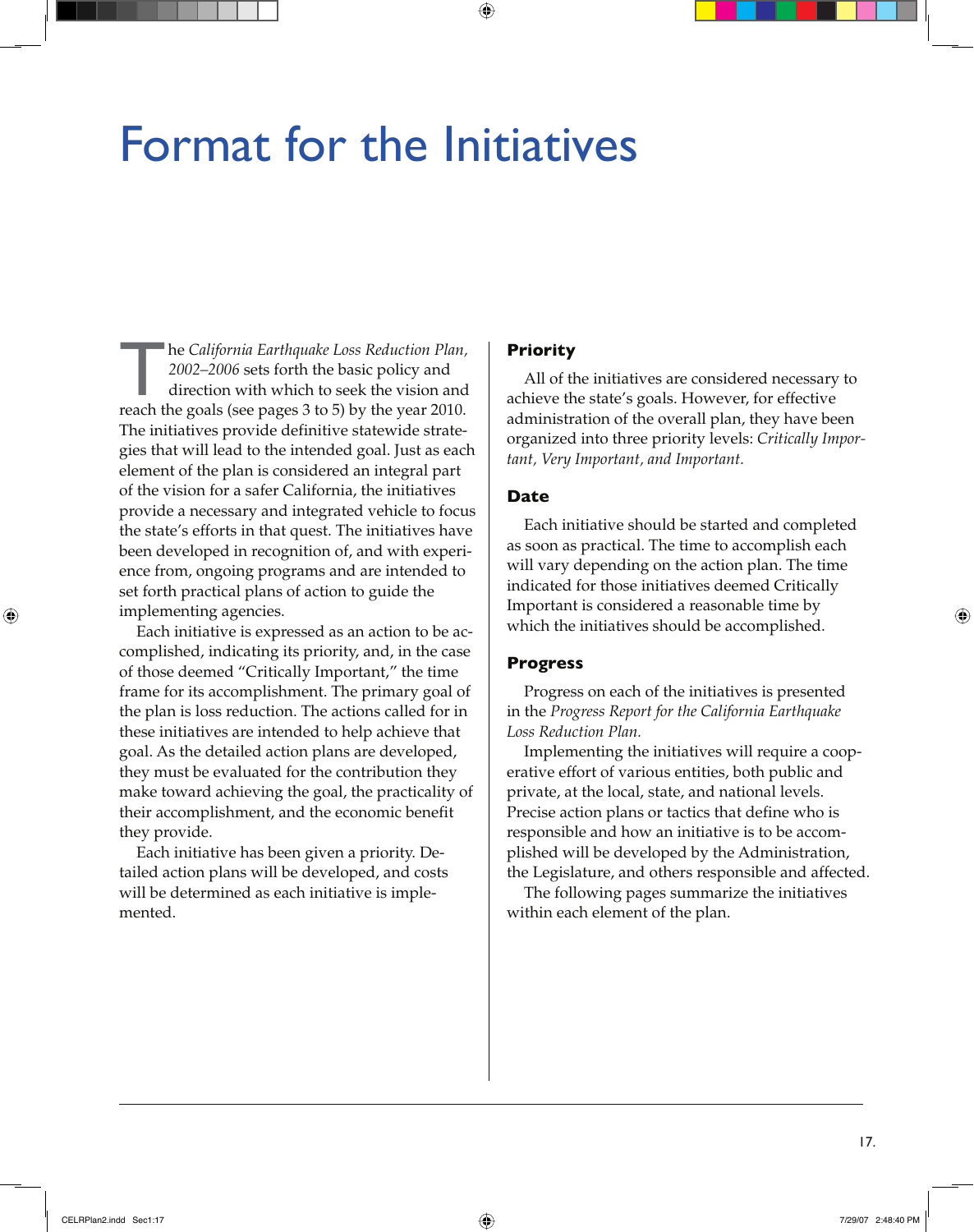# **Format for the Initiatives**

he California Earthquake Loss Reduction Plan, 2002-2006 sets forth the basic policy and direction with which to seek the vision and reach the goals (see pages 3 to 5) by the year 2010. The initiatives provide definitive statewide strategies that will lead to the intended goal. Just as each element of the plan is considered an integral part of the vision for a safer California, the initiatives provide a necessary and integrated vehicle to focus the state's efforts in that quest. The initiatives have been developed in recognition of, and with experience from, ongoing programs and are intended to set forth practical plans of action to guide the implementing agencies.

Each initiative is expressed as an action to be accomplished, indicating its priority, and, in the case of those deemed "Critically Important," the time frame for its accomplishment. The primary goal of the plan is loss reduction. The actions called for in these initiatives are intended to help achieve that goal. As the detailed action plans are developed, they must be evaluated for the contribution they make toward achieving the goal, the practicality of their accomplishment, and the economic benefit they provide.

Each initiative has been given a priority. Detailed action plans will be developed, and costs will be determined as each initiative is implemented.

#### **Priority**

All of the initiatives are considered necessary to achieve the state's goals. However, for effective administration of the overall plan, they have been organized into three priority levels: Critically Important, Very Important, and Important.

#### **Date**

Each initiative should be started and completed as soon as practical. The time to accomplish each will vary depending on the action plan. The time indicated for those initiatives deemed Critically Important is considered a reasonable time by which the initiatives should be accomplished.

#### **Progress**

Progress on each of the initiatives is presented in the Progress Report for the California Earthquake Loss Reduction Plan.

Implementing the initiatives will require a cooperative effort of various entities, both public and private, at the local, state, and national levels. Precise action plans or tactics that define who is responsible and how an initiative is to be accomplished will be developed by the Administration, the Legislature, and others responsible and affected.

The following pages summarize the initiatives within each element of the plan.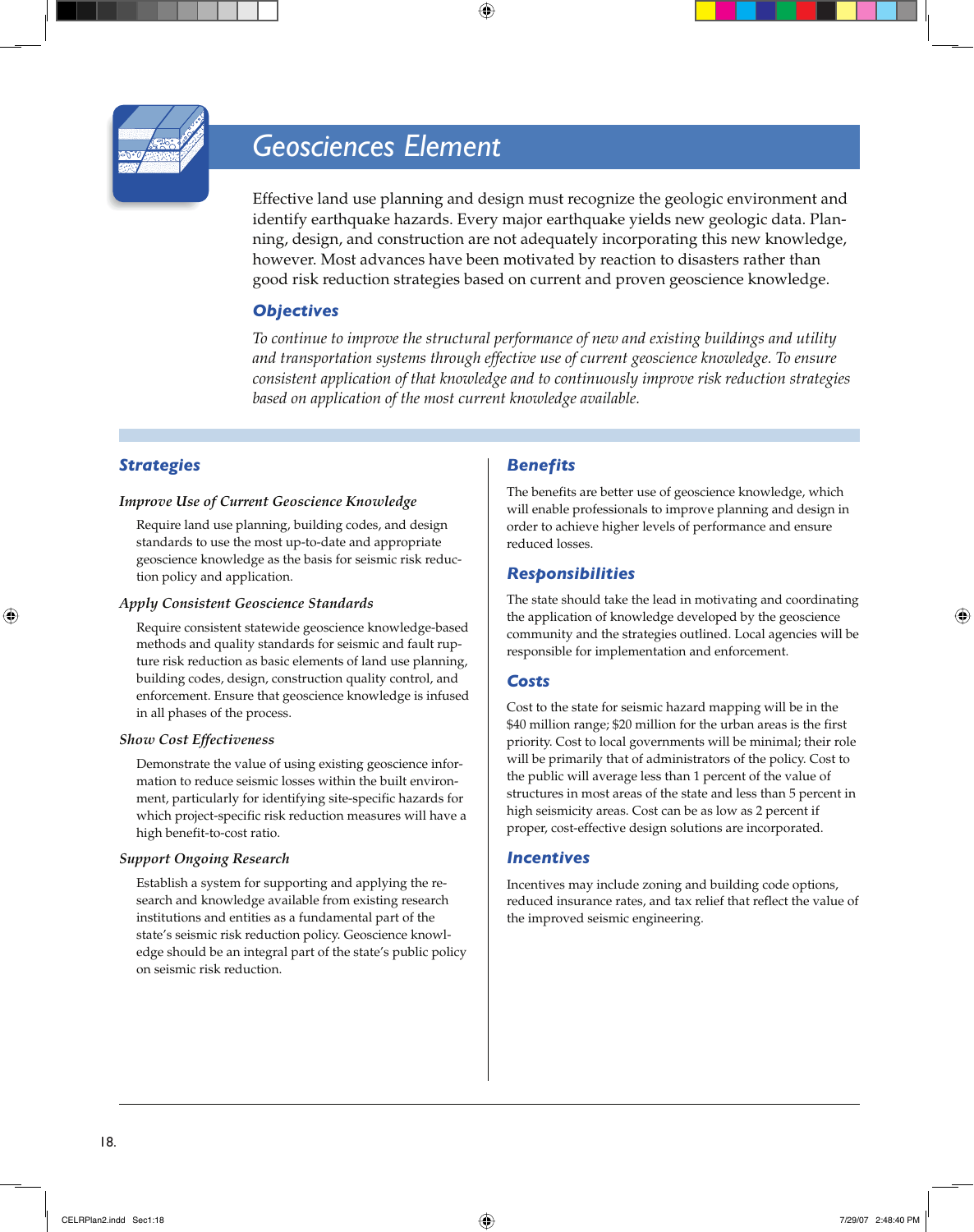

## **Geosciences Element**

Effective land use planning and design must recognize the geologic environment and identify earthquake hazards. Every major earthquake yields new geologic data. Planning, design, and construction are not adequately incorporating this new knowledge, however. Most advances have been motivated by reaction to disasters rather than good risk reduction strategies based on current and proven geoscience knowledge.

⊕

#### **Objectives**

To continue to improve the structural performance of new and existing buildings and utility and transportation systems through effective use of current geoscience knowledge. To ensure consistent application of that knowledge and to continuously improve risk reduction strategies based on application of the most current knowledge available.

#### **Strategies**

⊕

#### Improve Use of Current Geoscience Knowledge

Require land use planning, building codes, and design standards to use the most up-to-date and appropriate geoscience knowledge as the basis for seismic risk reduction policy and application.

#### **Apply Consistent Geoscience Standards**

Require consistent statewide geoscience knowledge-based methods and quality standards for seismic and fault rupture risk reduction as basic elements of land use planning, building codes, design, construction quality control, and enforcement. Ensure that geoscience knowledge is infused in all phases of the process.

#### **Show Cost Effectiveness**

Demonstrate the value of using existing geoscience information to reduce seismic losses within the built environment, particularly for identifying site-specific hazards for which project-specific risk reduction measures will have a high benefit-to-cost ratio.

#### **Support Ongoing Research**

Establish a system for supporting and applying the research and knowledge available from existing research institutions and entities as a fundamental part of the state's seismic risk reduction policy. Geoscience knowledge should be an integral part of the state's public policy on seismic risk reduction.

#### **Benefits**

The benefits are better use of geoscience knowledge, which will enable professionals to improve planning and design in order to achieve higher levels of performance and ensure reduced losses.

#### **Responsibilities**

The state should take the lead in motivating and coordinating the application of knowledge developed by the geoscience community and the strategies outlined. Local agencies will be responsible for implementation and enforcement.

#### **Costs**

Cost to the state for seismic hazard mapping will be in the \$40 million range; \$20 million for the urban areas is the first priority. Cost to local governments will be minimal; their role will be primarily that of administrators of the policy. Cost to the public will average less than 1 percent of the value of structures in most areas of the state and less than 5 percent in high seismicity areas. Cost can be as low as 2 percent if proper, cost-effective design solutions are incorporated.

#### *<u>Incentives</u>*

Incentives may include zoning and building code options, reduced insurance rates, and tax relief that reflect the value of the improved seismic engineering.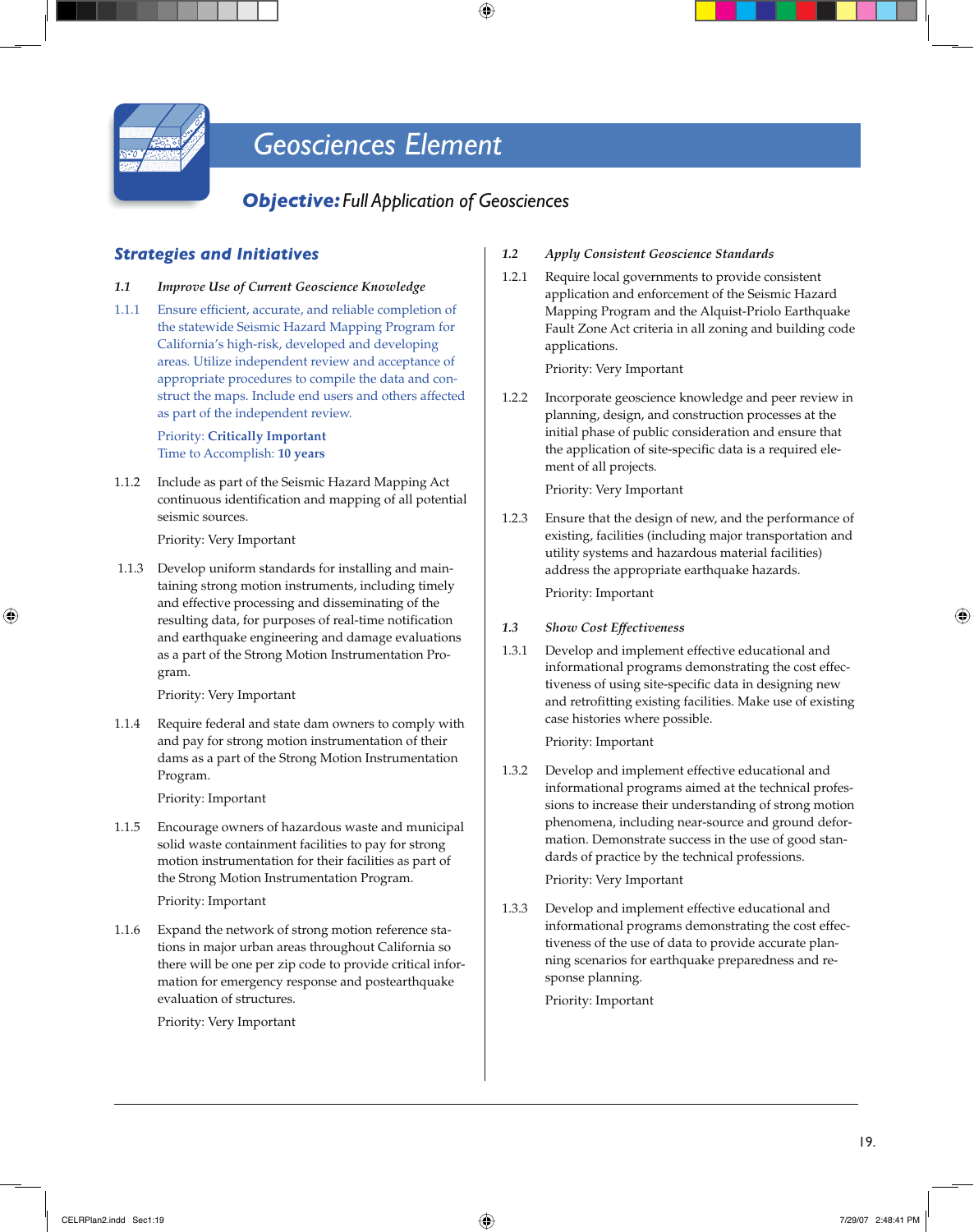

## **Geosciences Element**

### **Objective:** Full Application of Geosciences

#### **Strategies and Initiatives**

#### 1.1 Improve Use of Current Geoscience Knowledge

 $1.1.1$ Ensure efficient, accurate, and reliable completion of the statewide Seismic Hazard Mapping Program for California's high-risk, developed and developing areas. Utilize independent review and acceptance of appropriate procedures to compile the data and construct the maps. Include end users and others affected as part of the independent review.

> **Priority: Critically Important** Time to Accomplish: 10 years

1.1.2 Include as part of the Seismic Hazard Mapping Act continuous identification and mapping of all potential seismic sources.

Priority: Very Important

1.1.3 Develop uniform standards for installing and maintaining strong motion instruments, including timely and effective processing and disseminating of the resulting data, for purposes of real-time notification and earthquake engineering and damage evaluations as a part of the Strong Motion Instrumentation Program.

Priority: Very Important

Require federal and state dam owners to comply with  $1.1.4$ and pay for strong motion instrumentation of their dams as a part of the Strong Motion Instrumentation Program.

Priority: Important

1.1.5 Encourage owners of hazardous waste and municipal solid waste containment facilities to pay for strong motion instrumentation for their facilities as part of the Strong Motion Instrumentation Program. Priority: Important

 $1.1.6$ Expand the network of strong motion reference stations in major urban areas throughout California so there will be one per zip code to provide critical information for emergency response and postearthquake evaluation of structures.

Priority: Very Important

- $1.2$ **Apply Consistent Geoscience Standards**
- $1.2.1$ Require local governments to provide consistent application and enforcement of the Seismic Hazard Mapping Program and the Alquist-Priolo Earthquake Fault Zone Act criteria in all zoning and building code applications.

Priority: Very Important

 $1.2.2$ Incorporate geoscience knowledge and peer review in planning, design, and construction processes at the initial phase of public consideration and ensure that the application of site-specific data is a required element of all projects.

Priority: Very Important

 $1.2.3$ Ensure that the design of new, and the performance of existing, facilities (including major transportation and utility systems and hazardous material facilities) address the appropriate earthquake hazards. Priority: Important

 $1.3$ **Show Cost Effectiveness** 

 $1.3.1$ Develop and implement effective educational and informational programs demonstrating the cost effectiveness of using site-specific data in designing new and retrofitting existing facilities. Make use of existing case histories where possible.

Priority: Important

1.3.2 Develop and implement effective educational and informational programs aimed at the technical professions to increase their understanding of strong motion phenomena, including near-source and ground deformation. Demonstrate success in the use of good standards of practice by the technical professions.

Priority: Very Important

1.3.3 Develop and implement effective educational and informational programs demonstrating the cost effectiveness of the use of data to provide accurate planning scenarios for earthquake preparedness and response planning.

Priority: Important

⊕

 $19.$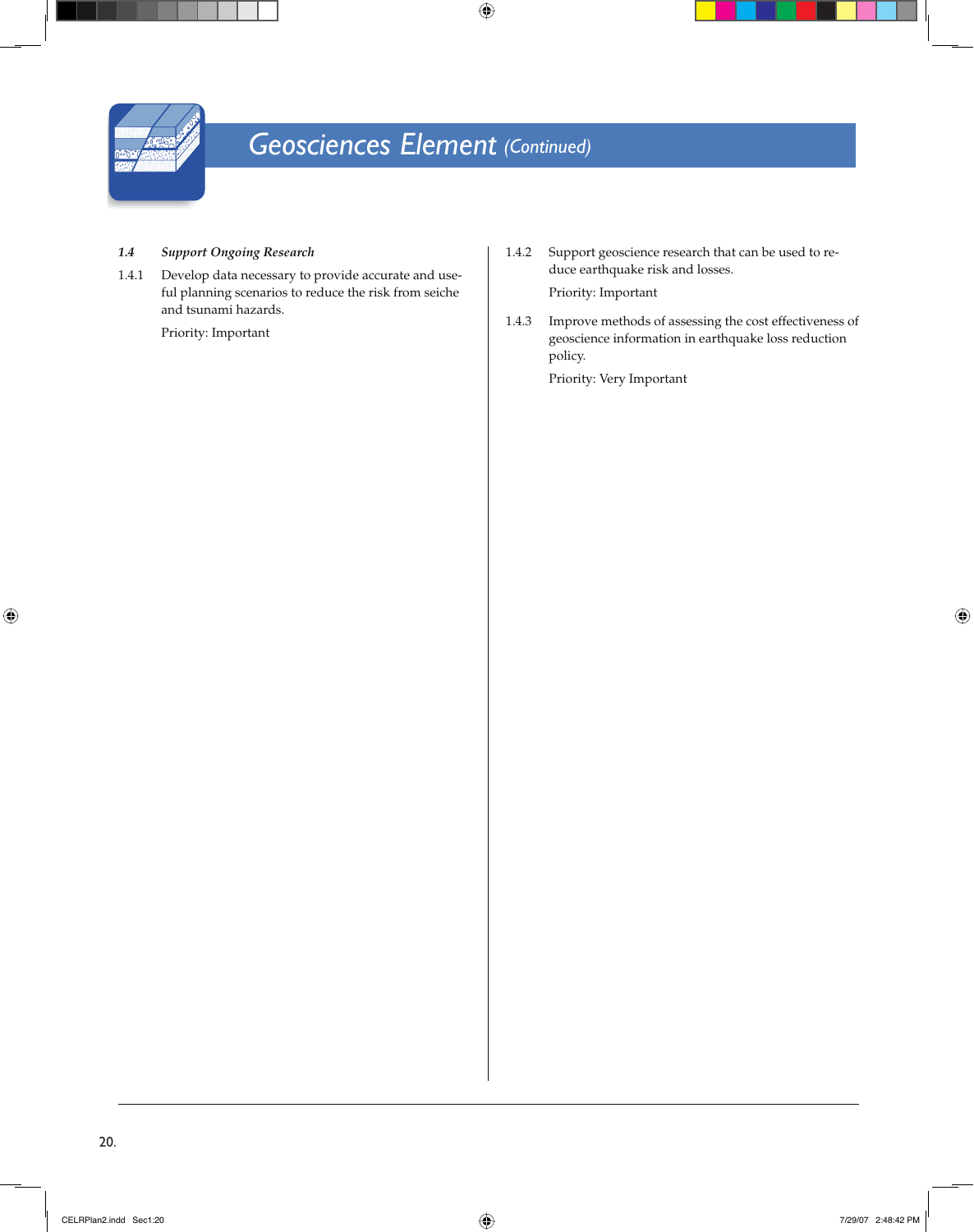

## *Geosciences Element (Continued)*

 $\bigoplus$ 

- **1.4 Support Ongoing Research**
- 1.4.1 Develop data necessary to provide accurate and useful planning scenarios to reduce the risk from seiche and tsunami hazards.

Priority: Important

1.4.2 Support geoscience research that can be used to reduce earthquake risk and losses.

Priority: Important

1.4.3 Improve methods of assessing the cost effectiveness of geoscience information in earthquake loss reduction policy.

Priority: Very Important

 $\bigoplus$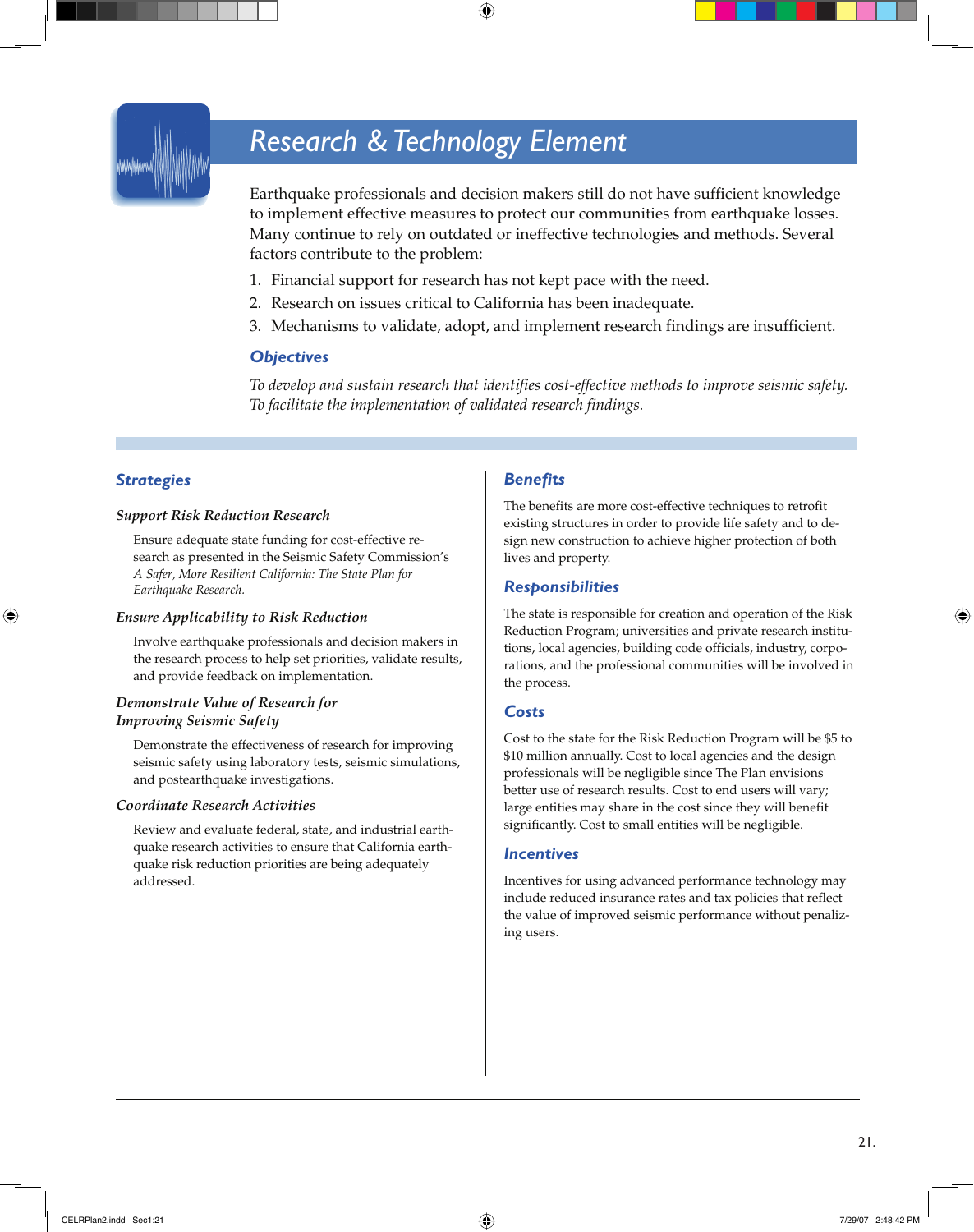⊕



## *Research &Technology Element*

Earthquake professionals and decision makers still do not have sufficient knowledge to implement effective measures to protect our communities from earthquake losses. Many continue to rely on outdated or ineffective technologies and methods. Several factors contribute to the problem:

- 1. Financial support for research has not kept pace with the need.
- 2. Research on issues critical to California has been inadequate.
- 3. Mechanisms to validate, adopt, and implement research findings are insufficient.

#### *Objectives*

*To develop and sustain research that identifies cost-effective methods to improve seismic safety. To facilitate the implementation of validated research findings.* 

#### *Strategies*

#### *Support Risk Reduction Research*

Ensure adequate state funding for cost-effective research as presented in the Seismic Safety Commission's *A Safer, More Resilient California: The State Plan for Earthquake Research.* 

⊕

*Ensure Applicability to Risk Reduction* 

Involve earthquake professionals and decision makers in the research process to help set priorities, validate results, and provide feedback on implementation.

#### *Demonstrate Value of Research for Improving Seismic Safety*

Demonstrate the effectiveness of research for improving seismic safety using laboratory tests, seismic simulations, and postearthquake investigations.

#### *Coordinate Research Activities*

Review and evaluate federal, state, and industrial earthquake research activities to ensure that California earthquake risk reduction priorities are being adequately addressed.

#### *Benefits*

The benefits are more cost-effective techniques to retrofit existing structures in order to provide life safety and to design new construction to achieve higher protection of both lives and property.

#### *Responsibilities*

The state is responsible for creation and operation of the Risk Reduction Program; universities and private research institutions, local agencies, building code officials, industry, corporations, and the professional communities will be involved in the process.

#### *Costs*

Cost to the state for the Risk Reduction Program will be \$5 to \$10 million annually. Cost to local agencies and the design professionals will be negligible since The Plan envisions better use of research results. Cost to end users will vary; large entities may share in the cost since they will benefit significantly. Cost to small entities will be negligible.

#### *Incentives*

Incentives for using advanced performance technology may include reduced insurance rates and tax policies that reflect the value of improved seismic performance without penalizing users.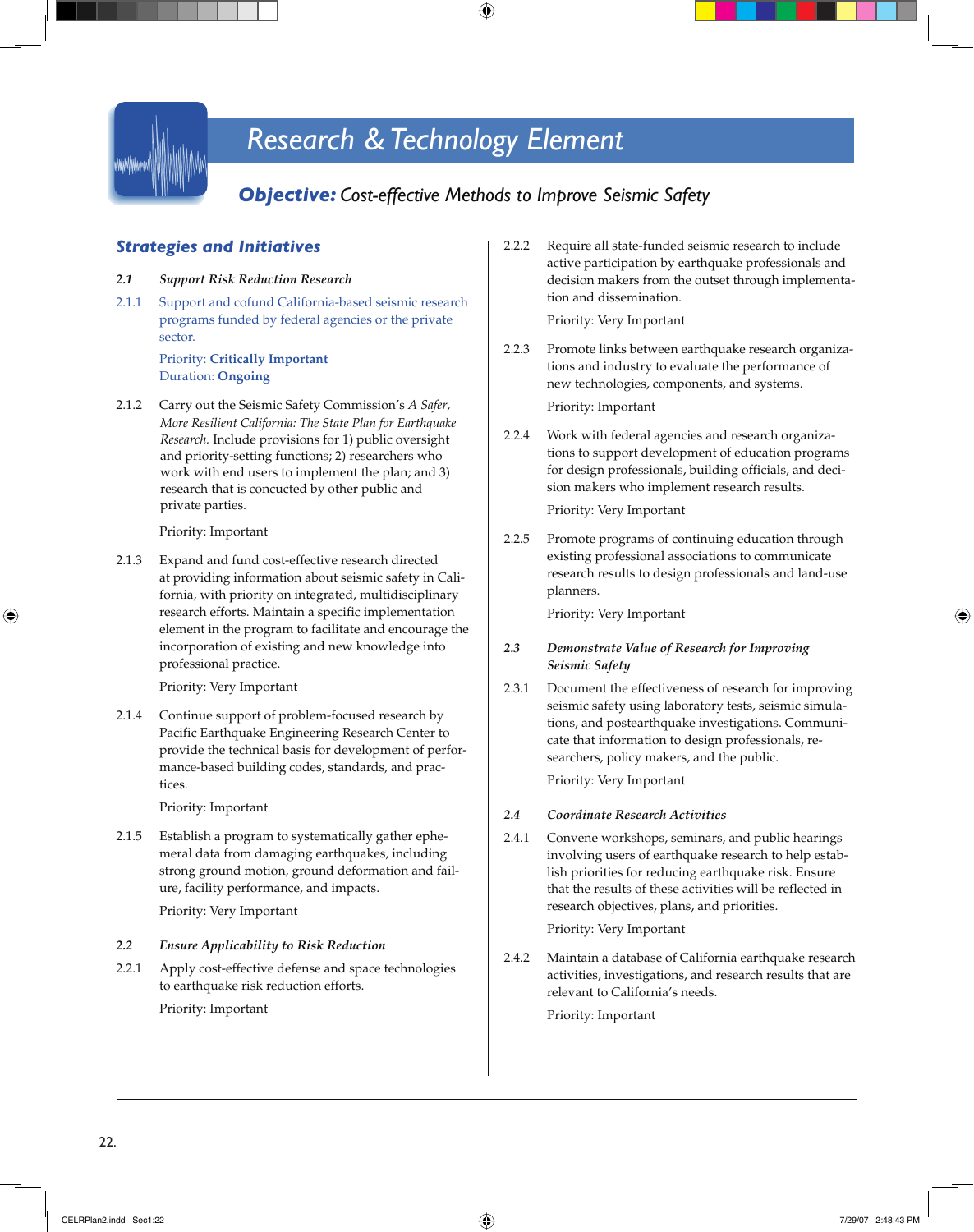### *Research & Technology Element*

### *Objective: Cost-effective Methods to Improve Seismic Safety*

#### *Strategies and Initiatives*

- **2.1 Support Risk Reduction Research**
- 2.1.1 Support and cofund California-based seismic research programs funded by federal agencies or the private sector.

**Priority: Critically Important Duration: Ongoing** 

2.1.2 Carry out the Seismic Safety Commission's A Safer, *More Resilient California: The State Plan for Earthquake Research*. Include provisions for 1) public oversight and priority-setting functions; 2) researchers who work with end users to implement the plan; and 3) research that is concucted by other public and private parties.

Priority: Important

2.1.3 Expand and fund cost-effective research directed at providing information about seismic safety in California, with priority on integrated, multidisciplinary research efforts. Maintain a specific implementation element in the program to facilitate and encourage the incorporation of existing and new knowledge into professional practice.

Priority: Very Important

2.1.4 Continue support of problem-focused research by Pacific Earthquake Engineering Research Center to provide the technical basis for development of performance-based building codes, standards, and practices.

Priority: Important

2.1.5 Establish a program to systematically gather ephemeral data from damaging earthquakes, including strong ground motion, ground deformation and failure, facility performance, and impacts.

Priority: Very Important

#### 2.2 Ensure Applicability to Risk Reduction

2.2.1 Apply cost-effective defense and space technologies to earthquake risk reduction efforts.

Priority: Important

2.2.2 Require all state-funded seismic research to include active participation by earthquake professionals and decision makers from the outset through implementation and dissemination.

Priority: Very Important

- 2.2.3 Promote links between earthquake research organizations and industry to evaluate the performance of new technologies, components, and systems. Priority: Important
- 2.2.4 Work with federal agencies and research organizations to support development of education programs for design professionals, building officials, and decision makers who implement research results.

Priority: Very Important

2.2.5 Promote programs of continuing education through existing professional associations to communicate research results to design professionals and land-use planners.

Priority: Very Important

#### 2.3 Demonstrate Value of Research for Improving *3EISMIC3AFETY*

2.3.1 Document the effectiveness of research for improving seismic safety using laboratory tests, seismic simulations, and postearthquake investigations. Communicate that information to design professionals, researchers, policy makers, and the public. Priority: Very Important

2.4 Coordinate Research Activities

2.4.1 Convene workshops, seminars, and public hearings involving users of earthquake research to help establish priorities for reducing earthquake risk. Ensure that the results of these activities will be reflected in research objectives, plans, and priorities.

Priority: Very Important

2.4.2 Maintain a database of California earthquake research activities, investigations, and research results that are relevant to California's needs.

Priority: Important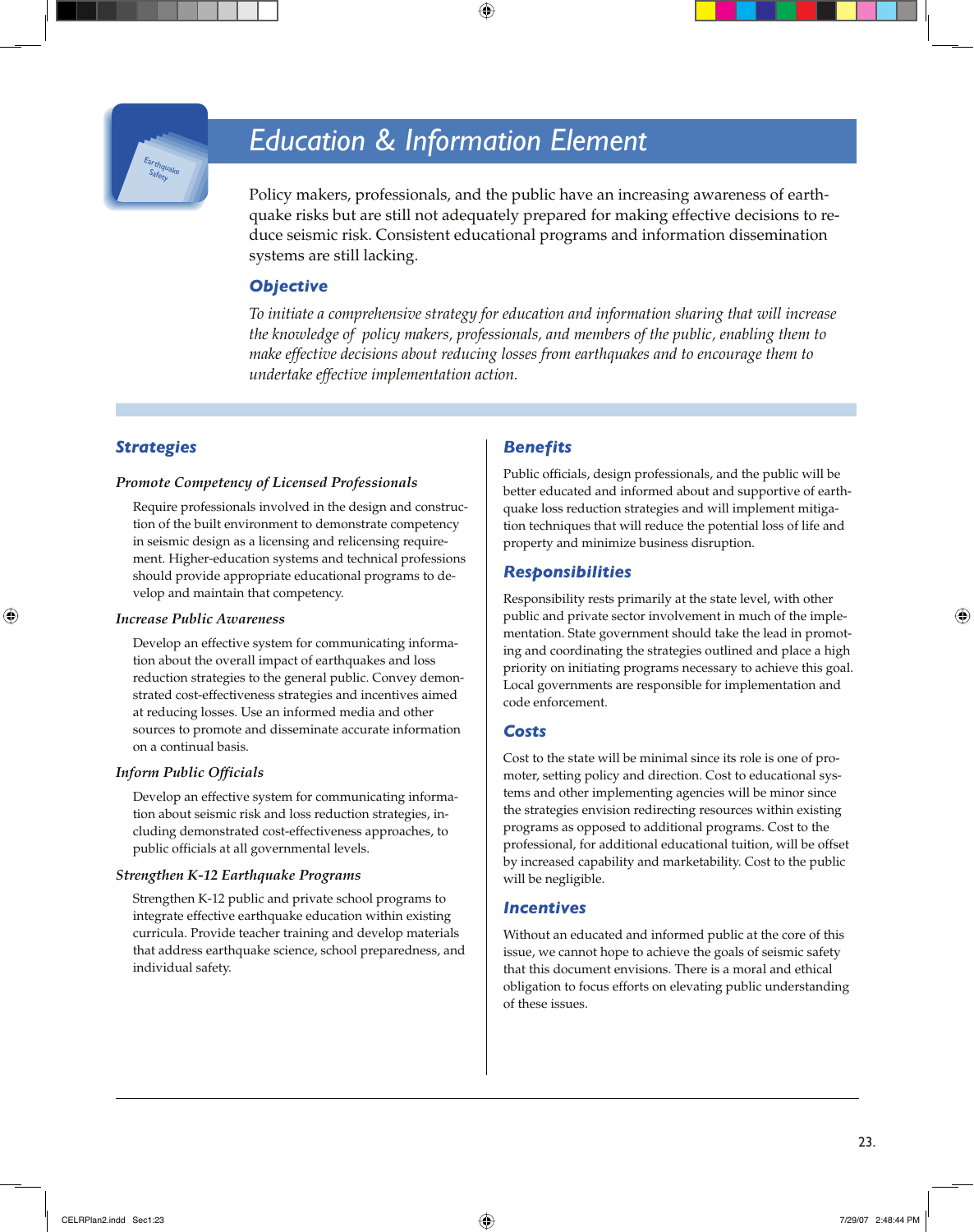## **Education & Information Element**

Policy makers, professionals, and the public have an increasing awareness of earthquake risks but are still not adequately prepared for making effective decisions to reduce seismic risk. Consistent educational programs and information dissemination systems are still lacking.

#### **Objective**

To initiate a comprehensive strategy for education and information sharing that will increase the knowledge of policy makers, professionals, and members of the public, enabling them to make effective decisions about reducing losses from earthquakes and to encourage them to undertake effective implementation action.

#### **Strategies**

⊕

#### Promote Competency of Licensed Professionals

Require professionals involved in the design and construction of the built environment to demonstrate competency in seismic design as a licensing and relicensing requirement. Higher-education systems and technical professions should provide appropriate educational programs to develop and maintain that competency.

#### *Increase Public Awareness*

Develop an effective system for communicating information about the overall impact of earthquakes and loss reduction strategies to the general public. Convey demonstrated cost-effectiveness strategies and incentives aimed at reducing losses. Use an informed media and other sources to promote and disseminate accurate information on a continual basis.

#### **Inform Public Officials**

Develop an effective system for communicating information about seismic risk and loss reduction strategies, including demonstrated cost-effectiveness approaches, to public officials at all governmental levels.

#### Strengthen K-12 Earthquake Programs

Strengthen K-12 public and private school programs to integrate effective earthquake education within existing curricula. Provide teacher training and develop materials that address earthquake science, school preparedness, and individual safety.

#### **Benefits**

Public officials, design professionals, and the public will be better educated and informed about and supportive of earthquake loss reduction strategies and will implement mitigation techniques that will reduce the potential loss of life and property and minimize business disruption.

#### **Responsibilities**

Responsibility rests primarily at the state level, with other public and private sector involvement in much of the implementation. State government should take the lead in promoting and coordinating the strategies outlined and place a high priority on initiating programs necessary to achieve this goal. Local governments are responsible for implementation and code enforcement.

#### **Costs**

Cost to the state will be minimal since its role is one of promoter, setting policy and direction. Cost to educational systems and other implementing agencies will be minor since the strategies envision redirecting resources within existing programs as opposed to additional programs. Cost to the professional, for additional educational tuition, will be offset by increased capability and marketability. Cost to the public will be negligible.

#### **Incentives**

Without an educated and informed public at the core of this issue, we cannot hope to achieve the goals of seismic safety that this document envisions. There is a moral and ethical obligation to focus efforts on elevating public understanding of these issues.

23.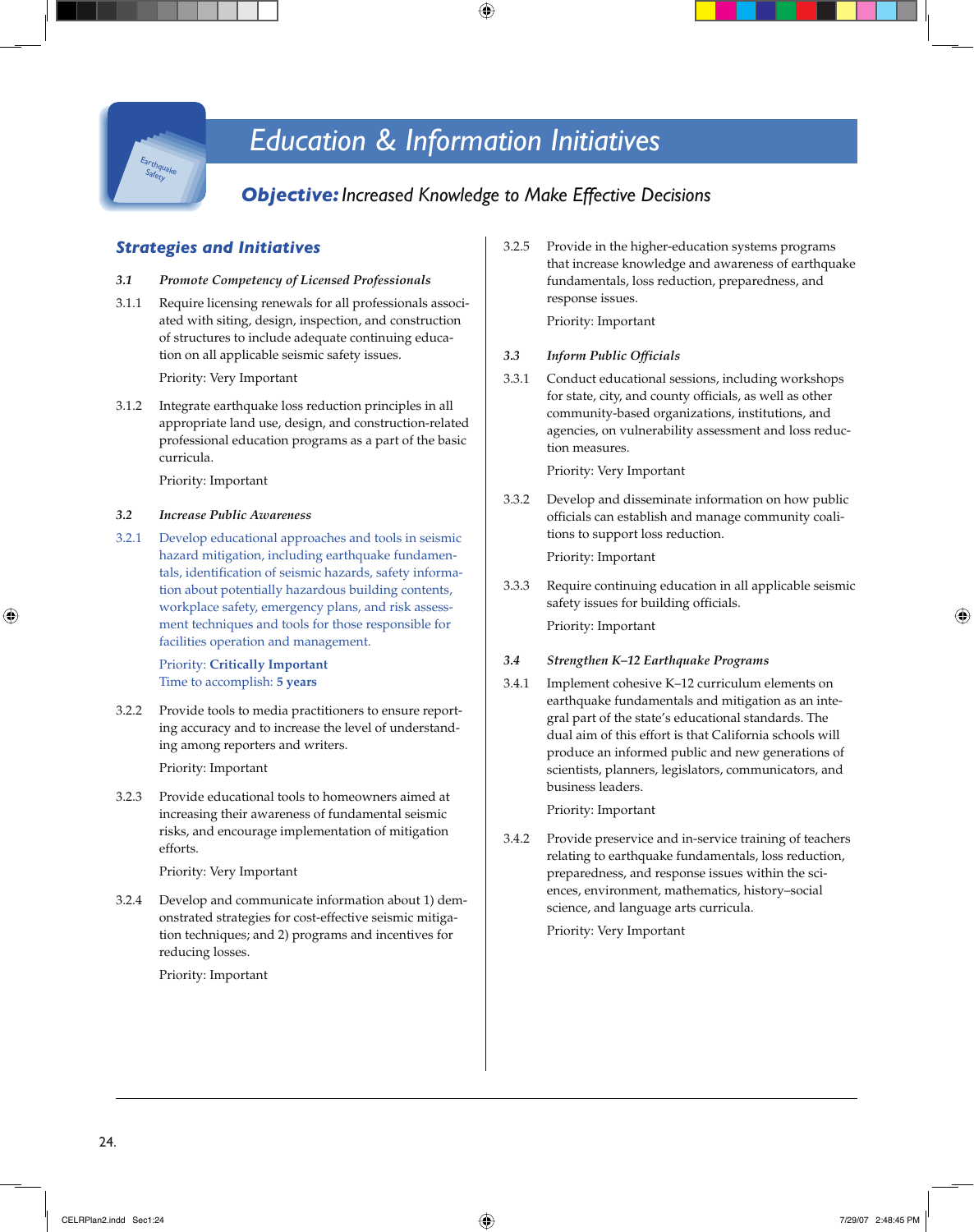## **Education & Information Initiatives**

### **Objective: Increased Knowledge to Make Effective Decisions**

#### **Strategies and Initiatives**

#### $3.1$ Promote Competency of Licensed Professionals

Require licensing renewals for all professionals associ- $3.1.1$ ated with siting, design, inspection, and construction of structures to include adequate continuing education on all applicable seismic safety issues.

Priority: Very Important

3.1.2 Integrate earthquake loss reduction principles in all appropriate land use, design, and construction-related professional education programs as a part of the basic curricula.

Priority: Important

#### $3.2$ **Increase Public Awareness**

 $3.2.1$ Develop educational approaches and tools in seismic hazard mitigation, including earthquake fundamentals, identification of seismic hazards, safety information about potentially hazardous building contents, workplace safety, emergency plans, and risk assessment techniques and tools for those responsible for facilities operation and management.

> **Priority: Critically Important** Time to accomplish: 5 years

 $3.2.2$ Provide tools to media practitioners to ensure reporting accuracy and to increase the level of understanding among reporters and writers.

Priority: Important

3.2.3 Provide educational tools to homeowners aimed at increasing their awareness of fundamental seismic risks, and encourage implementation of mitigation efforts.

Priority: Very Important

Develop and communicate information about 1) dem- $3.2.4$ onstrated strategies for cost-effective seismic mitigation techniques; and 2) programs and incentives for reducing losses.

Priority: Important

3.2.5 Provide in the higher-education systems programs that increase knowledge and awareness of earthquake fundamentals, loss reduction, preparedness, and response issues.

Priority: Important

- 3.3 **Inform Public Officials**
- $3.3.1$ Conduct educational sessions, including workshops for state, city, and county officials, as well as other community-based organizations, institutions, and agencies, on vulnerability assessment and loss reduction measures.

Priority: Very Important

 $3.3.2$ Develop and disseminate information on how public officials can establish and manage community coalitions to support loss reduction.

Priority: Important

3.3.3 Require continuing education in all applicable seismic safety issues for building officials. Priority: Important

#### 3.4 Strengthen K-12 Earthquake Programs

 $3.4.1$ Implement cohesive K-12 curriculum elements on earthquake fundamentals and mitigation as an integral part of the state's educational standards. The dual aim of this effort is that California schools will produce an informed public and new generations of scientists, planners, legislators, communicators, and business leaders.

Priority: Important

 $3.4.2$ Provide preservice and in-service training of teachers relating to earthquake fundamentals, loss reduction, preparedness, and response issues within the sciences, environment, mathematics, history-social science, and language arts curricula.

Priority: Very Important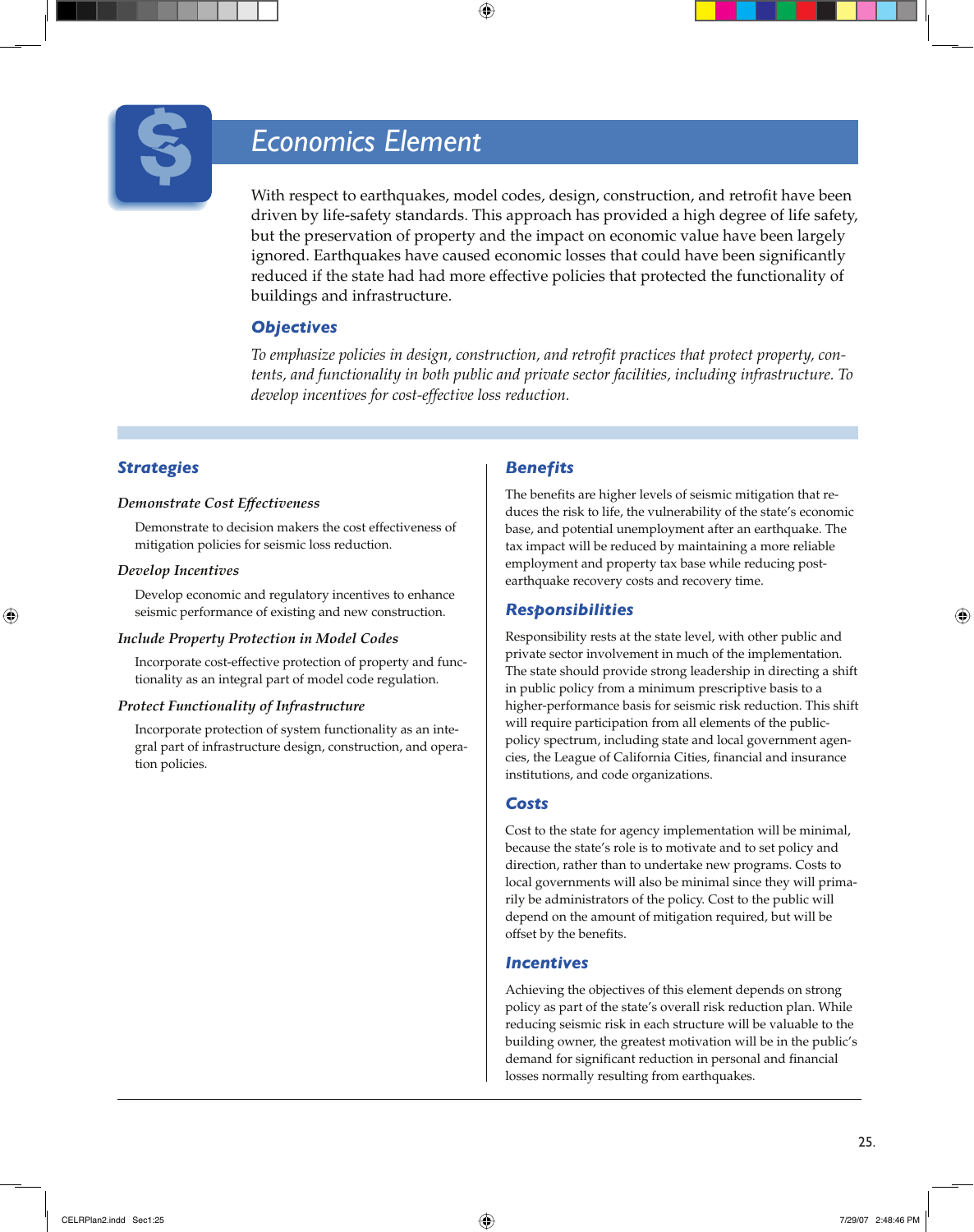### *Economics Element*

With respect to earthquakes, model codes, design, construction, and retrofit have been driven by life-safety standards. This approach has provided a high degree of life safety, but the preservation of property and the impact on economic value have been largely ignored. Earthquakes have caused economic losses that could have been significantly reduced if the state had had more effective policies that protected the functionality of buildings and infrastructure.

⊕

#### *Objectives*

To emphasize policies in design, construction, and retrofit practices that protect property, con*tents, and functionality in both public and private sector facilities, including infrastructure. To develop incentives for cost-effective loss reduction.* 

#### *Strategies*

#### **Demonstrate Cost Effectiveness**

Demonstrate to decision makers the cost effectiveness of mitigation policies for seismic loss reduction.

#### **Develop Incentives**

⊕

Develop economic and regulatory incentives to enhance seismic performance of existing and new construction.

#### *Include Property Protection in Model Codes*

Incorporate cost-effective protection of property and functionality as an integral part of model code regulation.

#### **Protect Functionality of Infrastructure**

Incorporate protection of system functionality as an integral part of infrastructure design, construction, and operation policies.

#### *Benefits*

The benefits are higher levels of seismic mitigation that reduces the risk to life, the vulnerability of the state's economic base, and potential unemployment after an earthquake. The tax impact will be reduced by maintaining a more reliable employment and property tax base while reducing postearthquake recovery costs and recovery time.

#### *Responsibilities*

Responsibility rests at the state level, with other public and private sector involvement in much of the implementation. The state should provide strong leadership in directing a shift in public policy from a minimum prescriptive basis to a higher-performance basis for seismic risk reduction. This shift will require participation from all elements of the publicpolicy spectrum, including state and local government agencies, the League of California Cities, financial and insurance institutions, and code organizations.

#### *Costs*

Cost to the state for agency implementation will be minimal, because the state's role is to motivate and to set policy and direction, rather than to undertake new programs. Costs to local governments will also be minimal since they will primarily be administrators of the policy. Cost to the public will depend on the amount of mitigation required, but will be offset by the benefits.

#### *Incentives*

Achieving the objectives of this element depends on strong policy as part of the state's overall risk reduction plan. While reducing seismic risk in each structure will be valuable to the building owner, the greatest motivation will be in the public's demand for significant reduction in personal and financial losses normally resulting from earthquakes.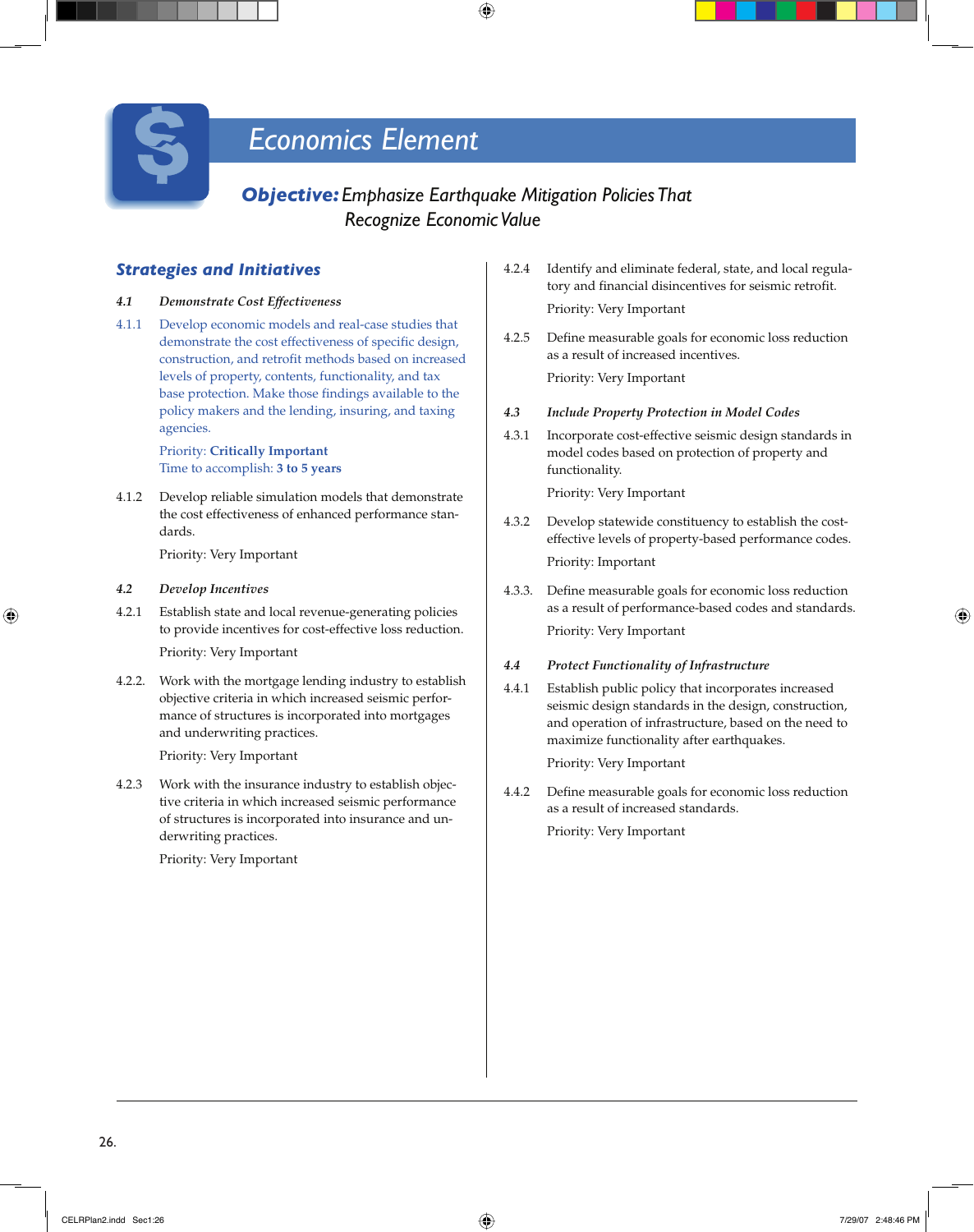⊕



## *Economics Element*

### *Objective:Emphasize Earthquake Mitigation Policies That Recognize Economic Value*

### *Strategies and Initiatives*

- **4.1** Demonstrate Cost Effectiveness
- 4.1.1 Develop economic models and real-case studies that demonstrate the cost effectiveness of specific design, construction, and retrofit methods based on increased levels of property, contents, functionality, and tax base protection. Make those findings available to the policy makers and the lending, insuring, and taxing agencies.

#### **Priority: Critically Important** Time to accomplish: 3 to 5 years

4.1.2 Develop reliable simulation models that demonstrate the cost effectiveness of enhanced performance standards.

Priority: Very Important

**4.2** Develop Incentives

⊕

- 4.2.1 Establish state and local revenue-generating policies to provide incentives for cost-effective loss reduction. Priority: Very Important
- 4.2.2. Work with the mortgage lending industry to establish objective criteria in which increased seismic performance of structures is incorporated into mortgages and underwriting practices.

Priority: Very Important

4.2.3 Work with the insurance industry to establish objective criteria in which increased seismic performance of structures is incorporated into insurance and underwriting practices.

Priority: Very Important

- 4.2.4 Identify and eliminate federal, state, and local regulatory and financial disincentives for seismic retrofit. Priority: Very Important
- 4.2.5 Define measurable goals for economic loss reduction as a result of increased incentives. Priority: Very Important
- **4.3** Include Property Protection in Model Codes
- 4.3.1 Incorporate cost-effective seismic design standards in model codes based on protection of property and functionality.

Priority: Very Important

- 4.3.2 Develop statewide constituency to establish the costeffective levels of property-based performance codes. Priority: Important
- 4.3.3. Define measurable goals for economic loss reduction as a result of performance-based codes and standards. Priority: Very Important

#### **4.4** Protect Functionality of Infrastructure

4.4.1 Establish public policy that incorporates increased seismic design standards in the design, construction, and operation of infrastructure, based on the need to maximize functionality after earthquakes.

Priority: Very Important

4.4.2 Define measurable goals for economic loss reduction as a result of increased standards. Priority: Very Important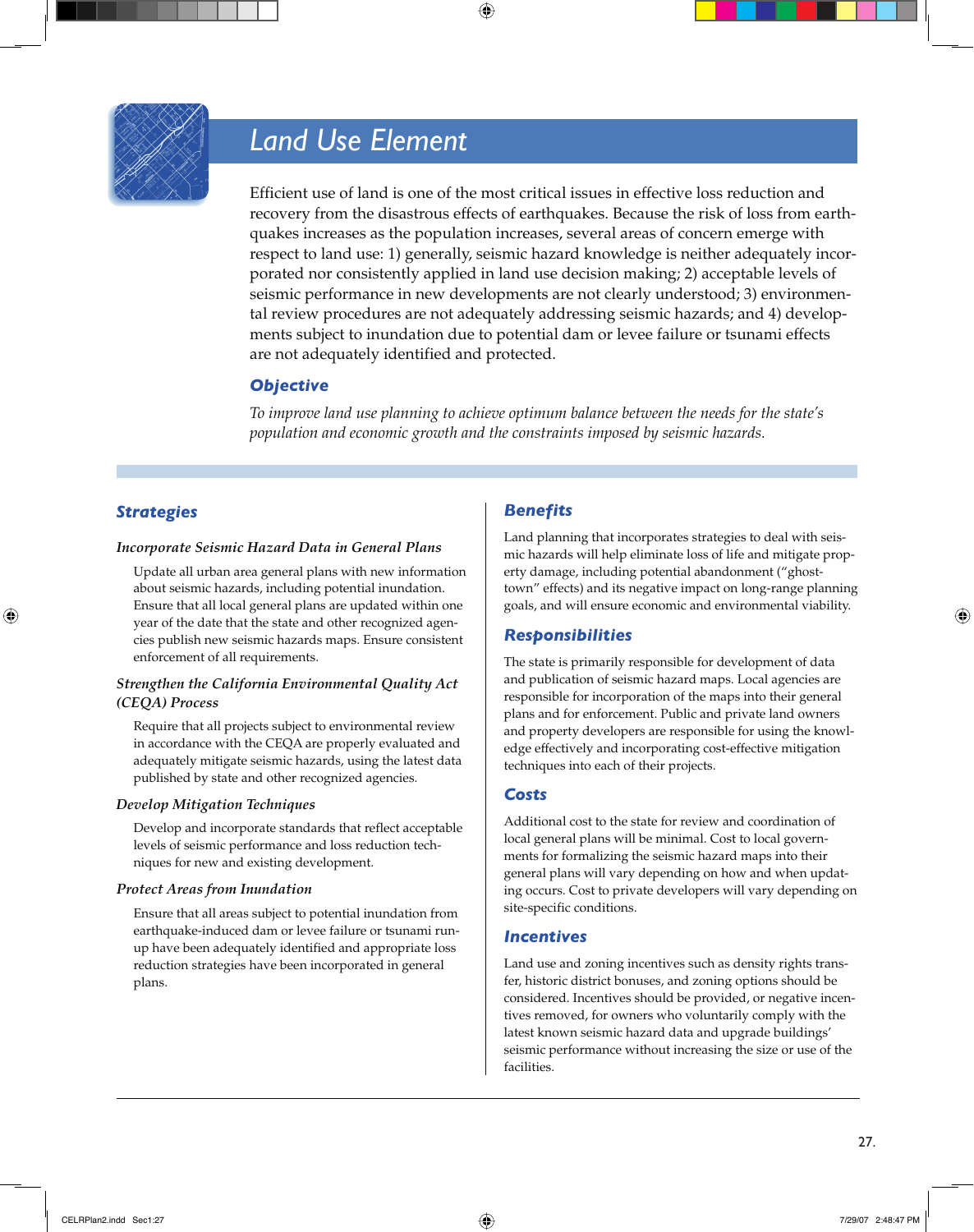

## **Land Use Element**

Efficient use of land is one of the most critical issues in effective loss reduction and recovery from the disastrous effects of earthquakes. Because the risk of loss from earthquakes increases as the population increases, several areas of concern emerge with respect to land use: 1) generally, seismic hazard knowledge is neither adequately incorporated nor consistently applied in land use decision making; 2) acceptable levels of seismic performance in new developments are not clearly understood; 3) environmental review procedures are not adequately addressing seismic hazards; and 4) developments subject to inundation due to potential dam or levee failure or tsunami effects are not adequately identified and protected.

#### **Objective**

To improve land use planning to achieve optimum balance between the needs for the state's population and economic growth and the constraints imposed by seismic hazards.

#### **Strategies**

⊕

#### Incorporate Seismic Hazard Data in General Plans

Update all urban area general plans with new information about seismic hazards, including potential inundation. Ensure that all local general plans are updated within one year of the date that the state and other recognized agencies publish new seismic hazards maps. Ensure consistent enforcement of all requirements.

#### Strengthen the California Environmental Quality Act (CEOA) Process

Require that all projects subject to environmental review in accordance with the CEQA are properly evaluated and adequately mitigate seismic hazards, using the latest data published by state and other recognized agencies.

#### **Develop Mitigation Techniques**

Develop and incorporate standards that reflect acceptable levels of seismic performance and loss reduction techniques for new and existing development.

#### **Protect Areas from Inundation**

Ensure that all areas subject to potential inundation from earthquake-induced dam or levee failure or tsunami runup have been adequately identified and appropriate loss reduction strategies have been incorporated in general plans.

#### **Benefits**

Land planning that incorporates strategies to deal with seismic hazards will help eliminate loss of life and mitigate property damage, including potential abandonment ("ghosttown" effects) and its negative impact on long-range planning goals, and will ensure economic and environmental viability.

#### **Responsibilities**

The state is primarily responsible for development of data and publication of seismic hazard maps. Local agencies are responsible for incorporation of the maps into their general plans and for enforcement. Public and private land owners and property developers are responsible for using the knowledge effectively and incorporating cost-effective mitigation techniques into each of their projects.

#### **Costs**

Additional cost to the state for review and coordination of local general plans will be minimal. Cost to local governments for formalizing the seismic hazard maps into their general plans will vary depending on how and when updating occurs. Cost to private developers will vary depending on site-specific conditions.

#### **Incentives**

Land use and zoning incentives such as density rights transfer, historic district bonuses, and zoning options should be considered. Incentives should be provided, or negative incentives removed, for owners who voluntarily comply with the latest known seismic hazard data and upgrade buildings' seismic performance without increasing the size or use of the facilities.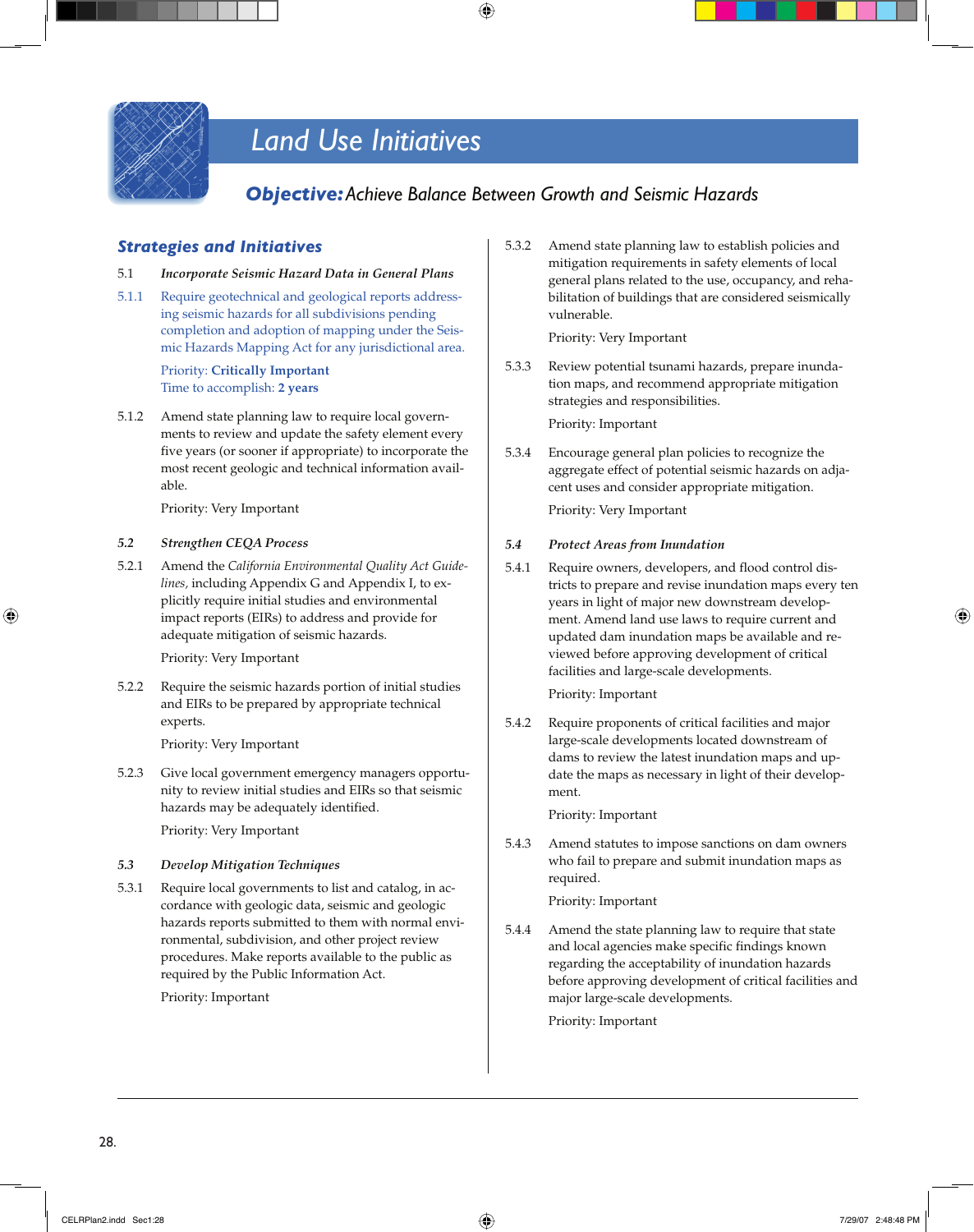

## **Land Use Initiatives**

### **Objective:** Achieve Balance Between Growth and Seismic Hazards

#### **Strategies and Initiatives**

#### 5.1 Incorporate Seismic Hazard Data in General Plans

 $5.1.1$ Require geotechnical and geological reports addressing seismic hazards for all subdivisions pending completion and adoption of mapping under the Seismic Hazards Mapping Act for any jurisdictional area.

> **Priority: Critically Important** Time to accomplish: 2 years

5.1.2 Amend state planning law to require local governments to review and update the safety element every five years (or sooner if appropriate) to incorporate the most recent geologic and technical information available.

Priority: Very Important

#### $5.2$ **Strengthen CEQA Process**

 $5.2.1$ Amend the California Environmental Quality Act Guidelines, including Appendix G and Appendix I, to explicitly require initial studies and environmental impact reports (EIRs) to address and provide for adequate mitigation of seismic hazards.

Priority: Very Important

Require the seismic hazards portion of initial studies  $5.2.2$ and EIRs to be prepared by appropriate technical experts.

Priority: Very Important

5.2.3 Give local government emergency managers opportunity to review initial studies and EIRs so that seismic hazards may be adequately identified.

Priority: Very Important

#### 5.3 Develop Mitigation Techniques

5.3.1 Require local governments to list and catalog, in accordance with geologic data, seismic and geologic hazards reports submitted to them with normal environmental, subdivision, and other project review procedures. Make reports available to the public as required by the Public Information Act.

Priority: Important

5.3.2 Amend state planning law to establish policies and mitigation requirements in safety elements of local general plans related to the use, occupancy, and rehabilitation of buildings that are considered seismically vulnerable.

Priority: Very Important

Review potential tsunami hazards, prepare inunda-5.3.3 tion maps, and recommend appropriate mitigation strategies and responsibilities.

Priority: Important

5.3.4 Encourage general plan policies to recognize the aggregate effect of potential seismic hazards on adjacent uses and consider appropriate mitigation.

Priority: Very Important

#### $5.4$ **Protect Areas from Inundation**

5.4.1 Require owners, developers, and flood control districts to prepare and revise inundation maps every ten years in light of major new downstream development. Amend land use laws to require current and updated dam inundation maps be available and reviewed before approving development of critical facilities and large-scale developments.

Priority: Important

5.4.2 Require proponents of critical facilities and major large-scale developments located downstream of dams to review the latest inundation maps and update the maps as necessary in light of their development.

Priority: Important

5.4.3 Amend statutes to impose sanctions on dam owners who fail to prepare and submit inundation maps as required.

Priority: Important

5.4.4 Amend the state planning law to require that state and local agencies make specific findings known regarding the acceptability of inundation hazards before approving development of critical facilities and major large-scale developments.

Priority: Important

⊕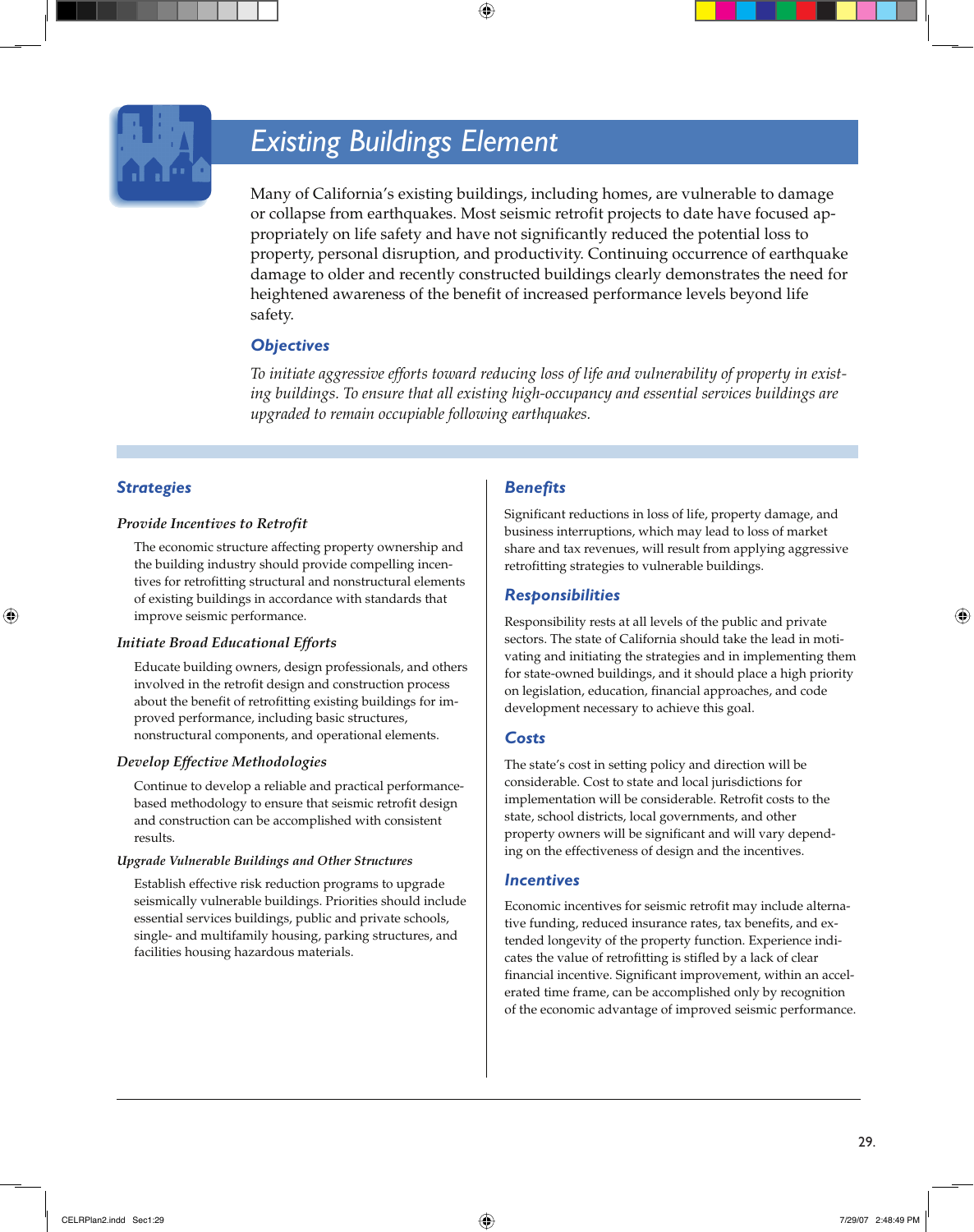

## *Existing Buildings Element*

⊕

Many of California's existing buildings, including homes, are vulnerable to damage or collapse from earthquakes. Most seismic retrofit projects to date have focused appropriately on life safety and have not significantly reduced the potential loss to property, personal disruption, and productivity. Continuing occurrence of earthquake damage to older and recently constructed buildings clearly demonstrates the need for heightened awareness of the benefit of increased performance levels beyond life safety.

#### *Objectives*

*To initiate aggressive efforts toward reducing loss of life and vulnerability of property in existing buildings. To ensure that all existing high-occupancy and essential services buildings are upgraded to remain occupiable following earthquakes.* 

#### *Strategies*

⊕

#### *Provide Incentives to Retrofit*

The economic structure affecting property ownership and the building industry should provide compelling incentives for retrofitting structural and nonstructural elements of existing buildings in accordance with standards that improve seismic performance.

#### *Initiate Broad Educational Efforts*

Educate building owners, design professionals, and others involved in the retrofit design and construction process about the benefit of retrofitting existing buildings for improved performance, including basic structures, nonstructural components, and operational elements.

#### *Develop Effective Methodologies*

Continue to develop a reliable and practical performancebased methodology to ensure that seismic retrofit design and construction can be accomplished with consistent results.

#### *Upgrade Vulnerable Buildings and Other Structures*

Establish effective risk reduction programs to upgrade seismically vulnerable buildings. Priorities should include essential services buildings, public and private schools, single- and multifamily housing, parking structures, and facilities housing hazardous materials.

#### *Benefits*

Significant reductions in loss of life, property damage, and business interruptions, which may lead to loss of market share and tax revenues, will result from applying aggressive retrofitting strategies to vulnerable buildings.

#### *Responsibilities*

Responsibility rests at all levels of the public and private sectors. The state of California should take the lead in motivating and initiating the strategies and in implementing them for state-owned buildings, and it should place a high priority on legislation, education, financial approaches, and code development necessary to achieve this goal.

#### *Costs*

The state's cost in setting policy and direction will be considerable. Cost to state and local jurisdictions for implementation will be considerable. Retrofit costs to the state, school districts, local governments, and other property owners will be significant and will vary depending on the effectiveness of design and the incentives.

#### *Incentives*

Economic incentives for seismic retrofit may include alternative funding, reduced insurance rates, tax benefits, and extended longevity of the property function. Experience indicates the value of retrofitting is stifled by a lack of clear financial incentive. Significant improvement, within an accelerated time frame, can be accomplished only by recognition of the economic advantage of improved seismic performance.

29.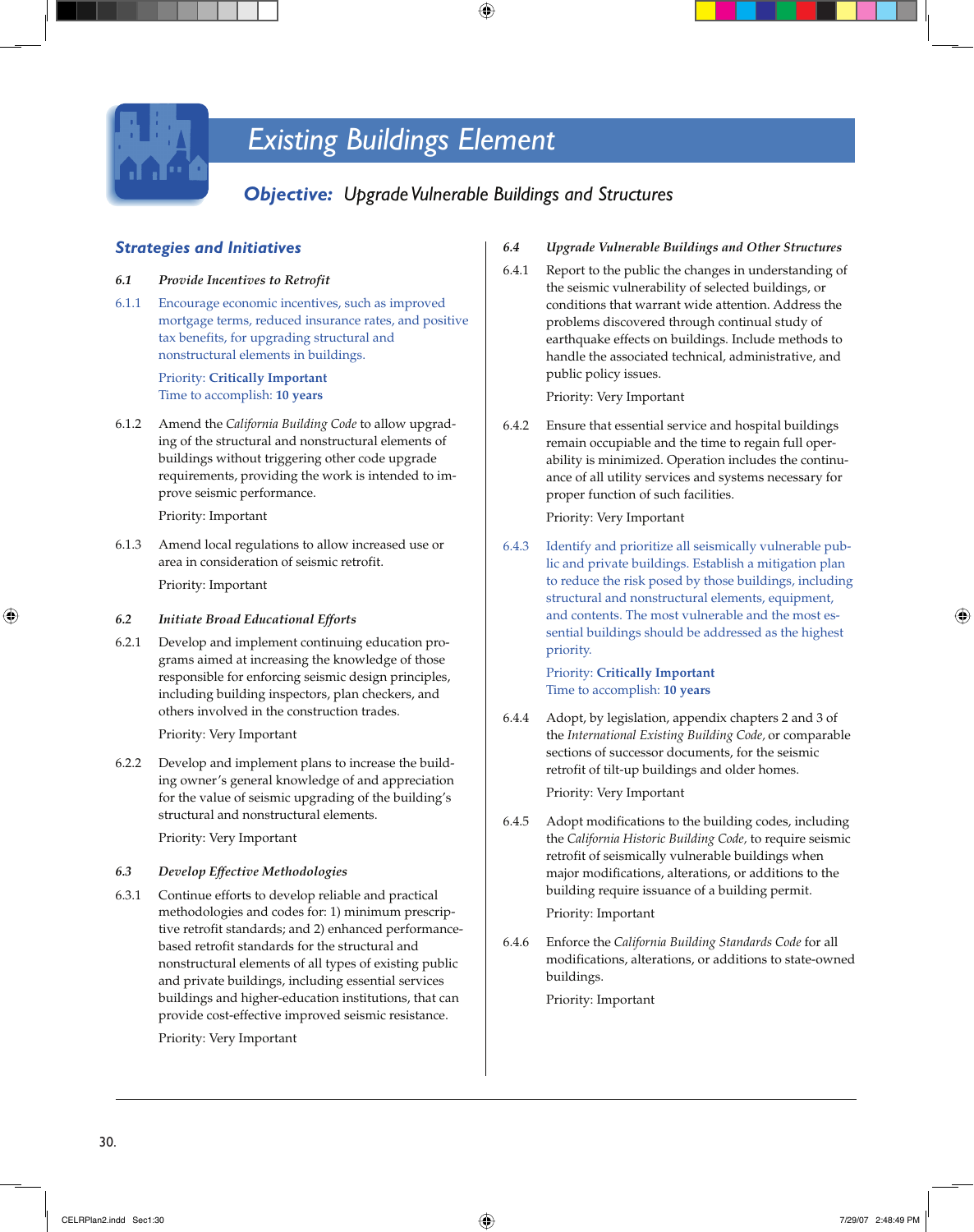

### *Existing Buildings Element*

### **Objective:** Upgrade Vulnerable Buildings and Structures

#### *Strategies and Initiatives*

- *6.1 Provide Incentives to Retrofit*
- 6.1.1 Encourage economic incentives, such as improved mortgage terms, reduced insurance rates, and positive tax benefits, for upgrading structural and nonstructural elements in buildings.

Priority: **Critically Important** Time to accomplish: **10 years** 

6.1.2 Amend the *California Building Code* to allow upgrading of the structural and nonstructural elements of buildings without triggering other code upgrade requirements, providing the work is intended to improve seismic performance.

Priority: Important

6.1.3 Amend local regulations to allow increased use or area in consideration of seismic retrofit. Priority: Important

#### *6.2 Initiate Broad Educational Efforts*

6.2.1 Develop and implement continuing education programs aimed at increasing the knowledge of those responsible for enforcing seismic design principles, including building inspectors, plan checkers, and others involved in the construction trades.

Priority: Very Important

6.2.2 Develop and implement plans to increase the building owner's general knowledge of and appreciation for the value of seismic upgrading of the building's structural and nonstructural elements.

Priority: Very Important

#### *6.3 Develop Effective Methodologies*

6.3.1 Continue efforts to develop reliable and practical methodologies and codes for: 1) minimum prescriptive retrofit standards; and 2) enhanced performancebased retrofit standards for the structural and nonstructural elements of all types of existing public and private buildings, including essential services buildings and higher-education institutions, that can provide cost-effective improved seismic resistance.

Priority: Very Important

#### *6.4 Upgrade Vulnerable Buildings and Other Structures*

6.4.1 Report to the public the changes in understanding of the seismic vulnerability of selected buildings, or conditions that warrant wide attention. Address the problems discovered through continual study of earthquake effects on buildings. Include methods to handle the associated technical, administrative, and public policy issues.

Priority: Very Important

6.4.2 Ensure that essential service and hospital buildings remain occupiable and the time to regain full operability is minimized. Operation includes the continuance of all utility services and systems necessary for proper function of such facilities.

Priority: Very Important

6.4.3 Identify and prioritize all seismically vulnerable public and private buildings. Establish a mitigation plan to reduce the risk posed by those buildings, including structural and nonstructural elements, equipment, and contents. The most vulnerable and the most essential buildings should be addressed as the highest priority.

> Priority: **Critically Important** Time to accomplish: **10 years**

6.4.4 Adopt, by legislation, appendix chapters 2 and 3 of the *International Existing Building Code,* or comparable sections of successor documents, for the seismic retrofit of tilt-up buildings and older homes.

Priority: Very Important

6.4.5 Adopt modifications to the building codes, including the *California Historic Building Code,* to require seismic retrofit of seismically vulnerable buildings when major modifications, alterations, or additions to the building require issuance of a building permit.

Priority: Important

6.4.6 Enforce the *California Building Standards Code* for all modifications, alterations, or additions to state-owned buildings.

Priority: Important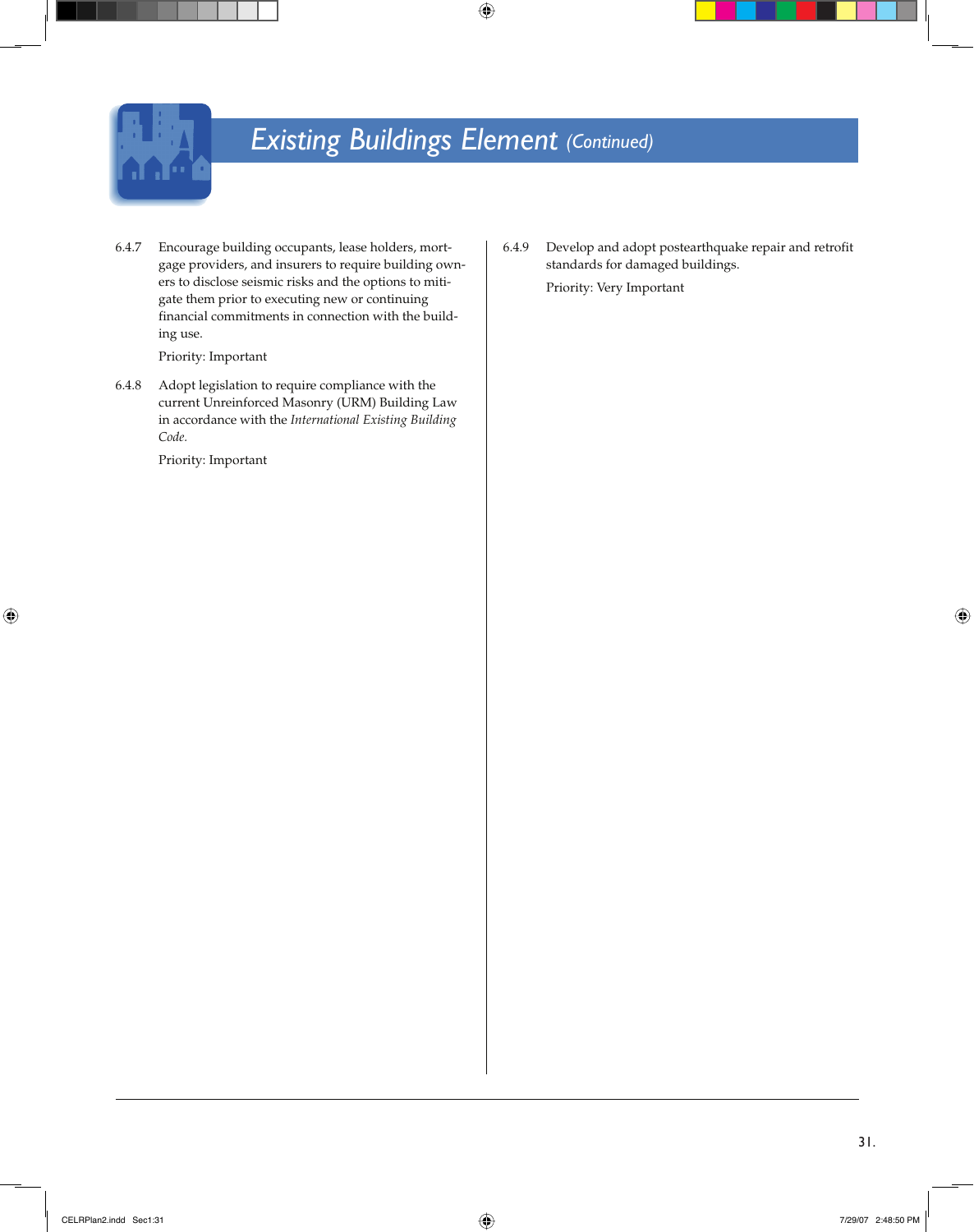

## *Existing Buildings Element (Continued)*

 $\bigoplus$ 

6.4.7 Encourage building occupants, lease holders, mortgage providers, and insurers to require building owners to disclose seismic risks and the options to mitigate them prior to executing new or continuing financial commitments in connection with the building use.

Priority: Important

6.4.8 Adopt legislation to require compliance with the current Unreinforced Masonry (URM) Building Law in accordance with the *International Existing Building Code.*

Priority: Important

6.4.9 Develop and adopt postearthquake repair and retrofit standards for damaged buildings. Priority: Very Important

 $\bigoplus$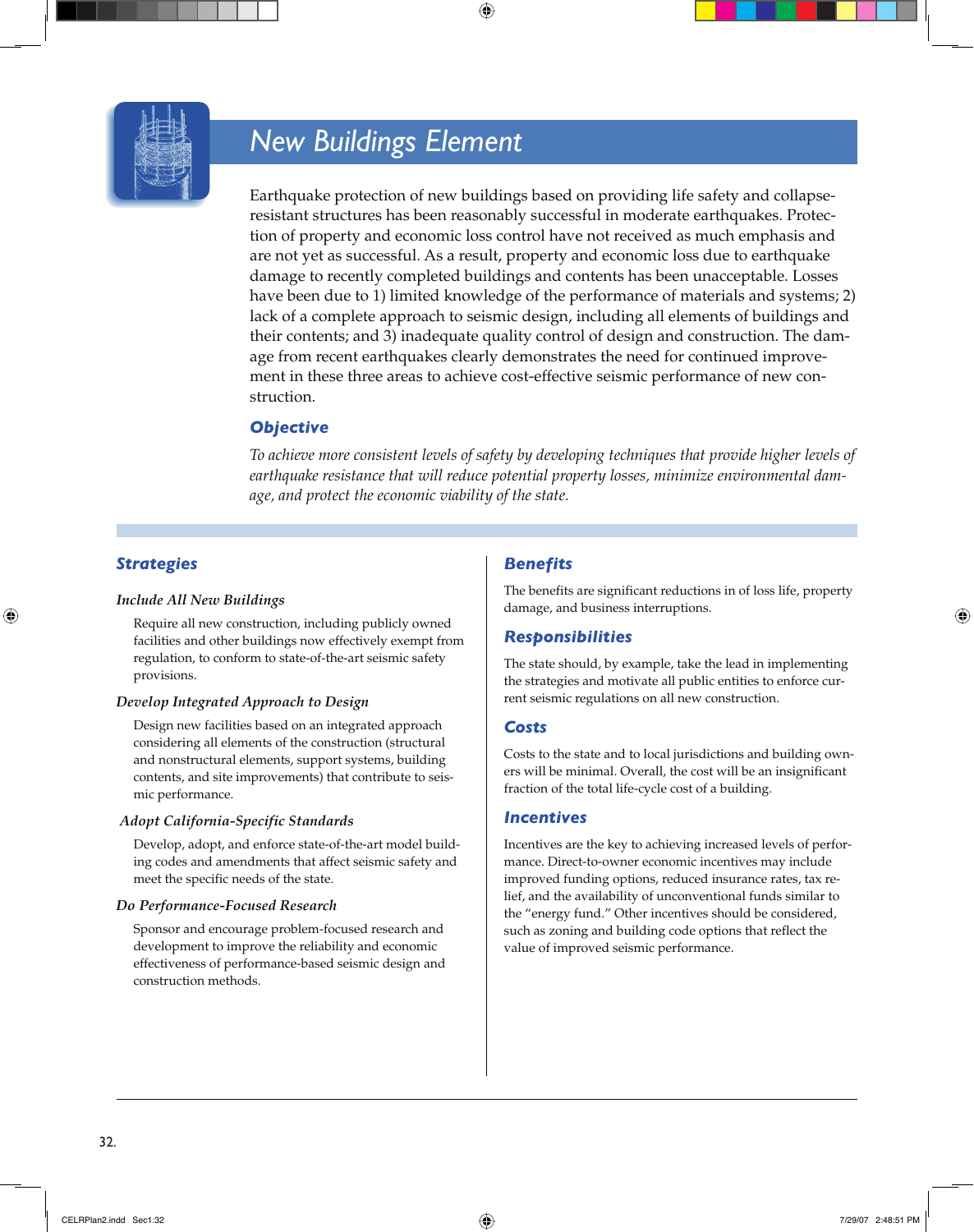

### **New Buildings Element**

⊕

Earthquake protection of new buildings based on providing life safety and collapseresistant structures has been reasonably successful in moderate earthquakes. Protection of property and economic loss control have not received as much emphasis and are not yet as successful. As a result, property and economic loss due to earthquake damage to recently completed buildings and contents has been unacceptable. Losses have been due to 1) limited knowledge of the performance of materials and systems; 2) lack of a complete approach to seismic design, including all elements of buildings and their contents; and 3) inadequate quality control of design and construction. The damage from recent earthquakes clearly demonstrates the need for continued improvement in these three areas to achieve cost-effective seismic performance of new construction.

#### **Objective**

To achieve more consistent levels of safety by developing techniques that provide higher levels of earthquake resistance that will reduce potential property losses, minimize environmental damage, and protect the economic viability of the state.

#### **Strategies**

⊕

#### **Include All New Buildings**

Require all new construction, including publicly owned facilities and other buildings now effectively exempt from regulation, to conform to state-of-the-art seismic safety provisions.

#### Develop Integrated Approach to Design

Design new facilities based on an integrated approach considering all elements of the construction (structural and nonstructural elements, support systems, building contents, and site improvements) that contribute to seismic performance.

#### Adopt California-Specific Standards

Develop, adopt, and enforce state-of-the-art model building codes and amendments that affect seismic safety and meet the specific needs of the state.

#### Do Performance-Focused Research

Sponsor and encourage problem-focused research and development to improve the reliability and economic effectiveness of performance-based seismic design and construction methods.

#### **Benefits**

The benefits are significant reductions in of loss life, property damage, and business interruptions.

#### **Responsibilities**

The state should, by example, take the lead in implementing the strategies and motivate all public entities to enforce current seismic regulations on all new construction.

#### **Costs**

Costs to the state and to local jurisdictions and building owners will be minimal. Overall, the cost will be an insignificant fraction of the total life-cycle cost of a building.

#### *<u>Incentives</u>*

Incentives are the key to achieving increased levels of performance. Direct-to-owner economic incentives may include improved funding options, reduced insurance rates, tax relief, and the availability of unconventional funds similar to the "energy fund." Other incentives should be considered, such as zoning and building code options that reflect the value of improved seismic performance.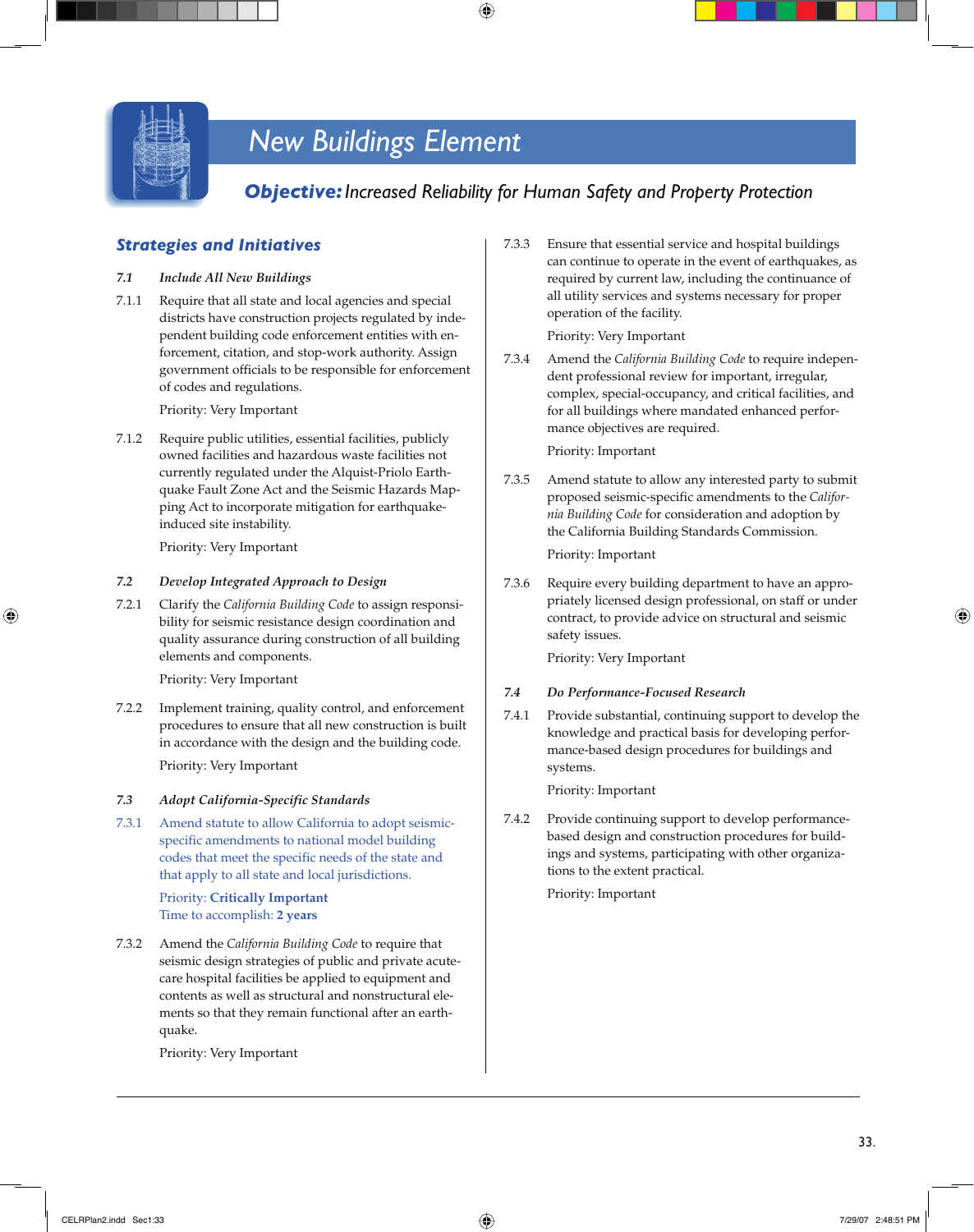

## **New Buildings Element**

### **Objective:** Increased Reliability for Human Safety and Property Protection

### **Strategies and Initiatives**

 $7.1$ **Include All New Buildings** 

 $7.1.1$ Require that all state and local agencies and special districts have construction projects regulated by independent building code enforcement entities with enforcement, citation, and stop-work authority. Assign government officials to be responsible for enforcement of codes and regulations.

Priority: Very Important

7.1.2 Require public utilities, essential facilities, publicly owned facilities and hazardous waste facilities not currently regulated under the Alquist-Priolo Earthquake Fault Zone Act and the Seismic Hazards Mapping Act to incorporate mitigation for earthquakeinduced site instability.

Priority: Very Important

Develop Integrated Approach to Design  $7.2$ 

 $7.2.1$ Clarify the California Building Code to assign responsibility for seismic resistance design coordination and quality assurance during construction of all building elements and components.

Priority: Very Important

7.2.2 Implement training, quality control, and enforcement procedures to ensure that all new construction is built in accordance with the design and the building code. Priority: Very Important

 $7.3$ Adopt California-Specific Standards

Amend statute to allow California to adopt seismic-731 specific amendments to national model building codes that meet the specific needs of the state and that apply to all state and local jurisdictions.

> **Priority: Critically Important** Time to accomplish: 2 years

7.3.2 Amend the California Building Code to require that seismic design strategies of public and private acutecare hospital facilities be applied to equipment and contents as well as structural and nonstructural elements so that they remain functional after an earthquake.

Priority: Very Important

7.3.3 Ensure that essential service and hospital buildings can continue to operate in the event of earthquakes, as required by current law, including the continuance of all utility services and systems necessary for proper operation of the facility.

Priority: Very Important

7.3.4 Amend the California Building Code to require independent professional review for important, irregular, complex, special-occupancy, and critical facilities, and for all buildings where mandated enhanced performance objectives are required.

Priority: Important

 $7.3.5$ Amend statute to allow any interested party to submit proposed seismic-specific amendments to the California Building Code for consideration and adoption by the California Building Standards Commission.

Priority: Important

7.3.6 Require every building department to have an appropriately licensed design professional, on staff or under contract, to provide advice on structural and seismic safety issues.

Priority: Very Important

#### $7.4\,$ Do Performance-Focused Research

7.4.1 Provide substantial, continuing support to develop the knowledge and practical basis for developing performance-based design procedures for buildings and systems.

Priority: Important

7.4.2 Provide continuing support to develop performancebased design and construction procedures for buildings and systems, participating with other organizations to the extent practical.

Priority: Important

⊕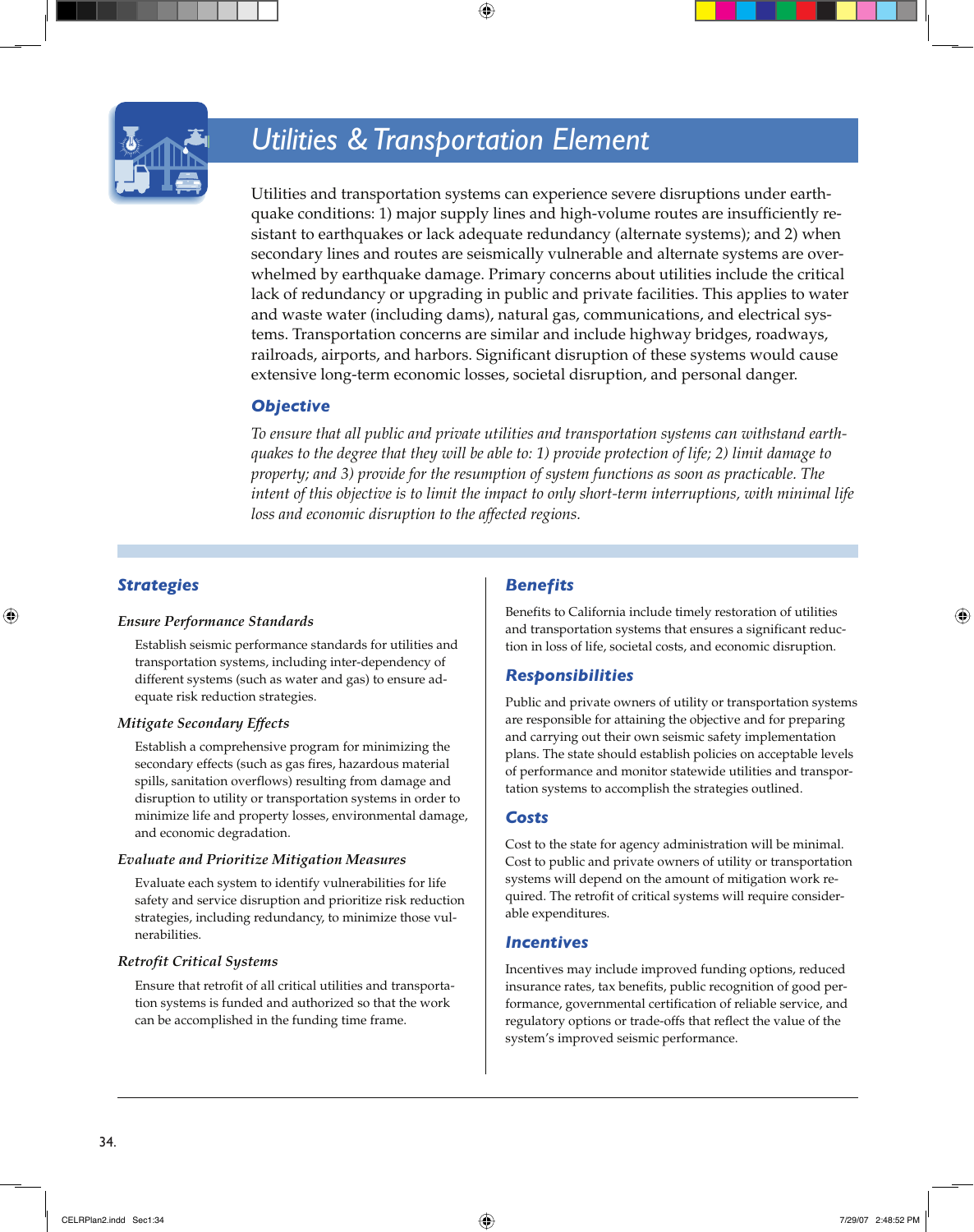

### *Utilities & Transportation Element*

Utilities and transportation systems can experience severe disruptions under earthquake conditions: 1) major supply lines and high-volume routes are insufficiently resistant to earthquakes or lack adequate redundancy (alternate systems); and 2) when secondary lines and routes are seismically vulnerable and alternate systems are overwhelmed by earthquake damage. Primary concerns about utilities include the critical lack of redundancy or upgrading in public and private facilities. This applies to water and waste water (including dams), natural gas, communications, and electrical systems. Transportation concerns are similar and include highway bridges, roadways, railroads, airports, and harbors. Significant disruption of these systems would cause extensive long-term economic losses, societal disruption, and personal danger.

#### *Objective*

To ensure that all public and private utilities and transportation systems can withstand earthquakes to the degree that they will be able to: 1) provide protection of life; 2) limit damage to *property; and 3) provide for the resumption of system functions as soon as practicable. The* intent of this objective is to limit the impact to only short-term interruptions, with minimal life loss and economic disruption to the affected regions.

#### *Strategies*

⊕

#### **Ensure Performance Standards**

Establish seismic performance standards for utilities and transportation systems, including inter-dependency of different systems (such as water and gas) to ensure adequate risk reduction strategies.

#### *Mitigate Secondary Effects*

Establish a comprehensive program for minimizing the secondary effects (such as gas fires, hazardous material spills, sanitation overflows) resulting from damage and disruption to utility or transportation systems in order to minimize life and property losses, environmental damage, and economic degradation.

#### *Evaluate and Prioritize Mitigation Measures*

Evaluate each system to identify vulnerabilities for life safety and service disruption and prioritize risk reduction strategies, including redundancy, to minimize those vulnerabilities.

#### *Retrofit Critical Systems*

Ensure that retrofit of all critical utilities and transportation systems is funded and authorized so that the work can be accomplished in the funding time frame.

#### *Benefits*

Benefits to California include timely restoration of utilities and transportation systems that ensures a significant reduction in loss of life, societal costs, and economic disruption.

#### *Responsibilities*

Public and private owners of utility or transportation systems are responsible for attaining the objective and for preparing and carrying out their own seismic safety implementation plans. The state should establish policies on acceptable levels of performance and monitor statewide utilities and transportation systems to accomplish the strategies outlined.

#### *Costs*

Cost to the state for agency administration will be minimal. Cost to public and private owners of utility or transportation systems will depend on the amount of mitigation work required. The retrofit of critical systems will require considerable expenditures.

#### *Incentives*

Incentives may include improved funding options, reduced insurance rates, tax benefits, public recognition of good performance, governmental certification of reliable service, and regulatory options or trade-offs that reflect the value of the system's improved seismic performance.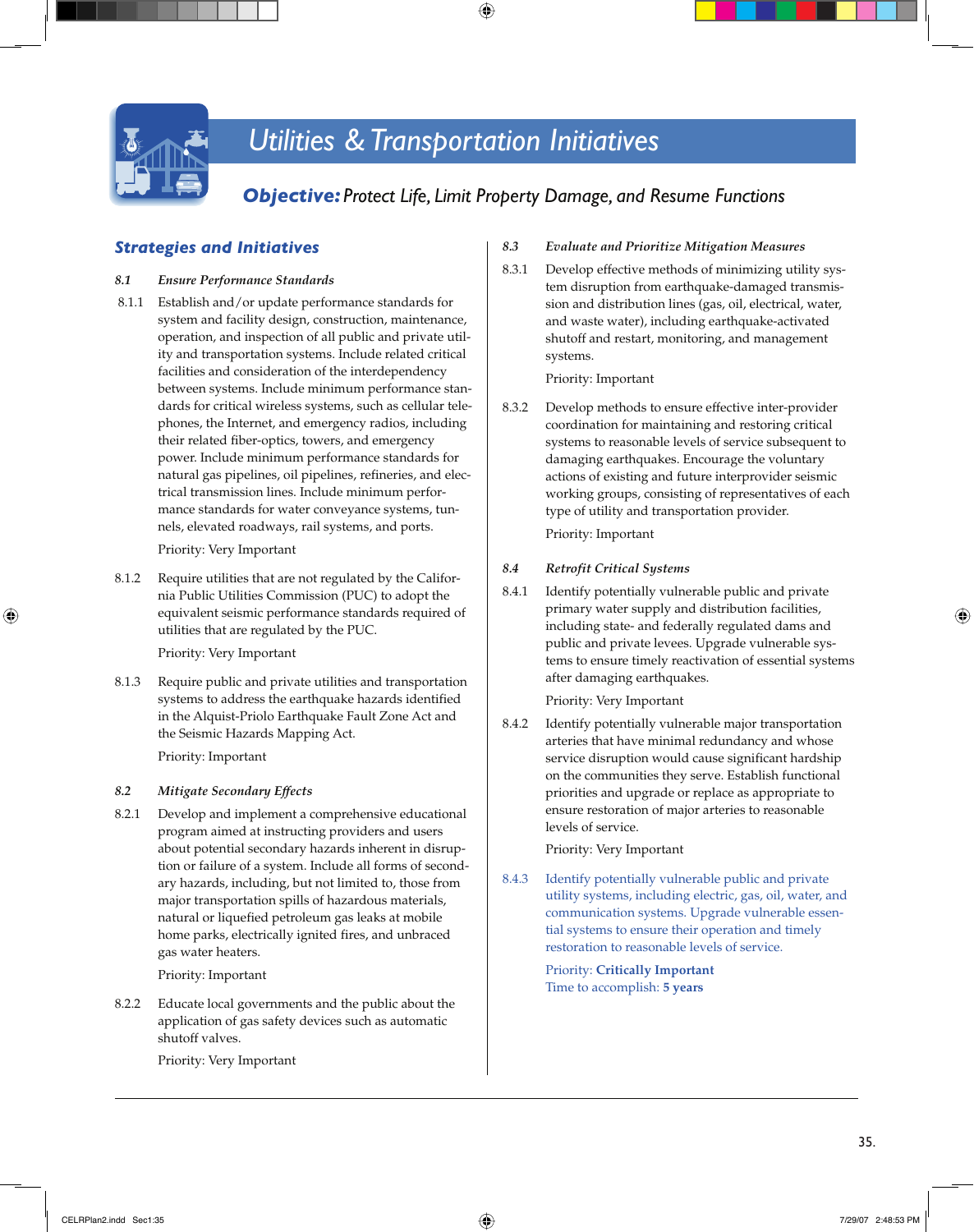

## *Utilities & Transportation Initiatives*

### *Objective: Protect Life, Limit Property Damage, and Resume Functions*

### *Strategies and Initiatives*

#### 8.1 Ensure Performance Standards

8.1.1 Establish and/or update performance standards for system and facility design, construction, maintenance, operation, and inspection of all public and private utility and transportation systems. Include related critical facilities and consideration of the interdependency between systems. Include minimum performance standards for critical wireless systems, such as cellular telephones, the Internet, and emergency radios, including their related fiber-optics, towers, and emergency power. Include minimum performance standards for natural gas pipelines, oil pipelines, refineries, and electrical transmission lines. Include minimum performance standards for water conveyance systems, tunnels, elevated roadways, rail systems, and ports.

#### Priority: Very Important

8.1.2 Require utilities that are not regulated by the California Public Utilities Commission (PUC) to adopt the equivalent seismic performance standards required of utilities that are regulated by the PUC.

Priority: Very Important

8.1.3 Require public and private utilities and transportation systems to address the earthquake hazards identified in the Alquist-Priolo Earthquake Fault Zone Act and the Seismic Hazards Mapping Act.

Priority: Important

#### 8.2 Mitigate Secondary Effects

8.2.1 Develop and implement a comprehensive educational program aimed at instructing providers and users about potential secondary hazards inherent in disruption or failure of a system. Include all forms of secondary hazards, including, but not limited to, those from major transportation spills of hazardous materials, natural or liquefied petroleum gas leaks at mobile home parks, electrically ignited fires, and unbraced gas water heaters.

Priority: Important

8.2.2 Educate local governments and the public about the application of gas safety devices such as automatic shutoff valves.

Priority: Very Important

#### 8.3 Evaluate and Prioritize Mitigation Measures

8.3.1 Develop effective methods of minimizing utility system disruption from earthquake-damaged transmission and distribution lines (gas, oil, electrical, water, and waste water), including earthquake-activated shutoff and restart, monitoring, and management systems.

Priority: Important

8.3.2 Develop methods to ensure effective inter-provider coordination for maintaining and restoring critical systems to reasonable levels of service subsequent to damaging earthquakes. Encourage the voluntary actions of existing and future interprovider seismic working groups, consisting of representatives of each type of utility and transportation provider. Priority: Important

#### 8.4 Retrofit Critical Systems

8.4.1 Identify potentially vulnerable public and private primary water supply and distribution facilities, including state- and federally regulated dams and public and private levees. Upgrade vulnerable systems to ensure timely reactivation of essential systems after damaging earthquakes.

Priority: Very Important

8.4.2 Identify potentially vulnerable major transportation arteries that have minimal redundancy and whose service disruption would cause significant hardship on the communities they serve. Establish functional priorities and upgrade or replace as appropriate to ensure restoration of major arteries to reasonable levels of service.

Priority: Very Important

8.4.3 Identify potentially vulnerable public and private utility systems, including electric, gas, oil, water, and communication systems. Upgrade vulnerable essential systems to ensure their operation and timely restoration to reasonable levels of service.

> **Priority: Critically Important** Time to accomplish: 5 years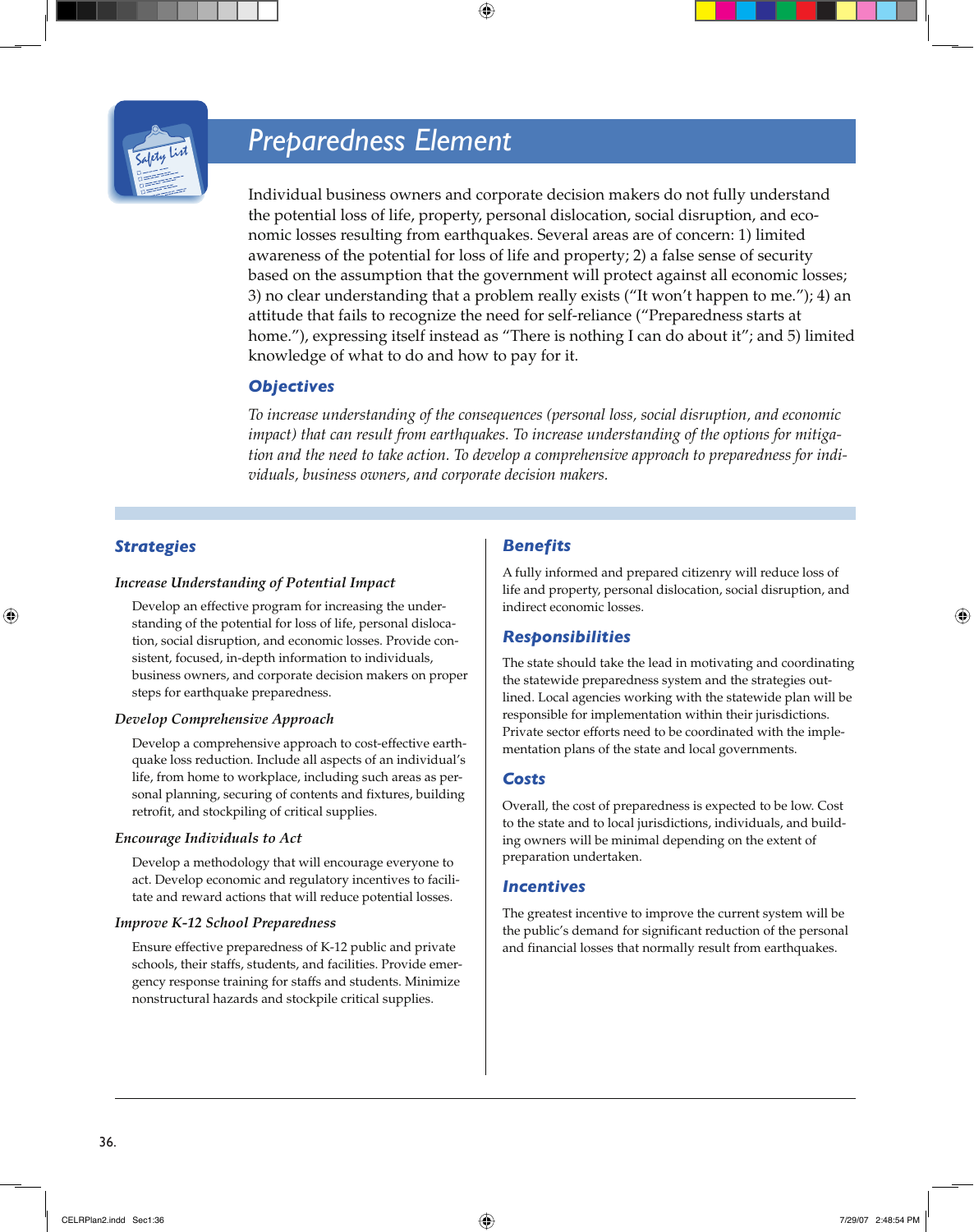

### **Preparedness Element**

Individual business owners and corporate decision makers do not fully understand the potential loss of life, property, personal dislocation, social disruption, and economic losses resulting from earthquakes. Several areas are of concern: 1) limited awareness of the potential for loss of life and property; 2) a false sense of security based on the assumption that the government will protect against all economic losses; 3) no clear understanding that a problem really exists ("It won't happen to me."); 4) an attitude that fails to recognize the need for self-reliance ("Preparedness starts at home."), expressing itself instead as "There is nothing I can do about it"; and 5) limited knowledge of what to do and how to pay for it.

#### **Objectives**

To increase understanding of the consequences (personal loss, social disruption, and economic impact) that can result from earthquakes. To increase understanding of the options for mitigation and the need to take action. To develop a comprehensive approach to preparedness for individuals, business owners, and corporate decision makers.

#### **Strategies**

⊕

#### Increase Understanding of Potential Impact

Develop an effective program for increasing the understanding of the potential for loss of life, personal dislocation, social disruption, and economic losses. Provide consistent, focused, in-depth information to individuals, business owners, and corporate decision makers on proper steps for earthquake preparedness.

#### Develop Comprehensive Approach

Develop a comprehensive approach to cost-effective earthquake loss reduction. Include all aspects of an individual's life, from home to workplace, including such areas as personal planning, securing of contents and fixtures, building retrofit, and stockpiling of critical supplies.

#### Encourage Individuals to Act

Develop a methodology that will encourage everyone to act. Develop economic and regulatory incentives to facilitate and reward actions that will reduce potential losses.

#### **Improve K-12 School Preparedness**

Ensure effective preparedness of K-12 public and private schools, their staffs, students, and facilities. Provide emergency response training for staffs and students. Minimize nonstructural hazards and stockpile critical supplies.

#### **Benefits**

A fully informed and prepared citizenry will reduce loss of life and property, personal dislocation, social disruption, and indirect economic losses.

#### **Responsibilities**

The state should take the lead in motivating and coordinating the statewide preparedness system and the strategies outlined. Local agencies working with the statewide plan will be responsible for implementation within their jurisdictions. Private sector efforts need to be coordinated with the implementation plans of the state and local governments.

#### **Costs**

Overall, the cost of preparedness is expected to be low. Cost to the state and to local jurisdictions, individuals, and building owners will be minimal depending on the extent of preparation undertaken.

#### **Incentives**

The greatest incentive to improve the current system will be the public's demand for significant reduction of the personal and financial losses that normally result from earthquakes.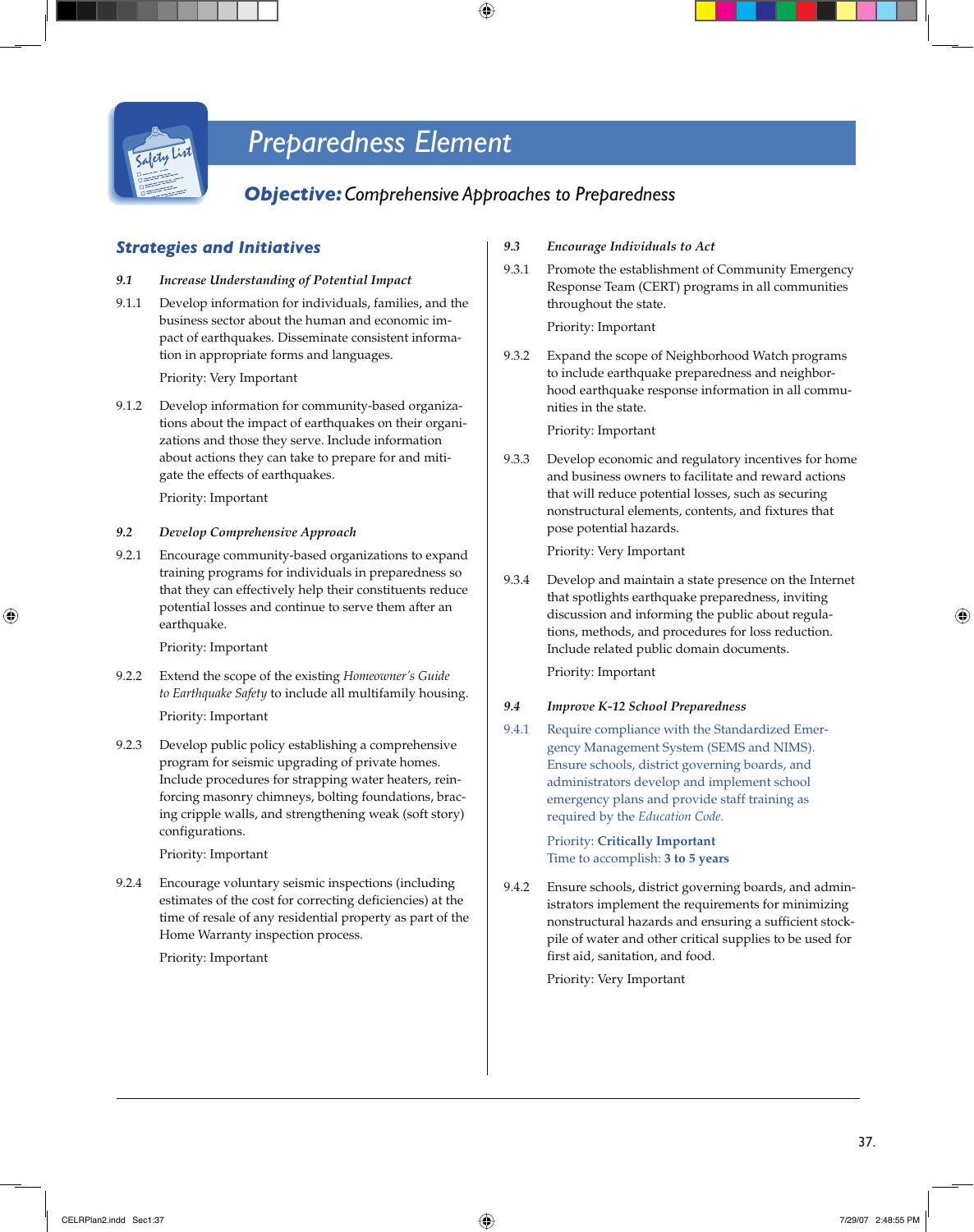

### **Preparedness Element**

### **Objective:** Comprehensive Approaches to Preparedness

### **Strategies and Initiatives**

#### $9.1$ **Increase Understanding of Potential Impact**

9.1.1 Develop information for individuals, families, and the business sector about the human and economic impact of earthquakes. Disseminate consistent information in appropriate forms and languages.

Priority: Very Important

9.1.2 Develop information for community-based organizations about the impact of earthquakes on their organizations and those they serve. Include information about actions they can take to prepare for and mitigate the effects of earthquakes.

Priority: Important

#### 9.2 Develop Comprehensive Approach

 $9.2.1$ Encourage community-based organizations to expand training programs for individuals in preparedness so that they can effectively help their constituents reduce potential losses and continue to serve them after an earthquake.

Priority: Important

⊕

- Extend the scope of the existing Homeowner's Guide  $9.2.2$ to Earthquake Safety to include all multifamily housing. Priority: Important
- 9.2.3 Develop public policy establishing a comprehensive program for seismic upgrading of private homes. Include procedures for strapping water heaters, reinforcing masonry chimneys, bolting foundations, bracing cripple walls, and strengthening weak (soft story) configurations.

Priority: Important

9.2.4 Encourage voluntary seismic inspections (including estimates of the cost for correcting deficiencies) at the time of resale of any residential property as part of the Home Warranty inspection process.

Priority: Important

#### 9.3 **Encourage Individuals to Act**

9.3.1 Promote the establishment of Community Emergency Response Team (CERT) programs in all communities throughout the state.

Priority: Important

9.3.2 Expand the scope of Neighborhood Watch programs to include earthquake preparedness and neighborhood earthquake response information in all communities in the state.

Priority: Important

9.3.3 Develop economic and regulatory incentives for home and business owners to facilitate and reward actions that will reduce potential losses, such as securing nonstructural elements, contents, and fixtures that pose potential hazards.

Priority: Very Important

9.3.4 Develop and maintain a state presence on the Internet that spotlights earthquake preparedness, inviting discussion and informing the public about regulations, methods, and procedures for loss reduction. Include related public domain documents.

Priority: Important

#### 9.4 **Improve K-12 School Preparedness**

9.4.1 Require compliance with the Standardized Emergency Management System (SEMS and NIMS). Ensure schools, district governing boards, and administrators develop and implement school emergency plans and provide staff training as required by the Education Code.

> **Priority: Critically Important** Time to accomplish: 3 to 5 years

9.4.2 Ensure schools, district governing boards, and administrators implement the requirements for minimizing nonstructural hazards and ensuring a sufficient stockpile of water and other critical supplies to be used for first aid, sanitation, and food.

Priority: Very Important

37.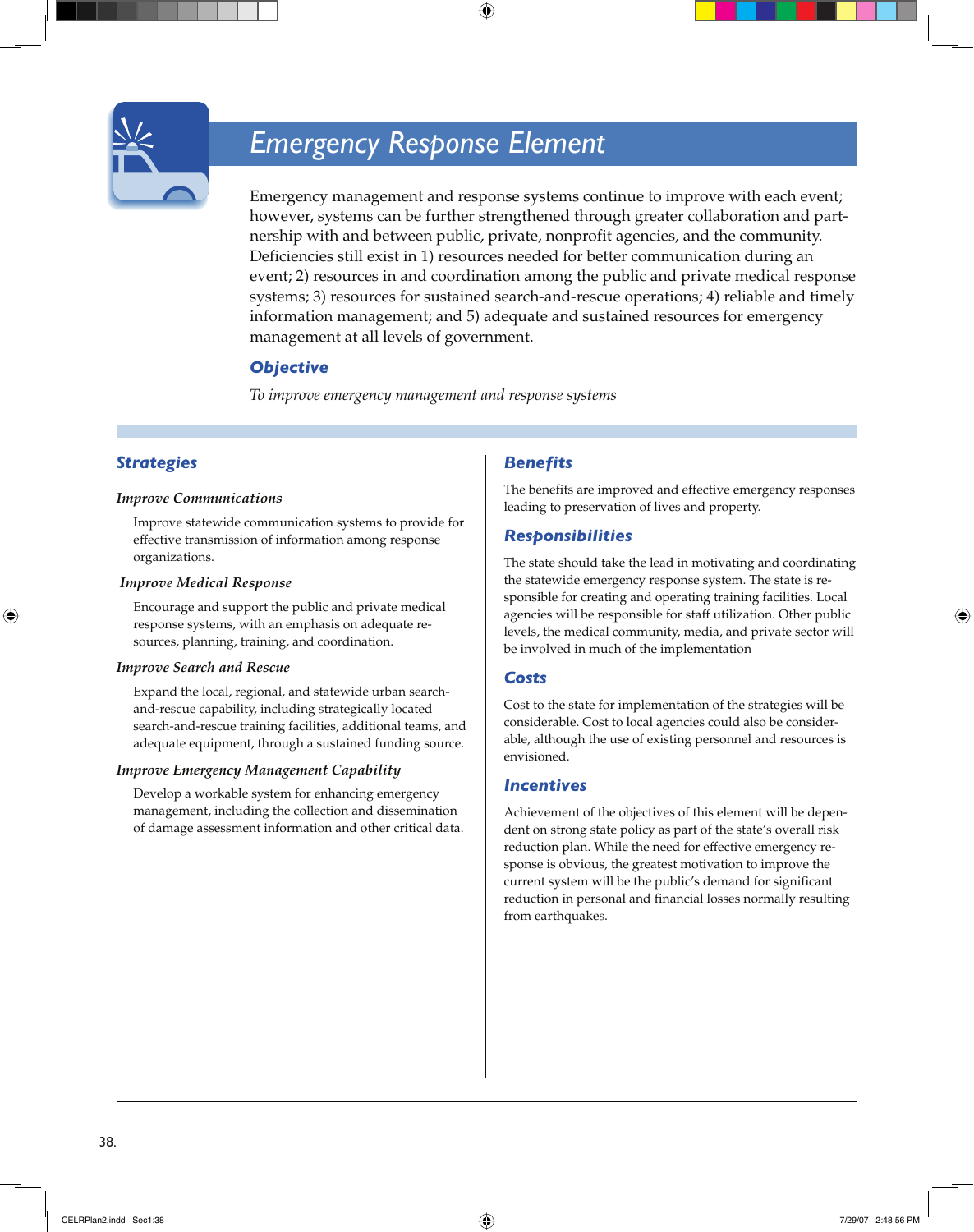

### **Emergency Response Element**

Emergency management and response systems continue to improve with each event; however, systems can be further strengthened through greater collaboration and partnership with and between public, private, nonprofit agencies, and the community. Deficiencies still exist in 1) resources needed for better communication during an event; 2) resources in and coordination among the public and private medical response systems; 3) resources for sustained search-and-rescue operations; 4) reliable and timely information management; and 5) adequate and sustained resources for emergency management at all levels of government.

#### **Objective**

To improve emergency management and response systems

#### **Strategies**

⊕

#### **Improve Communications**

Improve statewide communication systems to provide for effective transmission of information among response organizations.

#### **Improve Medical Response**

Encourage and support the public and private medical response systems, with an emphasis on adequate resources, planning, training, and coordination.

#### **Improve Search and Rescue**

Expand the local, regional, and statewide urban searchand-rescue capability, including strategically located search-and-rescue training facilities, additional teams, and adequate equipment, through a sustained funding source.

#### **Improve Emergency Management Capability**

Develop a workable system for enhancing emergency management, including the collection and dissemination of damage assessment information and other critical data.

#### **Benefits**

The benefits are improved and effective emergency responses leading to preservation of lives and property.

#### **Responsibilities**

The state should take the lead in motivating and coordinating the statewide emergency response system. The state is responsible for creating and operating training facilities. Local agencies will be responsible for staff utilization. Other public levels, the medical community, media, and private sector will be involved in much of the implementation

#### **Costs**

Cost to the state for implementation of the strategies will be considerable. Cost to local agencies could also be considerable, although the use of existing personnel and resources is envisioned.

#### **Incentives**

Achievement of the objectives of this element will be dependent on strong state policy as part of the state's overall risk reduction plan. While the need for effective emergency response is obvious, the greatest motivation to improve the current system will be the public's demand for significant reduction in personal and financial losses normally resulting from earthquakes.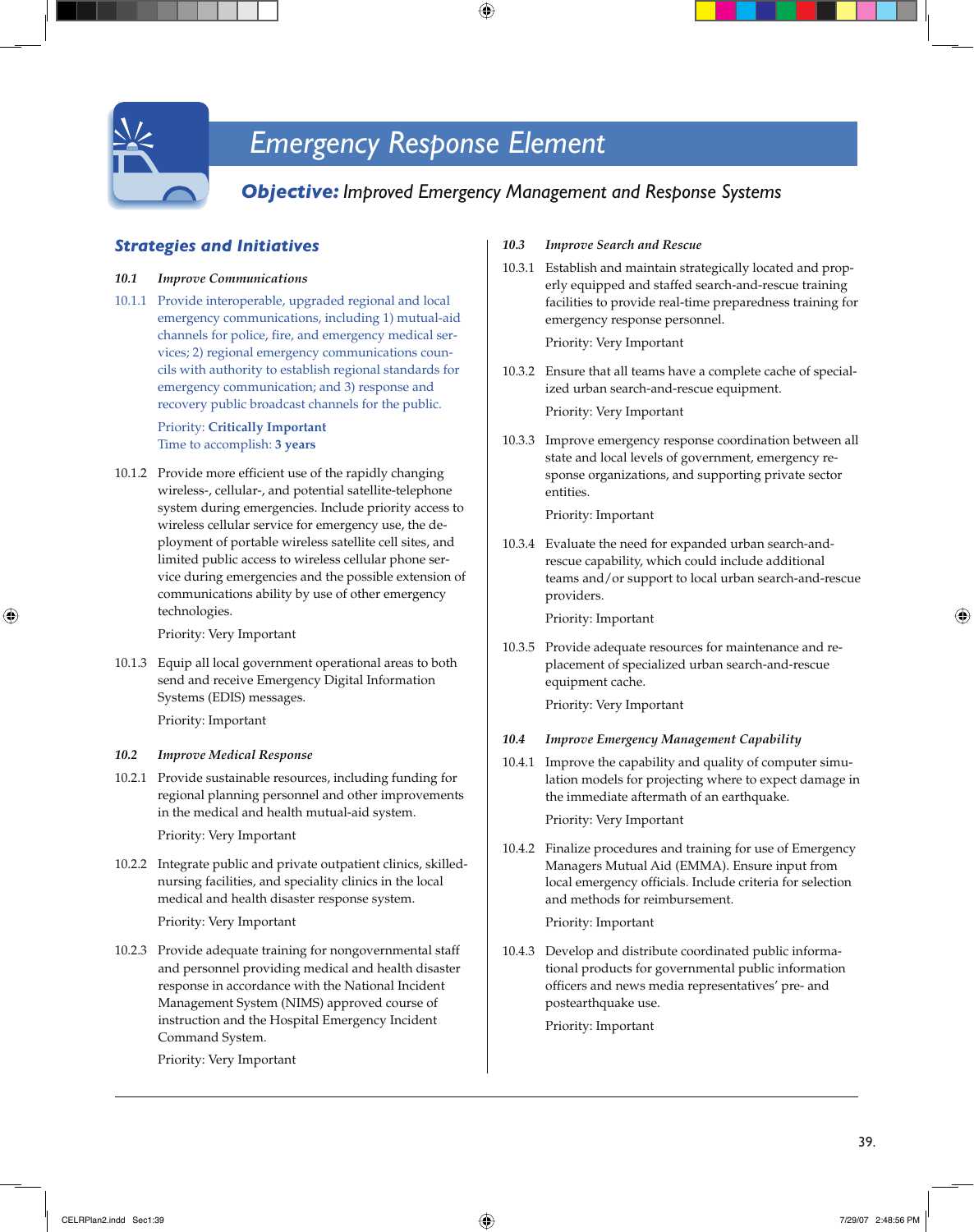

### *Emergency Response Element*

### *Objective: Improved Emergency Management and Response Systems*

#### *Strategies and Initiatives*

#### **10.1** Improve Communications

10.1.1 Provide interoperable, upgraded regional and local emergency communications, including 1) mutual-aid channels for police, fire, and emergency medical services; 2) regional emergency communications councils with authority to establish regional standards for emergency communication; and 3) response and recovery public broadcast channels for the public.

#### **Priority: Critically Important** Time to accomplish: 3 years

10.1.2 Provide more efficient use of the rapidly changing wireless-, cellular-, and potential satellite-telephone system during emergencies. Include priority access to wireless cellular service for emergency use, the deployment of portable wireless satellite cell sites, and limited public access to wireless cellular phone service during emergencies and the possible extension of communications ability by use of other emergency technologies.

Priority: Very Important

⊕

10.1.3 Equip all local government operational areas to both send and receive Emergency Digital Information Systems (EDIS) messages.

Priority: Important

#### **10.2** Improve Medical Response

10.2.1 Provide sustainable resources, including funding for regional planning personnel and other improvements in the medical and health mutual-aid system.

Priority: Very Important

10.2.2 Integrate public and private outpatient clinics, skillednursing facilities, and speciality clinics in the local medical and health disaster response system.

Priority: Very Important

10.2.3 Provide adequate training for nongovernmental staff and personnel providing medical and health disaster response in accordance with the National Incident Management System (NIMS) approved course of instruction and the Hospital Emergency Incident Command System.

Priority: Very Important

#### **10.3** Improve Search and Rescue

10.3.1 Establish and maintain strategically located and properly equipped and staffed search-and-rescue training facilities to provide real-time preparedness training for emergency response personnel.

Priority: Very Important

- 10.3.2 Ensure that all teams have a complete cache of specialized urban search-and-rescue equipment. Priority: Very Important
- 10.3.3 Improve emergency response coordination between all state and local levels of government, emergency response organizations, and supporting private sector entities.

Priority: Important

10.3.4 Evaluate the need for expanded urban search-andrescue capability, which could include additional teams and/or support to local urban search-and-rescue providers.

Priority: Important

10.3.5 Provide adequate resources for maintenance and replacement of specialized urban search-and-rescue equipment cache.

Priority: Very Important

- **10.4** Improve Emergency Management Capability
- 10.4.1 Improve the capability and quality of computer simulation models for projecting where to expect damage in the immediate aftermath of an earthquake. Priority: Very Important

10.4.2 Finalize procedures and training for use of Emergency Managers Mutual Aid (EMMA). Ensure input from local emergency officials. Include criteria for selection and methods for reimbursement.

Priority: Important

10.4.3 Develop and distribute coordinated public informational products for governmental public information officers and news media representatives' pre- and postearthquake use.

Priority: Important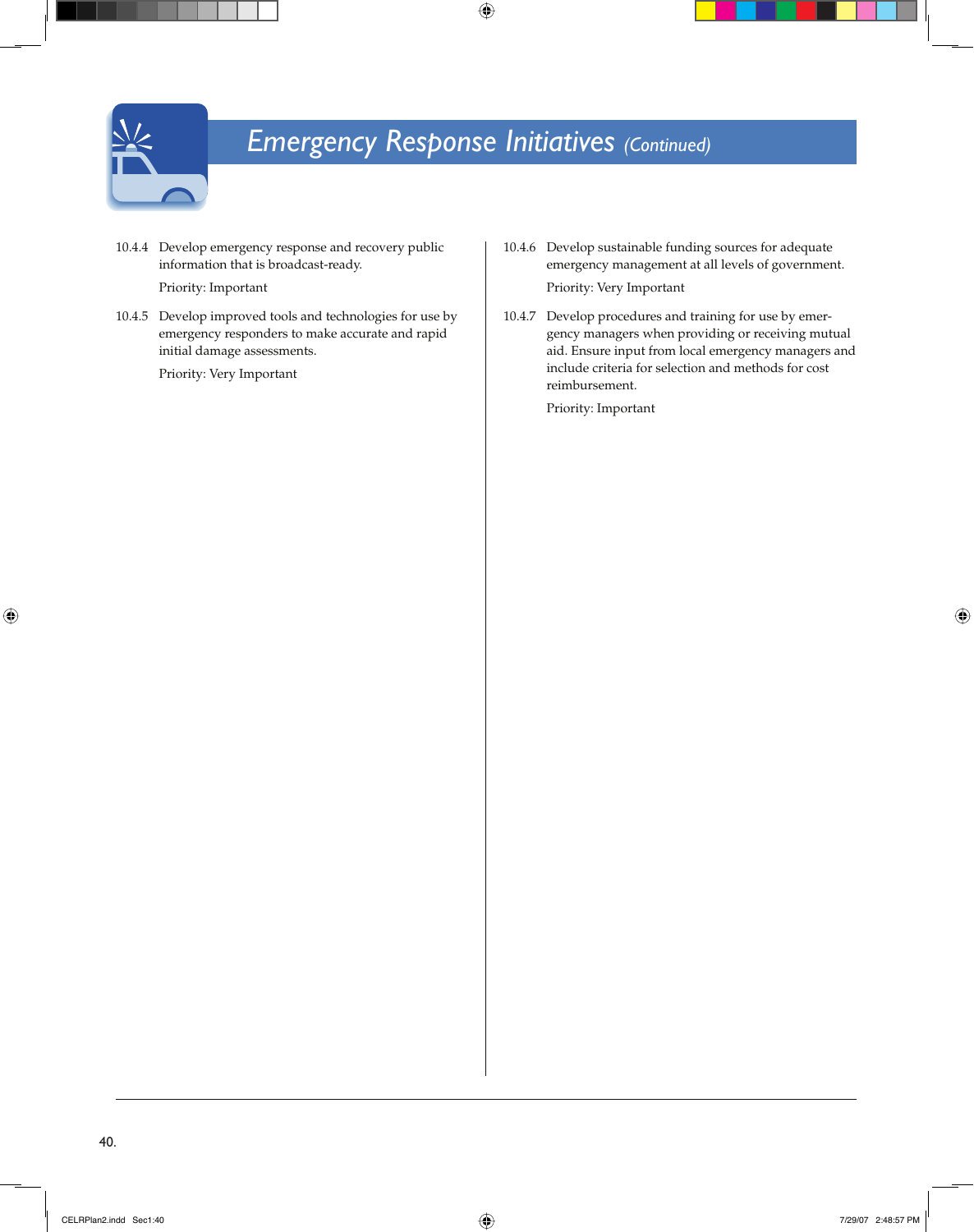

## *Emergency Response Initiatives (Continued)*

 $\bigoplus$ 

10.4.4 Develop emergency response and recovery public information that is broadcast-ready.

Priority: Important

10.4.5 Develop improved tools and technologies for use by emergency responders to make accurate and rapid initial damage assessments.

Priority: Very Important

- 10.4.6 Develop sustainable funding sources for adequate emergency management at all levels of government. Priority: Very Important
- 10.4.7 Develop procedures and training for use by emergency managers when providing or receiving mutual aid. Ensure input from local emergency managers and include criteria for selection and methods for cost reimbursement.

Priority: Important

 $\bigoplus$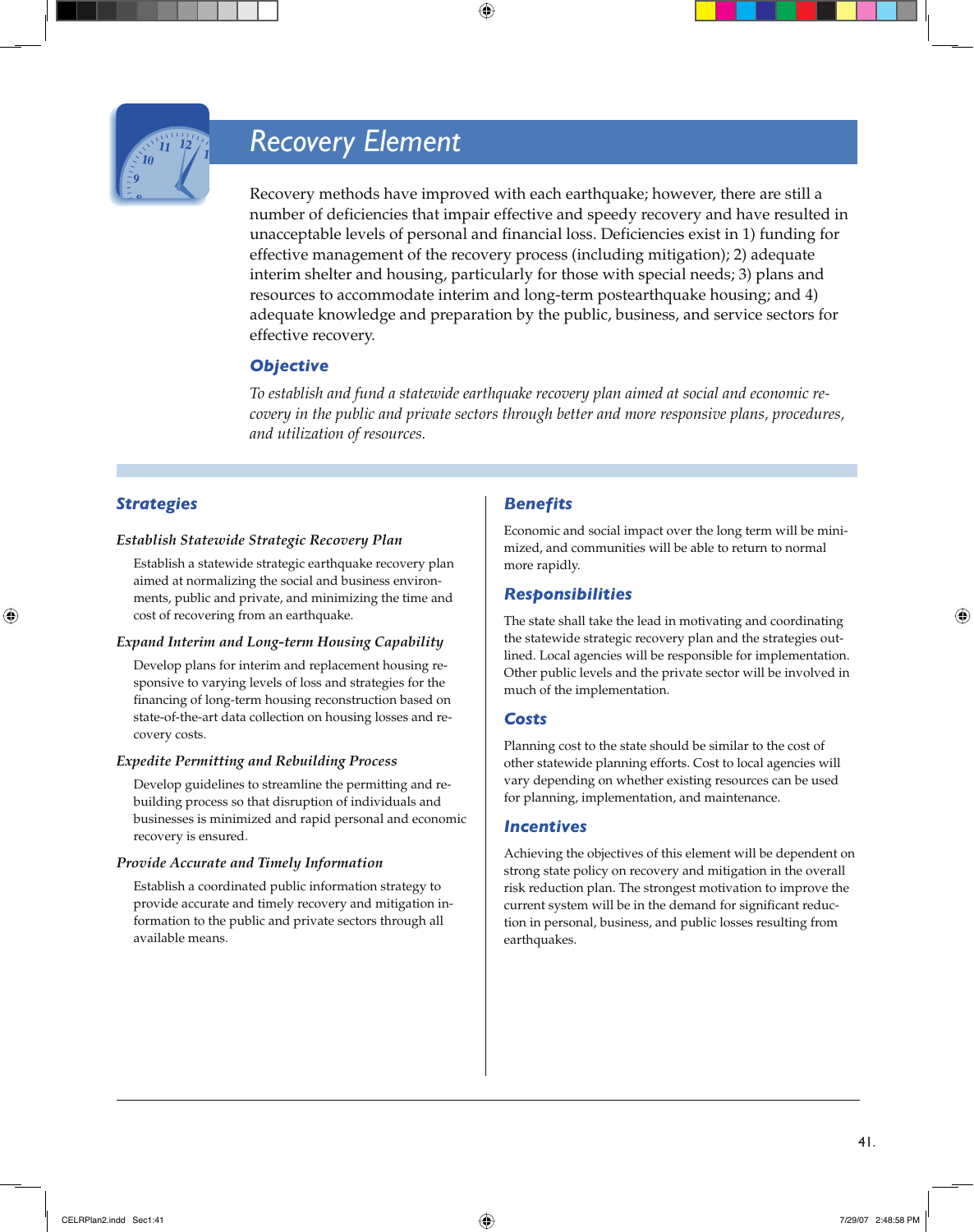### **Recovery Element**

Recovery methods have improved with each earthquake; however, there are still a number of deficiencies that impair effective and speedy recovery and have resulted in unacceptable levels of personal and financial loss. Deficiencies exist in 1) funding for effective management of the recovery process (including mitigation); 2) adequate interim shelter and housing, particularly for those with special needs; 3) plans and resources to accommodate interim and long-term postearthquake housing; and 4) adequate knowledge and preparation by the public, business, and service sectors for effective recovery.

⊕

### **Objective**

To establish and fund a statewide earthquake recovery plan aimed at social and economic recovery in the public and private sectors through better and more responsive plans, procedures, and utilization of resources.

### **Strategies**

⊕

#### Establish Statewide Strategic Recovery Plan

Establish a statewide strategic earthquake recovery plan aimed at normalizing the social and business environments, public and private, and minimizing the time and cost of recovering from an earthquake.

#### **Expand Interim and Long-term Housing Capability**

Develop plans for interim and replacement housing responsive to varying levels of loss and strategies for the financing of long-term housing reconstruction based on state-of-the-art data collection on housing losses and recovery costs.

#### **Expedite Permitting and Rebuilding Process**

Develop guidelines to streamline the permitting and rebuilding process so that disruption of individuals and businesses is minimized and rapid personal and economic recovery is ensured.

#### Provide Accurate and Timely Information

Establish a coordinated public information strategy to provide accurate and timely recovery and mitigation information to the public and private sectors through all available means.

#### **Benefits**

Economic and social impact over the long term will be minimized, and communities will be able to return to normal more rapidly.

#### **Responsibilities**

The state shall take the lead in motivating and coordinating the statewide strategic recovery plan and the strategies outlined. Local agencies will be responsible for implementation. Other public levels and the private sector will be involved in much of the implementation.

#### **Costs**

Planning cost to the state should be similar to the cost of other statewide planning efforts. Cost to local agencies will vary depending on whether existing resources can be used for planning, implementation, and maintenance.

#### **Incentives**

Achieving the objectives of this element will be dependent on strong state policy on recovery and mitigation in the overall risk reduction plan. The strongest motivation to improve the current system will be in the demand for significant reduction in personal, business, and public losses resulting from earthquakes.